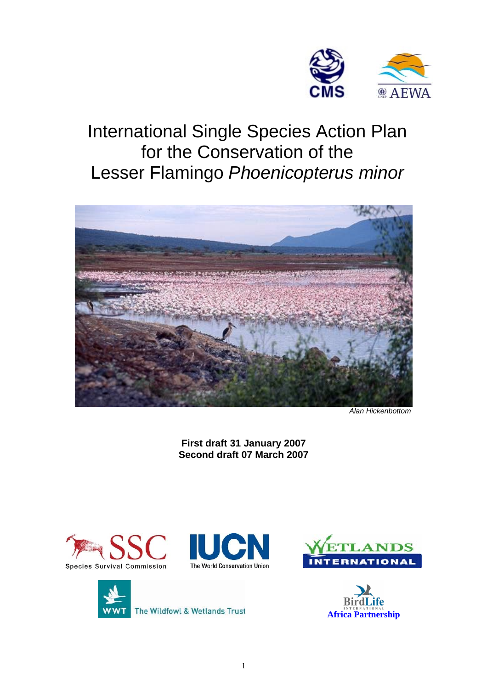

# International Single Species Action Plan for the Conservation of the Lesser Flamingo *Phoenicopterus minor*



*Alan Hickenbottom* 

**First draft 31 January 2007 Second draft 07 March 2007** 









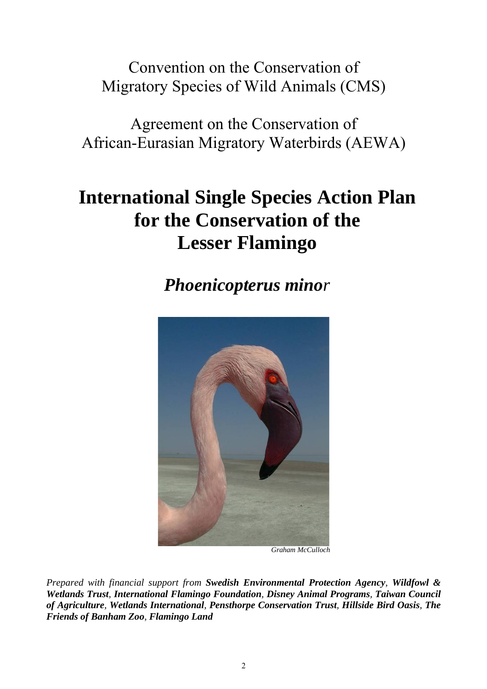Convention on the Conservation of Migratory Species of Wild Animals (CMS)

Agreement on the Conservation of African-Eurasian Migratory Waterbirds (AEWA)

# **International Single Species Action Plan for the Conservation of the Lesser Flamingo**

*Phoenicopterus minor*



 *Graham McCulloch* 

*Prepared with financial support from Swedish Environmental Protection Agency, Wildfowl & Wetlands Trust, International Flamingo Foundation, Disney Animal Programs, Taiwan Council of Agriculture, Wetlands International, Pensthorpe Conservation Trust, Hillside Bird Oasis, The Friends of Banham Zoo, Flamingo Land*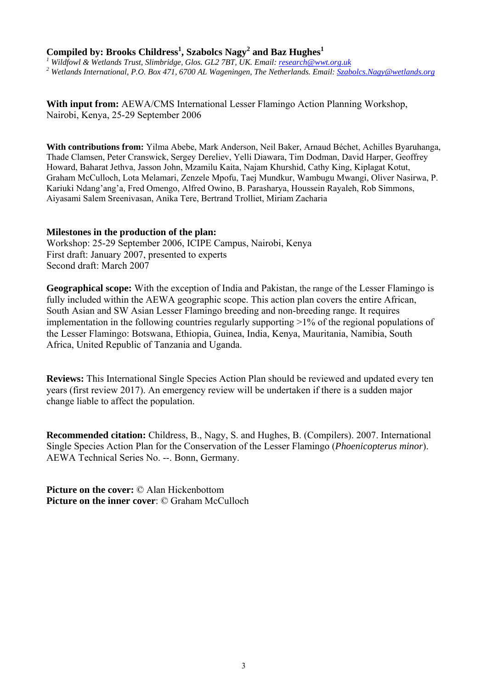### **Compiled by: Brooks Childress1 , Szabolcs Nagy2 and Baz Hughes<sup>1</sup>**

*1 Wildfowl & Wetlands Trust, Slimbridge, Glos. GL2 7BT, UK. Email: [research@wwt.org.uk](mailto:research@wwt.org.uk) <sup>2</sup>* <sup>2</sup> Wetlands International, P.O. Box 471, 6700 AL Wageningen, The Netherlands. Email: *[Szabolcs.Nagy@wetlands.org](mailto:Szabolcs.Nagy@wetlands.org)* 

With input from: **AEWA/CMS** International Lesser Flamingo Action Planning Workshop, Nairobi, Kenya, 25-29 September 2006

**With contributions from:** Yilma Abebe, Mark Anderson, Neil Baker, Arnaud Béchet, Achilles Byaruhanga, Thade Clamsen, Peter Cranswick, Sergey Dereliev, Yelli Diawara, Tim Dodman, David Harper, Geoffrey Howard, Baharat Jethva, Jasson John, Mzamilu Kaita, Najam Khurshid, Cathy King, Kiplagat Kotut, Graham McCulloch, Lota Melamari, Zenzele Mpofu, Taej Mundkur, Wambugu Mwangi, Oliver Nasirwa, P. Kariuki Ndang'ang'a, Fred Omengo, Alfred Owino, B. Parasharya, Houssein Rayaleh, Rob Simmons, Aiyasami Salem Sreenivasan, Anika Tere, Bertrand Trolliet, Miriam Zacharia

### **Milestones in the production of the plan:**

Workshop: 25-29 September 2006, ICIPE Campus, Nairobi, Kenya First draft: January 2007, presented to experts Second draft: March 2007

**Geographical scope:** With the exception of India and Pakistan, the range of the Lesser Flamingo is fully included within the AEWA geographic scope. This action plan covers the entire African, South Asian and SW Asian Lesser Flamingo breeding and non-breeding range. It requires implementation in the following countries regularly supporting >1% of the regional populations of the Lesser Flamingo: Botswana, Ethiopia, Guinea, India, Kenya, Mauritania, Namibia, South Africa, United Republic of Tanzania and Uganda.

**Reviews:** This International Single Species Action Plan should be reviewed and updated every ten years (first review 2017). An emergency review will be undertaken if there is a sudden major change liable to affect the population.

**Recommended citation:** Childress, B., Nagy, S. and Hughes, B. (Compilers). 2007. International Single Species Action Plan for the Conservation of the Lesser Flamingo (*Phoenicopterus minor*). AEWA Technical Series No. --. Bonn, Germany.

**Picture on the cover:** © Alan Hickenbottom **Picture on the inner cover**: © Graham McCulloch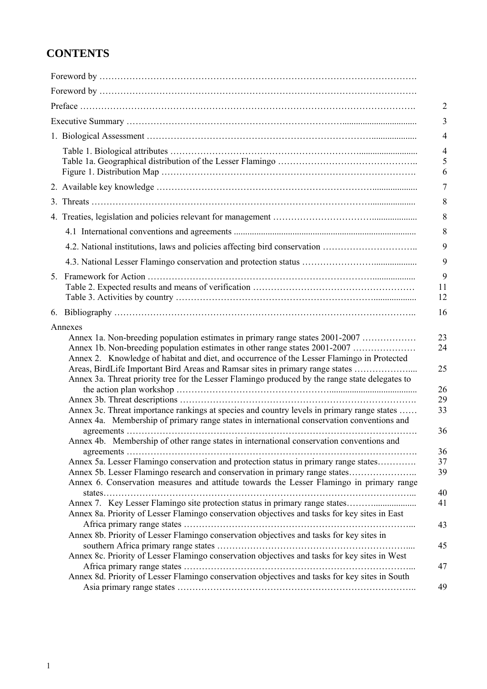## **CONTENTS**

| 4.2. National institutions, laws and policies affecting bird conservation                                                                                                                                                                                                                                                                                                                                                                      |
|------------------------------------------------------------------------------------------------------------------------------------------------------------------------------------------------------------------------------------------------------------------------------------------------------------------------------------------------------------------------------------------------------------------------------------------------|
|                                                                                                                                                                                                                                                                                                                                                                                                                                                |
|                                                                                                                                                                                                                                                                                                                                                                                                                                                |
|                                                                                                                                                                                                                                                                                                                                                                                                                                                |
| Annex 1a. Non-breeding population estimates in primary range states 2001-2007<br>Annex 1b. Non-breeding population estimates in other range states 2001-2007<br>Annex 2. Knowledge of habitat and diet, and occurrence of the Lesser Flamingo in Protected<br>Areas, BirdLife Important Bird Areas and Ramsar sites in primary range states<br>Annex 3a. Threat priority tree for the Lesser Flamingo produced by the range state delegates to |
| Annex 3c. Threat importance rankings at species and country levels in primary range states<br>Annex 4a. Membership of primary range states in international conservation conventions and                                                                                                                                                                                                                                                       |
| Annex 4b. Membership of other range states in international conservation conventions and<br>Annex 5a. Lesser Flamingo conservation and protection status in primary range states<br>Annex 5b. Lesser Flamingo research and conservation in primary range states<br>Annex 6. Conservation measures and attitude towards the Lesser Flamingo in primary range                                                                                    |
| Annex 8a. Priority of Lesser Flamingo conservation objectives and tasks for key sites in East                                                                                                                                                                                                                                                                                                                                                  |
| Annex 8b. Priority of Lesser Flamingo conservation objectives and tasks for key sites in                                                                                                                                                                                                                                                                                                                                                       |
| Annex 8c. Priority of Lesser Flamingo conservation objectives and tasks for key sites in West                                                                                                                                                                                                                                                                                                                                                  |
| Annex 8d. Priority of Lesser Flamingo conservation objectives and tasks for key sites in South                                                                                                                                                                                                                                                                                                                                                 |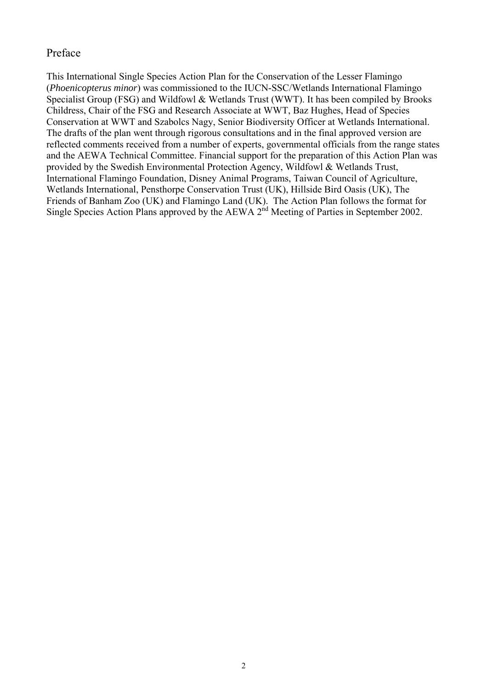### Preface

This International Single Species Action Plan for the Conservation of the Lesser Flamingo (*Phoenicopterus minor*) was commissioned to the IUCN-SSC/Wetlands International Flamingo Specialist Group (FSG) and Wildfowl & Wetlands Trust (WWT). It has been compiled by Brooks Childress, Chair of the FSG and Research Associate at WWT, Baz Hughes, Head of Species Conservation at WWT and Szabolcs Nagy, Senior Biodiversity Officer at Wetlands International. The drafts of the plan went through rigorous consultations and in the final approved version are reflected comments received from a number of experts, governmental officials from the range states and the AEWA Technical Committee. Financial support for the preparation of this Action Plan was provided by the Swedish Environmental Protection Agency, Wildfowl & Wetlands Trust, International Flamingo Foundation, Disney Animal Programs, Taiwan Council of Agriculture, Wetlands International, Pensthorpe Conservation Trust (UK), Hillside Bird Oasis (UK), The Friends of Banham Zoo (UK) and Flamingo Land (UK). The Action Plan follows the format for Single Species Action Plans approved by the AEWA 2<sup>nd</sup> Meeting of Parties in September 2002.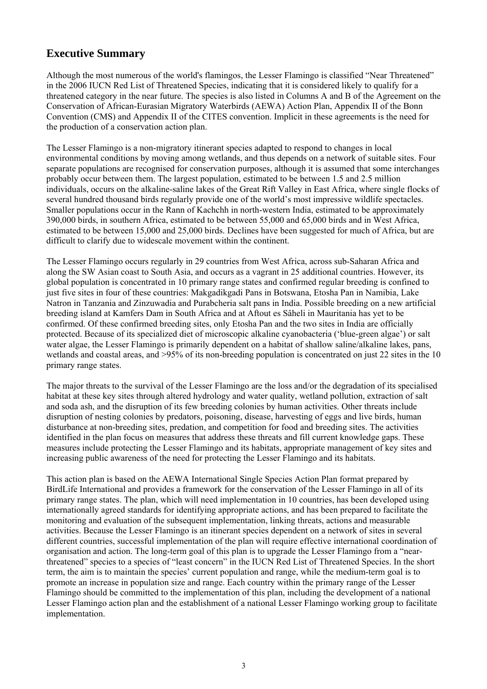## **Executive Summary**

Although the most numerous of the world's flamingos, the Lesser Flamingo is classified "Near Threatened" in the 2006 IUCN Red List of Threatened Species, indicating that it is considered likely to qualify for a threatened category in the near future. The species is also listed in Columns A and B of the Agreement on the Conservation of African-Eurasian Migratory Waterbirds (AEWA) Action Plan, Appendix II of the Bonn Convention (CMS) and Appendix II of the CITES convention. Implicit in these agreements is the need for the production of a conservation action plan.

The Lesser Flamingo is a non-migratory itinerant species adapted to respond to changes in local environmental conditions by moving among wetlands, and thus depends on a network of suitable sites. Four separate populations are recognised for conservation purposes, although it is assumed that some interchanges probably occur between them. The largest population, estimated to be between 1.5 and 2.5 million individuals, occurs on the alkaline-saline lakes of the Great Rift Valley in East Africa, where single flocks of several hundred thousand birds regularly provide one of the world's most impressive wildlife spectacles. Smaller populations occur in the Rann of Kachchh in north-western India, estimated to be approximately 390,000 birds, in southern Africa, estimated to be between 55,000 and 65,000 birds and in West Africa, estimated to be between 15,000 and 25,000 birds. Declines have been suggested for much of Africa, but are difficult to clarify due to widescale movement within the continent.

The Lesser Flamingo occurs regularly in 29 countries from West Africa, across sub-Saharan Africa and along the SW Asian coast to South Asia, and occurs as a vagrant in 25 additional countries. However, its global population is concentrated in 10 primary range states and confirmed regular breeding is confined to just five sites in four of these countries: Makgadikgadi Pans in Botswana, Etosha Pan in Namibia, Lake Natron in Tanzania and Zinzuwadia and Purabcheria salt pans in India. Possible breeding on a new artificial breeding island at Kamfers Dam in South Africa and at Aftout es Sâheli in Mauritania has yet to be confirmed. Of these confirmed breeding sites, only Etosha Pan and the two sites in India are officially protected. Because of its specialized diet of microscopic alkaline cyanobacteria ('blue-green algae') or salt water algae, the Lesser Flamingo is primarily dependent on a habitat of shallow saline/alkaline lakes, pans, wetlands and coastal areas, and >95% of its non-breeding population is concentrated on just 22 sites in the 10 primary range states.

The major threats to the survival of the Lesser Flamingo are the loss and/or the degradation of its specialised habitat at these key sites through altered hydrology and water quality, wetland pollution, extraction of salt and soda ash, and the disruption of its few breeding colonies by human activities. Other threats include disruption of nesting colonies by predators, poisoning, disease, harvesting of eggs and live birds, human disturbance at non-breeding sites, predation, and competition for food and breeding sites. The activities identified in the plan focus on measures that address these threats and fill current knowledge gaps. These measures include protecting the Lesser Flamingo and its habitats, appropriate management of key sites and increasing public awareness of the need for protecting the Lesser Flamingo and its habitats.

This action plan is based on the AEWA International Single Species Action Plan format prepared by BirdLife International and provides a framework for the conservation of the Lesser Flamingo in all of its primary range states. The plan, which will need implementation in 10 countries, has been developed using internationally agreed standards for identifying appropriate actions, and has been prepared to facilitate the monitoring and evaluation of the subsequent implementation, linking threats, actions and measurable activities. Because the Lesser Flamingo is an itinerant species dependent on a network of sites in several different countries, successful implementation of the plan will require effective international coordination of organisation and action. The long-term goal of this plan is to upgrade the Lesser Flamingo from a "nearthreatened" species to a species of "least concern" in the IUCN Red List of Threatened Species. In the short term, the aim is to maintain the species' current population and range, while the medium-term goal is to promote an increase in population size and range. Each country within the primary range of the Lesser Flamingo should be committed to the implementation of this plan, including the development of a national Lesser Flamingo action plan and the establishment of a national Lesser Flamingo working group to facilitate implementation.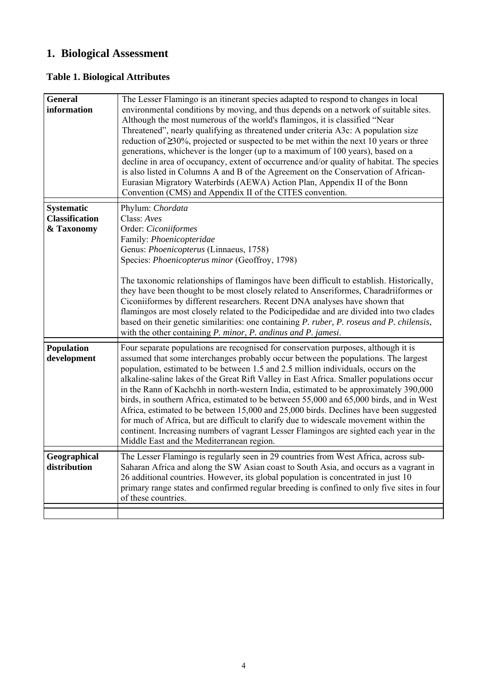## **1. Biological Assessment**

## **Table 1. Biological Attributes**

| <b>General</b><br>information                            | The Lesser Flamingo is an itinerant species adapted to respond to changes in local<br>environmental conditions by moving, and thus depends on a network of suitable sites.<br>Although the most numerous of the world's flamingos, it is classified "Near<br>Threatened", nearly qualifying as threatened under criteria A3c: A population size<br>reduction of $\geq 30\%$ , projected or suspected to be met within the next 10 years or three<br>generations, whichever is the longer (up to a maximum of 100 years), based on a<br>decline in area of occupancy, extent of occurrence and/or quality of habitat. The species<br>is also listed in Columns A and B of the Agreement on the Conservation of African-<br>Eurasian Migratory Waterbirds (AEWA) Action Plan, Appendix II of the Bonn<br>Convention (CMS) and Appendix II of the CITES convention.       |
|----------------------------------------------------------|------------------------------------------------------------------------------------------------------------------------------------------------------------------------------------------------------------------------------------------------------------------------------------------------------------------------------------------------------------------------------------------------------------------------------------------------------------------------------------------------------------------------------------------------------------------------------------------------------------------------------------------------------------------------------------------------------------------------------------------------------------------------------------------------------------------------------------------------------------------------|
| <b>Systematic</b><br><b>Classification</b><br>& Taxonomy | Phylum: Chordata<br>Class: Aves<br>Order: Ciconiiformes<br>Family: Phoenicopteridae<br>Genus: Phoenicopterus (Linnaeus, 1758)<br>Species: Phoenicopterus minor (Geoffroy, 1798)<br>The taxonomic relationships of flamingos have been difficult to establish. Historically,<br>they have been thought to be most closely related to Anseriformes, Charadriiformes or<br>Ciconiiformes by different researchers. Recent DNA analyses have shown that<br>flamingos are most closely related to the Podicipedidae and are divided into two clades<br>based on their genetic similarities: one containing P. ruber, P. roseus and P. chilensis,<br>with the other containing P. minor, P. andinus and P. jamesi.                                                                                                                                                           |
| Population<br>development                                | Four separate populations are recognised for conservation purposes, although it is<br>assumed that some interchanges probably occur between the populations. The largest<br>population, estimated to be between 1.5 and 2.5 million individuals, occurs on the<br>alkaline-saline lakes of the Great Rift Valley in East Africa. Smaller populations occur<br>in the Rann of Kachchh in north-western India, estimated to be approximately 390,000<br>birds, in southern Africa, estimated to be between 55,000 and 65,000 birds, and in West<br>Africa, estimated to be between 15,000 and 25,000 birds. Declines have been suggested<br>for much of Africa, but are difficult to clarify due to widescale movement within the<br>continent. Increasing numbers of vagrant Lesser Flamingos are sighted each year in the<br>Middle East and the Mediterranean region. |
| Geographical<br>distribution                             | The Lesser Flamingo is regularly seen in 29 countries from West Africa, across sub-<br>Saharan Africa and along the SW Asian coast to South Asia, and occurs as a vagrant in<br>26 additional countries. However, its global population is concentrated in just 10<br>primary range states and confirmed regular breeding is confined to only five sites in four<br>of these countries.                                                                                                                                                                                                                                                                                                                                                                                                                                                                                |
|                                                          |                                                                                                                                                                                                                                                                                                                                                                                                                                                                                                                                                                                                                                                                                                                                                                                                                                                                        |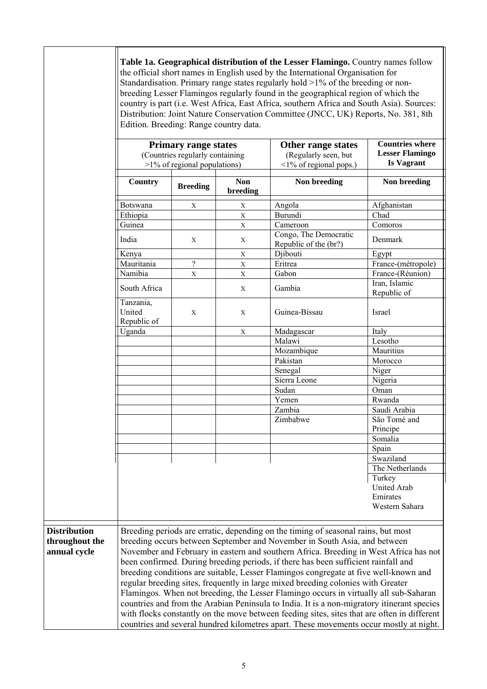|                     | Table 1a. Geographical distribution of the Lesser Flamingo. Country names follow<br>the official short names in English used by the International Organisation for<br>Standardisation. Primary range states regularly hold $>1\%$ of the breeding or non-<br>breeding Lesser Flamingos regularly found in the geographical region of which the<br>country is part (i.e. West Africa, East Africa, southern Africa and South Asia). Sources:<br>Distribution: Joint Nature Conservation Committee (JNCC, UK) Reports, No. 381, 8th<br>Edition. Breeding: Range country data. |                                                          |                        |                                                                                             |                    |  |  |  |
|---------------------|-----------------------------------------------------------------------------------------------------------------------------------------------------------------------------------------------------------------------------------------------------------------------------------------------------------------------------------------------------------------------------------------------------------------------------------------------------------------------------------------------------------------------------------------------------------------------------|----------------------------------------------------------|------------------------|---------------------------------------------------------------------------------------------|--------------------|--|--|--|
|                     | <b>Primary range states</b><br>Other range states<br>(Countries regularly containing<br>(Regularly seen, but<br>$>1\%$ of regional populations)<br>$\leq$ 1% of regional pops.)                                                                                                                                                                                                                                                                                                                                                                                             |                                                          |                        | <b>Countries where</b><br><b>Lesser Flamingo</b><br><b>Is Vagrant</b>                       |                    |  |  |  |
|                     | Country                                                                                                                                                                                                                                                                                                                                                                                                                                                                                                                                                                     | <b>Breeding</b>                                          | <b>Non</b><br>breeding | Non breeding                                                                                | Non breeding       |  |  |  |
|                     | Botswana                                                                                                                                                                                                                                                                                                                                                                                                                                                                                                                                                                    | X                                                        | $\mathbf X$            | Angola                                                                                      | Afghanistan        |  |  |  |
|                     | Ethiopia                                                                                                                                                                                                                                                                                                                                                                                                                                                                                                                                                                    |                                                          | $\mathbf X$            | <b>Burundi</b>                                                                              | Chad               |  |  |  |
|                     | Guinea                                                                                                                                                                                                                                                                                                                                                                                                                                                                                                                                                                      |                                                          | $\mathbf X$            | Cameroon                                                                                    | Comoros            |  |  |  |
|                     | India                                                                                                                                                                                                                                                                                                                                                                                                                                                                                                                                                                       | Congo, The Democratic<br>X<br>X<br>Republic of the (br?) |                        |                                                                                             |                    |  |  |  |
|                     | Kenya                                                                                                                                                                                                                                                                                                                                                                                                                                                                                                                                                                       |                                                          | $\mathbf X$            | Djibouti                                                                                    | Egypt              |  |  |  |
|                     | Mauritania                                                                                                                                                                                                                                                                                                                                                                                                                                                                                                                                                                  | $\gamma$                                                 | $\mathbf X$            | Eritrea                                                                                     | France-(métropole) |  |  |  |
|                     | Namibia                                                                                                                                                                                                                                                                                                                                                                                                                                                                                                                                                                     | X                                                        | $\mathbf X$            | Gabon                                                                                       | France-(Réunion)   |  |  |  |
|                     | South Africa                                                                                                                                                                                                                                                                                                                                                                                                                                                                                                                                                                | Gambia<br>X                                              |                        |                                                                                             |                    |  |  |  |
|                     | Tanzania,<br>United<br>Republic of                                                                                                                                                                                                                                                                                                                                                                                                                                                                                                                                          | X                                                        | Republic of<br>Israel  |                                                                                             |                    |  |  |  |
|                     | Uganda                                                                                                                                                                                                                                                                                                                                                                                                                                                                                                                                                                      | Madagascar<br>X                                          |                        |                                                                                             | Italy              |  |  |  |
|                     |                                                                                                                                                                                                                                                                                                                                                                                                                                                                                                                                                                             | Malawi                                                   |                        |                                                                                             | Lesotho            |  |  |  |
|                     |                                                                                                                                                                                                                                                                                                                                                                                                                                                                                                                                                                             |                                                          |                        | Mozambique                                                                                  | Mauritius          |  |  |  |
|                     |                                                                                                                                                                                                                                                                                                                                                                                                                                                                                                                                                                             | Pakistan                                                 |                        |                                                                                             | Morocco            |  |  |  |
|                     |                                                                                                                                                                                                                                                                                                                                                                                                                                                                                                                                                                             |                                                          |                        | Senegal                                                                                     | Niger              |  |  |  |
|                     |                                                                                                                                                                                                                                                                                                                                                                                                                                                                                                                                                                             |                                                          |                        | Sierra Leone                                                                                | Nigeria            |  |  |  |
|                     |                                                                                                                                                                                                                                                                                                                                                                                                                                                                                                                                                                             |                                                          |                        | Sudan                                                                                       | Oman               |  |  |  |
|                     |                                                                                                                                                                                                                                                                                                                                                                                                                                                                                                                                                                             |                                                          |                        | Yemen                                                                                       | Rwanda             |  |  |  |
|                     |                                                                                                                                                                                                                                                                                                                                                                                                                                                                                                                                                                             |                                                          |                        | Zambia                                                                                      | Saudi Arabia       |  |  |  |
|                     |                                                                                                                                                                                                                                                                                                                                                                                                                                                                                                                                                                             |                                                          |                        | Zimbabwe                                                                                    | São Tomé and       |  |  |  |
|                     |                                                                                                                                                                                                                                                                                                                                                                                                                                                                                                                                                                             |                                                          |                        |                                                                                             | Principe           |  |  |  |
|                     |                                                                                                                                                                                                                                                                                                                                                                                                                                                                                                                                                                             |                                                          |                        |                                                                                             | Somalia            |  |  |  |
|                     |                                                                                                                                                                                                                                                                                                                                                                                                                                                                                                                                                                             |                                                          |                        |                                                                                             | Spain              |  |  |  |
|                     |                                                                                                                                                                                                                                                                                                                                                                                                                                                                                                                                                                             |                                                          |                        |                                                                                             | Swaziland          |  |  |  |
|                     |                                                                                                                                                                                                                                                                                                                                                                                                                                                                                                                                                                             |                                                          |                        |                                                                                             | The Netherlands    |  |  |  |
|                     |                                                                                                                                                                                                                                                                                                                                                                                                                                                                                                                                                                             |                                                          |                        |                                                                                             | Turkey             |  |  |  |
|                     |                                                                                                                                                                                                                                                                                                                                                                                                                                                                                                                                                                             |                                                          |                        |                                                                                             | <b>United Arab</b> |  |  |  |
|                     |                                                                                                                                                                                                                                                                                                                                                                                                                                                                                                                                                                             |                                                          |                        |                                                                                             | Emirates           |  |  |  |
|                     |                                                                                                                                                                                                                                                                                                                                                                                                                                                                                                                                                                             |                                                          |                        |                                                                                             | Western Sahara     |  |  |  |
| <b>Distribution</b> |                                                                                                                                                                                                                                                                                                                                                                                                                                                                                                                                                                             |                                                          |                        |                                                                                             |                    |  |  |  |
|                     |                                                                                                                                                                                                                                                                                                                                                                                                                                                                                                                                                                             |                                                          |                        | Breeding periods are erratic, depending on the timing of seasonal rains, but most           |                    |  |  |  |
| throughout the      |                                                                                                                                                                                                                                                                                                                                                                                                                                                                                                                                                                             |                                                          |                        | breeding occurs between September and November in South Asia, and between                   |                    |  |  |  |
| annual cycle        |                                                                                                                                                                                                                                                                                                                                                                                                                                                                                                                                                                             |                                                          |                        | November and February in eastern and southern Africa. Breeding in West Africa has not       |                    |  |  |  |
|                     |                                                                                                                                                                                                                                                                                                                                                                                                                                                                                                                                                                             |                                                          |                        | been confirmed. During breeding periods, if there has been sufficient rainfall and          |                    |  |  |  |
|                     |                                                                                                                                                                                                                                                                                                                                                                                                                                                                                                                                                                             |                                                          |                        | breeding conditions are suitable, Lesser Flamingos congregate at five well-known and        |                    |  |  |  |
|                     |                                                                                                                                                                                                                                                                                                                                                                                                                                                                                                                                                                             |                                                          |                        | regular breeding sites, frequently in large mixed breeding colonies with Greater            |                    |  |  |  |
|                     |                                                                                                                                                                                                                                                                                                                                                                                                                                                                                                                                                                             |                                                          |                        | Flamingos. When not breeding, the Lesser Flamingo occurs in virtually all sub-Saharan       |                    |  |  |  |
|                     |                                                                                                                                                                                                                                                                                                                                                                                                                                                                                                                                                                             |                                                          |                        | countries and from the Arabian Peninsula to India. It is a non-migratory itinerant species  |                    |  |  |  |
|                     |                                                                                                                                                                                                                                                                                                                                                                                                                                                                                                                                                                             |                                                          |                        | with flocks constantly on the move between feeding sites, sites that are often in different |                    |  |  |  |
|                     | countries and several hundred kilometres apart. These movements occur mostly at night.                                                                                                                                                                                                                                                                                                                                                                                                                                                                                      |                                                          |                        |                                                                                             |                    |  |  |  |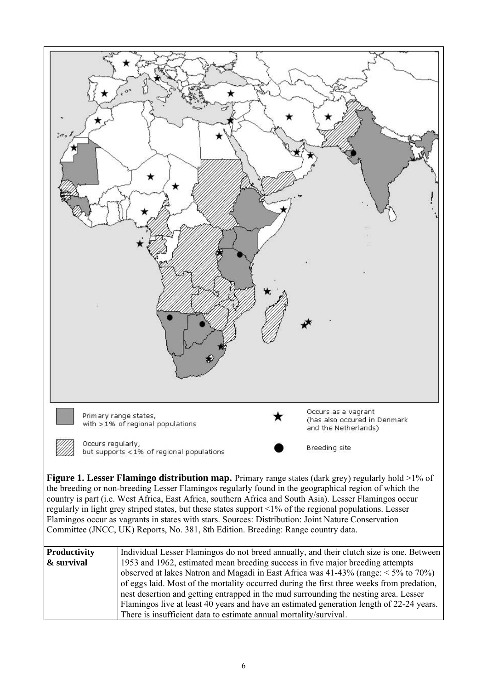

Committee (JNCC, UK) Reports, No. 381, 8th Edition. Breeding: Range country data.

| <b>Productivity</b> | Individual Lesser Flamingos do not breed annually, and their clutch size is one. Between    |  |  |  |  |  |
|---------------------|---------------------------------------------------------------------------------------------|--|--|--|--|--|
| & survival          | 1953 and 1962, estimated mean breeding success in five major breeding attempts              |  |  |  |  |  |
|                     | observed at lakes Natron and Magadi in East Africa was $41-43\%$ (range: $\leq 5\%$ to 70%) |  |  |  |  |  |
|                     | of eggs laid. Most of the mortality occurred during the first three weeks from predation,   |  |  |  |  |  |
|                     | nest desertion and getting entrapped in the mud surrounding the nesting area. Lesser        |  |  |  |  |  |
|                     | Flamingos live at least 40 years and have an estimated generation length of 22-24 years.    |  |  |  |  |  |
|                     | There is insufficient data to estimate annual mortality/survival.                           |  |  |  |  |  |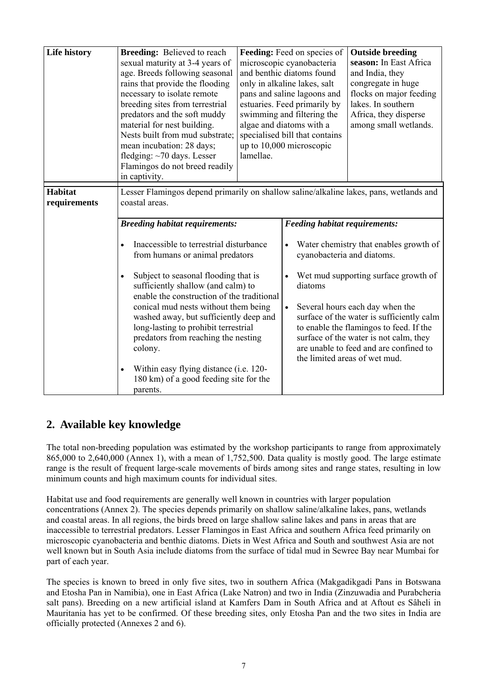| <b>Life history</b>            | <b>Breeding:</b> Believed to reach<br>sexual maturity at 3-4 years of<br>age. Breeds following seasonal<br>rains that provide the flooding<br>necessary to isolate remote<br>breeding sites from terrestrial<br>predators and the soft muddy<br>material for nest building.<br>Nests built from mud substrate;<br>mean incubation: 28 days;<br>fledging: $\sim$ 70 days. Lesser<br>Flamingos do not breed readily<br>in captivity.                                                                                                       | Feeding: Feed on species of<br>microscopic cyanobacteria<br>and benthic diatoms found<br>only in alkaline lakes, salt<br>pans and saline lagoons and<br>estuaries. Feed primarily by<br>swimming and filtering the<br>algae and diatoms with a<br>specialised bill that contains<br>up to 10,000 microscopic<br>lamellae. | <b>Outside breeding</b><br>season: In East Africa<br>and India, they<br>congregate in huge<br>flocks on major feeding<br>lakes. In southern<br>Africa, they disperse<br>among small wetlands.                                                                                                                                                                                                        |
|--------------------------------|------------------------------------------------------------------------------------------------------------------------------------------------------------------------------------------------------------------------------------------------------------------------------------------------------------------------------------------------------------------------------------------------------------------------------------------------------------------------------------------------------------------------------------------|---------------------------------------------------------------------------------------------------------------------------------------------------------------------------------------------------------------------------------------------------------------------------------------------------------------------------|------------------------------------------------------------------------------------------------------------------------------------------------------------------------------------------------------------------------------------------------------------------------------------------------------------------------------------------------------------------------------------------------------|
| <b>Habitat</b><br>requirements | Lesser Flamingos depend primarily on shallow saline/alkaline lakes, pans, wetlands and<br>coastal areas.                                                                                                                                                                                                                                                                                                                                                                                                                                 |                                                                                                                                                                                                                                                                                                                           |                                                                                                                                                                                                                                                                                                                                                                                                      |
|                                | <b>Breeding habitat requirements:</b><br>Inaccessible to terrestrial disturbance<br>$\bullet$<br>from humans or animal predators<br>Subject to seasonal flooding that is<br>sufficiently shallow (and calm) to<br>enable the construction of the traditional<br>conical mud nests without them being<br>washed away, but sufficiently deep and<br>long-lasting to prohibit terrestrial<br>predators from reaching the nesting<br>colony.<br>Within easy flying distance (i.e. 120-<br>180 km) of a good feeding site for the<br>parents. | $\bullet$<br>$\bullet$<br>diatoms                                                                                                                                                                                                                                                                                         | <b>Feeding habitat requirements:</b><br>Water chemistry that enables growth of<br>cyanobacteria and diatoms.<br>Wet mud supporting surface growth of<br>Several hours each day when the<br>surface of the water is sufficiently calm<br>to enable the flamingos to feed. If the<br>surface of the water is not calm, they<br>are unable to feed and are confined to<br>the limited areas of wet mud. |

## **2. Available key knowledge**

The total non-breeding population was estimated by the workshop participants to range from approximately 865,000 to 2,640,000 (Annex 1), with a mean of 1,752,500. Data quality is mostly good. The large estimate range is the result of frequent large-scale movements of birds among sites and range states, resulting in low minimum counts and high maximum counts for individual sites.

Habitat use and food requirements are generally well known in countries with larger population concentrations (Annex 2). The species depends primarily on shallow saline/alkaline lakes, pans, wetlands and coastal areas. In all regions, the birds breed on large shallow saline lakes and pans in areas that are inaccessible to terrestrial predators. Lesser Flamingos in East Africa and southern Africa feed primarily on microscopic cyanobacteria and benthic diatoms. Diets in West Africa and South and southwest Asia are not well known but in South Asia include diatoms from the surface of tidal mud in Sewree Bay near Mumbai for part of each year.

The species is known to breed in only five sites, two in southern Africa (Makgadikgadi Pans in Botswana and Etosha Pan in Namibia), one in East Africa (Lake Natron) and two in India (Zinzuwadia and Purabcheria salt pans). Breeding on a new artificial island at Kamfers Dam in South Africa and at Aftout es Sâheli in Mauritania has yet to be confirmed. Of these breeding sites, only Etosha Pan and the two sites in India are officially protected (Annexes 2 and 6).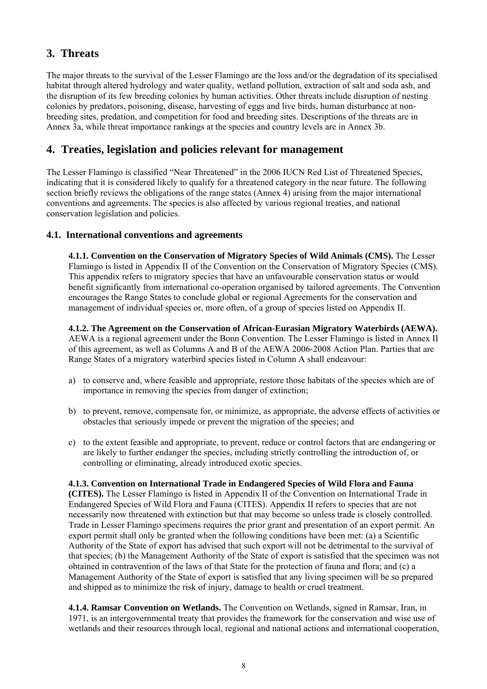## **3. Threats**

The major threats to the survival of the Lesser Flamingo are the loss and/or the degradation of its specialised habitat through altered hydrology and water quality, wetland pollution, extraction of salt and soda ash, and the disruption of its few breeding colonies by human activities. Other threats include disruption of nesting colonies by predators, poisoning, disease, harvesting of eggs and live birds, human disturbance at nonbreeding sites, predation, and competition for food and breeding sites. Descriptions of the threats are in Annex 3a, while threat importance rankings at the species and country levels are in Annex 3b.

## **4. Treaties, legislation and policies relevant for management**

The Lesser Flamingo is classified "Near Threatened" in the 2006 IUCN Red List of Threatened Species, indicating that it is considered likely to qualify for a threatened category in the near future. The following section briefly reviews the obligations of the range states (Annex 4) arising from the major international conventions and agreements. The species is also affected by various regional treaties, and national conservation legislation and policies.

### **4.1. International conventions and agreements**

**4.1.1. Convention on the Conservation of Migratory Species of Wild Animals (CMS).** The Lesser Flamingo is listed in Appendix II of the Convention on the Conservation of Migratory Species (CMS). This appendix refers to migratory species that have an unfavourable conservation status or would benefit significantly from international co-operation organised by tailored agreements. The Convention encourages the Range States to conclude global or regional Agreements for the conservation and management of individual species or, more often, of a group of species listed on Appendix II.

**4.1.2. The Agreement on the Conservation of African-Eurasian Migratory Waterbirds (AEWA).**  AEWA is a regional agreement under the Bonn Convention. The Lesser Flamingo is listed in Annex II of this agreement, as well as Columns A and B of the AEWA 2006-2008 Action Plan. Parties that are Range States of a migratory waterbird species listed in Column A shall endeavour:

- a) to conserve and, where feasible and appropriate, restore those habitats of the species which are of importance in removing the species from danger of extinction;
- b) to prevent, remove, compensate for, or minimize, as appropriate, the adverse effects of activities or obstacles that seriously impede or prevent the migration of the species; and
- c) to the extent feasible and appropriate, to prevent, reduce or control factors that are endangering or are likely to further endanger the species, including strictly controlling the introduction of, or controlling or eliminating, already introduced exotic species.

### **4.1.3. Convention on International Trade in Endangered Species of Wild Flora and Fauna**

**(CITES).** The Lesser Flamingo is listed in Appendix II of the Convention on International Trade in Endangered Species of Wild Flora and Fauna (CITES). Appendix II refers to species that are not necessarily now threatened with extinction but that may become so unless trade is closely controlled. Trade in Lesser Flamingo specimens requires the prior grant and presentation of an export permit. An export permit shall only be granted when the following conditions have been met: (a) a Scientific Authority of the State of export has advised that such export will not be detrimental to the survival of that species; (b) the Management Authority of the State of export is satisfied that the specimen was not obtained in contravention of the laws of that State for the protection of fauna and flora; and (c) a Management Authority of the State of export is satisfied that any living specimen will be so prepared and shipped as to minimize the risk of injury, damage to health or cruel treatment.

**4.1.4. Ramsar Convention on Wetlands.** The Convention on Wetlands, signed in Ramsar, Iran, in 1971, is an intergovernmental treaty that provides the framework for the conservation and wise use of wetlands and their resources through local, regional and national actions and international cooperation,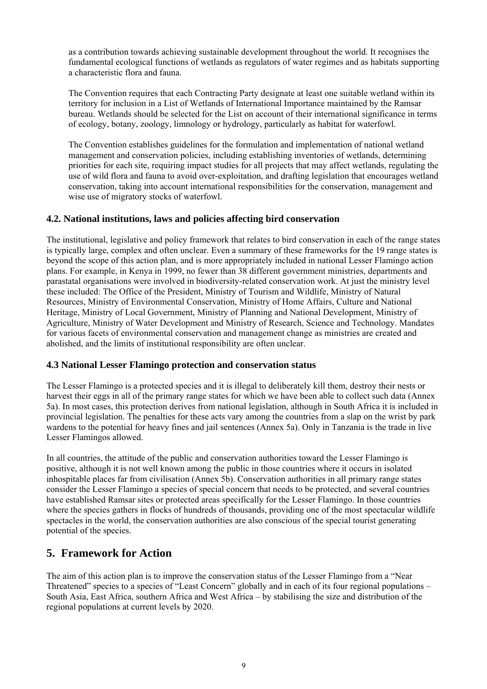as a contribution towards achieving sustainable development throughout the world. It recognises the fundamental ecological functions of wetlands as regulators of water regimes and as habitats supporting a characteristic flora and fauna.

The Convention requires that each Contracting Party designate at least one suitable wetland within its territory for inclusion in a List of Wetlands of International Importance maintained by the Ramsar bureau. Wetlands should be selected for the List on account of their international significance in terms of ecology, botany, zoology, limnology or hydrology, particularly as habitat for waterfowl.

The Convention establishes guidelines for the formulation and implementation of national wetland management and conservation policies, including establishing inventories of wetlands, determining priorities for each site, requiring impact studies for all projects that may affect wetlands, regulating the use of wild flora and fauna to avoid over-exploitation, and drafting legislation that encourages wetland conservation, taking into account international responsibilities for the conservation, management and wise use of migratory stocks of waterfowl.

### **4.2. National institutions, laws and policies affecting bird conservation**

The institutional, legislative and policy framework that relates to bird conservation in each of the range states is typically large, complex and often unclear. Even a summary of these frameworks for the 19 range states is beyond the scope of this action plan, and is more appropriately included in national Lesser Flamingo action plans. For example, in Kenya in 1999, no fewer than 38 different government ministries, departments and parastatal organisations were involved in biodiversity-related conservation work. At just the ministry level these included: The Office of the President, Ministry of Tourism and Wildlife, Ministry of Natural Resources, Ministry of Environmental Conservation, Ministry of Home Affairs, Culture and National Heritage, Ministry of Local Government, Ministry of Planning and National Development, Ministry of Agriculture, Ministry of Water Development and Ministry of Research, Science and Technology. Mandates for various facets of environmental conservation and management change as ministries are created and abolished, and the limits of institutional responsibility are often unclear.

### **4.3 National Lesser Flamingo protection and conservation status**

The Lesser Flamingo is a protected species and it is illegal to deliberately kill them, destroy their nests or harvest their eggs in all of the primary range states for which we have been able to collect such data (Annex 5a). In most cases, this protection derives from national legislation, although in South Africa it is included in provincial legislation. The penalties for these acts vary among the countries from a slap on the wrist by park wardens to the potential for heavy fines and jail sentences (Annex 5a). Only in Tanzania is the trade in live Lesser Flamingos allowed.

In all countries, the attitude of the public and conservation authorities toward the Lesser Flamingo is positive, although it is not well known among the public in those countries where it occurs in isolated inhospitable places far from civilisation (Annex 5b). Conservation authorities in all primary range states consider the Lesser Flamingo a species of special concern that needs to be protected, and several countries have established Ramsar sites or protected areas specifically for the Lesser Flamingo. In those countries where the species gathers in flocks of hundreds of thousands, providing one of the most spectacular wildlife spectacles in the world, the conservation authorities are also conscious of the special tourist generating potential of the species.

## **5. Framework for Action**

The aim of this action plan is to improve the conservation status of the Lesser Flamingo from a "Near Threatened" species to a species of "Least Concern" globally and in each of its four regional populations – South Asia, East Africa, southern Africa and West Africa – by stabilising the size and distribution of the regional populations at current levels by 2020.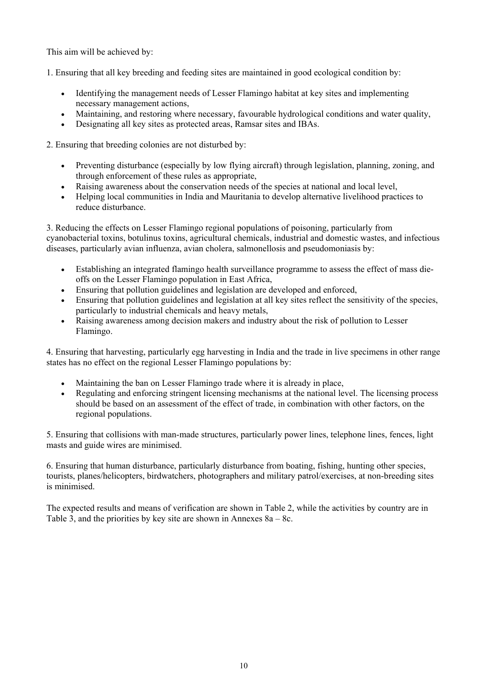This aim will be achieved by:

1. Ensuring that all key breeding and feeding sites are maintained in good ecological condition by:

- Identifying the management needs of Lesser Flamingo habitat at key sites and implementing necessary management actions,
- Maintaining, and restoring where necessary, favourable hydrological conditions and water quality,
- Designating all key sites as protected areas, Ramsar sites and IBAs.

2. Ensuring that breeding colonies are not disturbed by:

- Preventing disturbance (especially by low flying aircraft) through legislation, planning, zoning, and through enforcement of these rules as appropriate,
- Raising awareness about the conservation needs of the species at national and local level,
- Helping local communities in India and Mauritania to develop alternative livelihood practices to reduce disturbance.

3. Reducing the effects on Lesser Flamingo regional populations of poisoning, particularly from cyanobacterial toxins, botulinus toxins, agricultural chemicals, industrial and domestic wastes, and infectious diseases, particularly avian influenza, avian cholera, salmonellosis and pseudomoniasis by:

- Establishing an integrated flamingo health surveillance programme to assess the effect of mass dieoffs on the Lesser Flamingo population in East Africa,
- Ensuring that pollution guidelines and legislation are developed and enforced,
- Ensuring that pollution guidelines and legislation at all key sites reflect the sensitivity of the species, particularly to industrial chemicals and heavy metals,
- Raising awareness among decision makers and industry about the risk of pollution to Lesser Flamingo.

4. Ensuring that harvesting, particularly egg harvesting in India and the trade in live specimens in other range states has no effect on the regional Lesser Flamingo populations by:

- Maintaining the ban on Lesser Flamingo trade where it is already in place,
- Regulating and enforcing stringent licensing mechanisms at the national level. The licensing process should be based on an assessment of the effect of trade, in combination with other factors, on the regional populations.

5. Ensuring that collisions with man-made structures, particularly power lines, telephone lines, fences, light masts and guide wires are minimised.

6. Ensuring that human disturbance, particularly disturbance from boating, fishing, hunting other species, tourists, planes/helicopters, birdwatchers, photographers and military patrol/exercises, at non-breeding sites is minimised.

The expected results and means of verification are shown in Table 2, while the activities by country are in Table 3, and the priorities by key site are shown in Annexes 8a – 8c.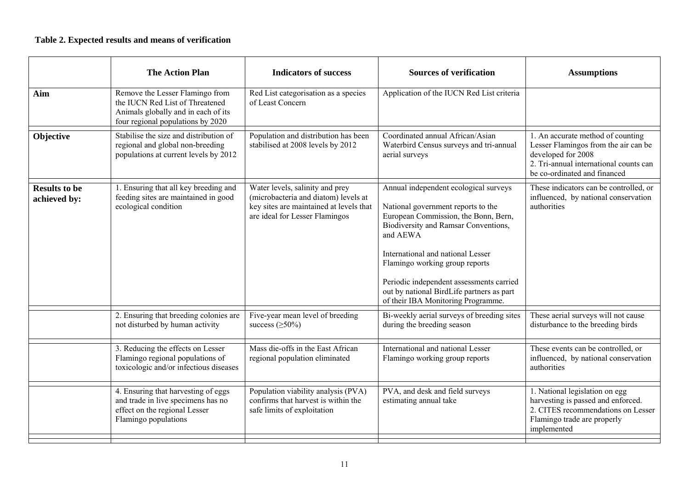### **Table 2. Expected results and means of verification**

|                                      | <b>The Action Plan</b>                                                                                                                         | <b>Indicators of success</b>                                                                                                                                                                                                                                                                                                                                                                                                                                                                                                          | <b>Sources of verification</b>                                           | <b>Assumptions</b>                                                                                                                                                        |
|--------------------------------------|------------------------------------------------------------------------------------------------------------------------------------------------|---------------------------------------------------------------------------------------------------------------------------------------------------------------------------------------------------------------------------------------------------------------------------------------------------------------------------------------------------------------------------------------------------------------------------------------------------------------------------------------------------------------------------------------|--------------------------------------------------------------------------|---------------------------------------------------------------------------------------------------------------------------------------------------------------------------|
| Aim                                  | Remove the Lesser Flamingo from<br>the IUCN Red List of Threatened<br>Animals globally and in each of its<br>four regional populations by 2020 | Red List categorisation as a species<br>of Least Concern                                                                                                                                                                                                                                                                                                                                                                                                                                                                              | Application of the IUCN Red List criteria                                |                                                                                                                                                                           |
| Objective                            | Stabilise the size and distribution of<br>regional and global non-breeding<br>populations at current levels by 2012                            | Coordinated annual African/Asian<br>Population and distribution has been<br>stabilised at 2008 levels by 2012<br>Waterbird Census surveys and tri-annual<br>aerial surveys                                                                                                                                                                                                                                                                                                                                                            |                                                                          | 1. An accurate method of counting<br>Lesser Flamingos from the air can be<br>developed for 2008<br>2. Tri-annual international counts can<br>be co-ordinated and financed |
| <b>Results to be</b><br>achieved by: | 1. Ensuring that all key breeding and<br>feeding sites are maintained in good<br>ecological condition                                          | Water levels, salinity and prey<br>Annual independent ecological surveys<br>(microbacteria and diatom) levels at<br>key sites are maintained at levels that<br>National government reports to the<br>European Commission, the Bonn, Bern,<br>are ideal for Lesser Flamingos<br>Biodiversity and Ramsar Conventions,<br>and AEWA<br>International and national Lesser<br>Flamingo working group reports<br>Periodic independent assessments carried<br>out by national BirdLife partners as part<br>of their IBA Monitoring Programme. |                                                                          | These indicators can be controlled, or<br>influenced, by national conservation<br>authorities                                                                             |
|                                      | 2. Ensuring that breeding colonies are<br>not disturbed by human activity                                                                      | Five-year mean level of breeding<br>success $(\geq 50\%)$                                                                                                                                                                                                                                                                                                                                                                                                                                                                             | Bi-weekly aerial surveys of breeding sites<br>during the breeding season | These aerial surveys will not cause<br>disturbance to the breeding birds                                                                                                  |
|                                      | 3. Reducing the effects on Lesser<br>Flamingo regional populations of<br>toxicologic and/or infectious diseases                                | Mass die-offs in the East African<br>regional population eliminated                                                                                                                                                                                                                                                                                                                                                                                                                                                                   | International and national Lesser<br>Flamingo working group reports      | These events can be controlled, or<br>influenced, by national conservation<br>authorities                                                                                 |
|                                      | 4. Ensuring that harvesting of eggs<br>and trade in live specimens has no<br>effect on the regional Lesser<br>Flamingo populations             | Population viability analysis (PVA)<br>confirms that harvest is within the<br>safe limits of exploitation                                                                                                                                                                                                                                                                                                                                                                                                                             | PVA, and desk and field surveys<br>estimating annual take                | 1. National legislation on egg<br>harvesting is passed and enforced.<br>2. CITES recommendations on Lesser<br>Flamingo trade are properly<br>implemented                  |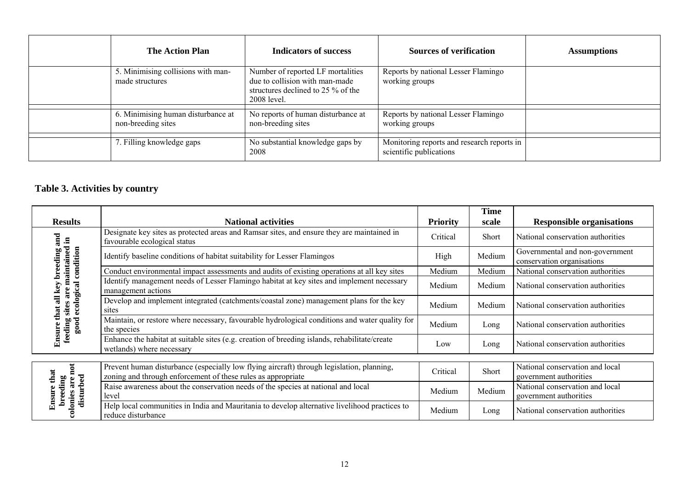| <b>The Action Plan</b>                                                 | <b>Indicators of success</b>                                                                                             | <b>Sources of verification</b>                                        | <b>Assumptions</b> |
|------------------------------------------------------------------------|--------------------------------------------------------------------------------------------------------------------------|-----------------------------------------------------------------------|--------------------|
| 5. Minimising collisions with man-<br>made structures                  | Number of reported LF mortalities<br>due to collision with man-made<br>structures declined to 25 % of the<br>2008 level. | Reports by national Lesser Flamingo<br>working groups                 |                    |
| $\overline{6}$ . Minimising human disturbance at<br>non-breeding sites | No reports of human disturbance at<br>non-breeding sites                                                                 | Reports by national Lesser Flamingo<br>working groups                 |                    |
| 7. Filling knowledge gaps                                              | No substantial knowledge gaps by<br>2008                                                                                 | Monitoring reports and research reports in<br>scientific publications |                    |

## **Table 3. Activities by country**

|                                                                                                       |                                                                                                                                                           |                 | <b>Time</b> |                                                               |
|-------------------------------------------------------------------------------------------------------|-----------------------------------------------------------------------------------------------------------------------------------------------------------|-----------------|-------------|---------------------------------------------------------------|
| <b>Results</b>                                                                                        | <b>National activities</b>                                                                                                                                | <b>Priority</b> | scale       | <b>Responsible organisations</b>                              |
| and                                                                                                   | Designate key sites as protected areas and Ramsar sites, and ensure they are maintained in<br>favourable ecological status                                | Critical        | Short       | National conservation authorities                             |
| reeding                                                                                               | Identify baseline conditions of habitat suitability for Lesser Flamingos                                                                                  | High            | Medium      | Governmental and non-government<br>conservation organisations |
|                                                                                                       | Conduct environmental impact assessments and audits of existing operations at all key sites                                                               | Medium          | Medium      | National conservation authorities                             |
|                                                                                                       | Identify management needs of Lesser Flamingo habitat at key sites and implement necessary<br>management actions                                           | Medium          | Medium      | National conservation authorities                             |
| Ensure that an key <i>v v v v v</i> –<br>feeding sites are maintained in<br>good ecological condition | Develop and implement integrated (catchments/coastal zone) management plans for the key<br>sites                                                          | Medium          | Medium      | National conservation authorities                             |
|                                                                                                       | Maintain, or restore where necessary, favourable hydrological conditions and water quality for<br>the species                                             | Medium          | Long        | National conservation authorities                             |
|                                                                                                       | Enhance the habitat at suitable sites (e.g. creation of breeding islands, rehabilitate/create<br>wetlands) where necessary                                | Low             | Long        | National conservation authorities                             |
|                                                                                                       |                                                                                                                                                           |                 |             |                                                               |
| not<br>that                                                                                           | Prevent human disturbance (especially low flying aircraft) through legislation, planning,<br>zoning and through enforcement of these rules as appropriate | Critical        | Short       | National conservation and local<br>government authorities     |
| disturbed<br>breeding<br>colonies are<br><b>Ensure</b>                                                | Raise awareness about the conservation needs of the species at national and local<br>level                                                                | Medium          | Medium      | National conservation and local<br>government authorities     |
|                                                                                                       | Help local communities in India and Mauritania to develop alternative livelihood practices to<br>reduce disturbance                                       | Medium          | Long        | National conservation authorities                             |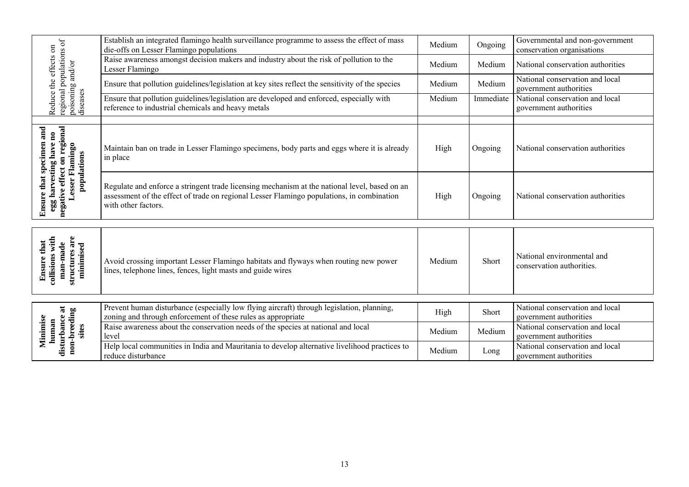|                                                                                                                     | Establish an integrated flamingo health surveillance programme to assess the effect of mass<br>die-offs on Lesser Flamingo populations                                                                            | Medium | Ongoing   | Governmental and non-government<br>conservation organisations |
|---------------------------------------------------------------------------------------------------------------------|-------------------------------------------------------------------------------------------------------------------------------------------------------------------------------------------------------------------|--------|-----------|---------------------------------------------------------------|
|                                                                                                                     | Raise awareness amongst decision makers and industry about the risk of pollution to the<br>Lesser Flamingo                                                                                                        | Medium | Medium    | National conservation authorities                             |
|                                                                                                                     | Ensure that pollution guidelines/legislation at key sites reflect the sensitivity of the species                                                                                                                  | Medium | Medium    | National conservation and local<br>government authorities     |
| regional populations of<br>Reduce the effects on<br>poisoning and/or<br>diseases                                    | Ensure that pollution guidelines/legislation are developed and enforced, especially with<br>reference to industrial chemicals and heavy metals                                                                    | Medium | Immediate | National conservation and local<br>government authorities     |
|                                                                                                                     |                                                                                                                                                                                                                   |        |           |                                                               |
| negative effect on regional<br>Ensure that specimen and<br>egg harvesting have no<br>Lesser Flamingo<br>populations | Maintain ban on trade in Lesser Flamingo specimens, body parts and eggs where it is already<br>in place                                                                                                           | High   | Ongoing   | National conservation authorities                             |
|                                                                                                                     | Regulate and enforce a stringent trade licensing mechanism at the national level, based on an<br>assessment of the effect of trade on regional Lesser Flamingo populations, in combination<br>with other factors. | High   | Ongoing   | National conservation authorities                             |
|                                                                                                                     |                                                                                                                                                                                                                   |        |           |                                                               |
| collisions with<br>structures are<br><b>Ensure</b> that<br>man-made<br>minimised                                    | Avoid crossing important Lesser Flamingo habitats and flyways when routing new power<br>lines, telephone lines, fences, light masts and guide wires                                                               | Medium | Short     | National environmental and<br>conservation authorities.       |
|                                                                                                                     |                                                                                                                                                                                                                   |        |           |                                                               |
|                                                                                                                     | Prevent human disturbance (especially low flying aircraft) through legislation, planning,<br>zoning and through enforcement of these rules as appropriate                                                         | High   | Short     | National conservation and local<br>government authorities     |
| disturbance at<br>non-breeding<br>Minimise<br>human<br>sites                                                        | Raise awareness about the conservation needs of the species at national and local<br>level                                                                                                                        | Medium | Medium    | National conservation and local<br>government authorities     |
|                                                                                                                     | Help local communities in India and Mauritania to develop alternative livelihood practices to<br>reduce disturbance                                                                                               | Medium | Long      | National conservation and local<br>government authorities     |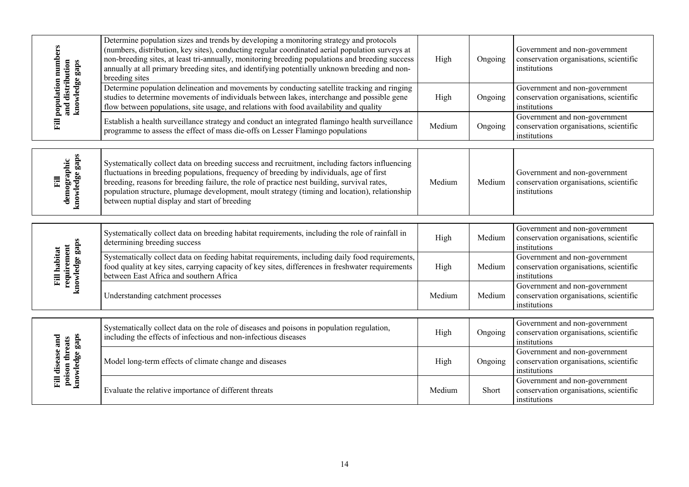| population numbers                                                                                                                                                                                             | Determine population sizes and trends by developing a monitoring strategy and protocols<br>(numbers, distribution, key sites), conducting regular coordinated aerial population surveys at<br>non-breeding sites, at least tri-annually, monitoring breeding populations and breeding success<br>annually at all primary breeding sites, and identifying potentially unknown breeding and non-<br>breeding sites                            | High   | Ongoing | Government and non-government<br>conservation organisations, scientific<br>institutions |
|----------------------------------------------------------------------------------------------------------------------------------------------------------------------------------------------------------------|---------------------------------------------------------------------------------------------------------------------------------------------------------------------------------------------------------------------------------------------------------------------------------------------------------------------------------------------------------------------------------------------------------------------------------------------|--------|---------|-----------------------------------------------------------------------------------------|
| and distribution<br>knowledge gaps                                                                                                                                                                             | Determine population delineation and movements by conducting satellite tracking and ringing<br>studies to determine movements of individuals between lakes, interchange and possible gene<br>flow between populations, site usage, and relations with food availability and quality                                                                                                                                                         | High   | Ongoing | Government and non-government<br>conservation organisations, scientific<br>institutions |
| Fill<br>Establish a health surveillance strategy and conduct an integrated flamingo health surveillance<br>Medium<br>Ongoing<br>programme to assess the effect of mass die-offs on Lesser Flamingo populations | Government and non-government<br>conservation organisations, scientific<br>institutions                                                                                                                                                                                                                                                                                                                                                     |        |         |                                                                                         |
| knowledge gaps<br>demographic<br>Eil                                                                                                                                                                           | Systematically collect data on breeding success and recruitment, including factors influencing<br>fluctuations in breeding populations, frequency of breeding by individuals, age of first<br>breeding, reasons for breeding failure, the role of practice nest building, survival rates,<br>population structure, plumage development, moult strategy (timing and location), relationship<br>between nuptial display and start of breeding | Medium | Medium  | Government and non-government<br>conservation organisations, scientific<br>institutions |
|                                                                                                                                                                                                                | Systematically collect data on breeding habitat requirements, including the role of rainfall in<br>determining breeding success                                                                                                                                                                                                                                                                                                             | High   | Medium  | Government and non-government<br>conservation organisations, scientific<br>institutions |
| knowledge gaps<br>requirement<br><b>Fill habitat</b>                                                                                                                                                           | Systematically collect data on feeding habitat requirements, including daily food requirements,<br>food quality at key sites, carrying capacity of key sites, differences in freshwater requirements<br>between East Africa and southern Africa                                                                                                                                                                                             | High   | Medium  | Government and non-government<br>conservation organisations, scientific<br>institutions |
|                                                                                                                                                                                                                | Understanding catchment processes                                                                                                                                                                                                                                                                                                                                                                                                           | Medium | Medium  | Government and non-government<br>conservation organisations, scientific<br>institutions |
|                                                                                                                                                                                                                | Systematically collect data on the role of diseases and poisons in population regulation,<br>including the effects of infectious and non-infectious diseases                                                                                                                                                                                                                                                                                | High   | Ongoing | Government and non-government<br>conservation organisations, scientific<br>institutions |
| poison threats<br>knowledge gaps<br>Fill disease and                                                                                                                                                           | Model long-term effects of climate change and diseases                                                                                                                                                                                                                                                                                                                                                                                      | High   | Ongoing | Government and non-government<br>conservation organisations, scientific<br>institutions |
|                                                                                                                                                                                                                | Evaluate the relative importance of different threats                                                                                                                                                                                                                                                                                                                                                                                       | Medium | Short   | Government and non-government<br>conservation organisations, scientific<br>institutions |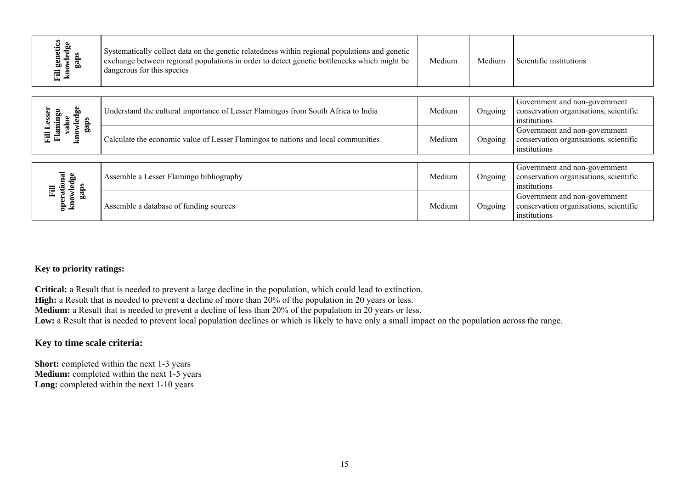| Fill genetics<br>knowledge<br>gaps              | Systematically collect data on the genetic relatedness within regional populations and genetic<br>exchange between regional populations in order to detect genetic bottlenecks which might be<br>dangerous for this species | Medium | Medium  | Scientific institutions                                                                 |
|-------------------------------------------------|-----------------------------------------------------------------------------------------------------------------------------------------------------------------------------------------------------------------------------|--------|---------|-----------------------------------------------------------------------------------------|
| knowledge<br>esser<br>Flamingo<br>value<br>gaps | Understand the cultural importance of Lesser Flamingos from South Africa to India                                                                                                                                           | Medium | Ongoing | Government and non-government<br>conservation organisations, scientific<br>institutions |
| Fill L                                          | Calculate the economic value of Lesser Flamingos to nations and local communities                                                                                                                                           | Medium | Ongoing | Government and non-government<br>conservation organisations, scientific<br>institutions |
| operational<br>knowledge                        | Assemble a Lesser Flamingo bibliography                                                                                                                                                                                     | Medium | Ongoing | Government and non-government<br>conservation organisations, scientific<br>institutions |
| gaps<br>司                                       | Assemble a database of funding sources                                                                                                                                                                                      | Medium | Ongoing | Government and non-government<br>conservation organisations, scientific<br>institutions |

### **Key to priority ratings:**

**Critical:** a Result that is needed to prevent a large decline in the population, which could lead to extinction.

**High:** a Result that is needed to prevent a decline of more than  $20\%$  of the population in 20 years or less.

**Medium:** a Result that is needed to prevent a decline of less than 20% of the population in 20 years or less.

Low: a Result that is needed to prevent local population declines or which is likely to have only a small impact on the population across the range.

### **Key to time scale criteria:**

**Short:** completed within the next 1-3 years **Medium:** completed within the next 1-5 years Long: completed within the next 1-10 years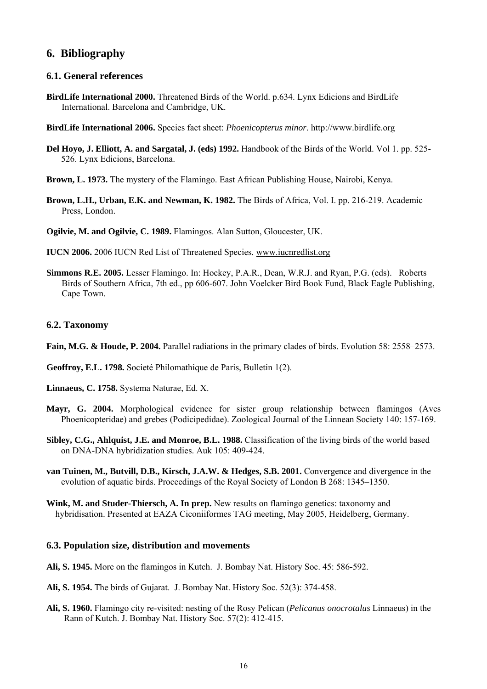### **6. Bibliography**

### **6.1. General references**

- **BirdLife International 2000.** Threatened Birds of the World. p.634. Lynx Edicions and BirdLife International. Barcelona and Cambridge, UK.
- **BirdLife International 2006.** Species fact sheet: *Phoenicopterus minor*. http://www.birdlife.org
- **Del Hoyo, J. Elliott, A. and Sargatal, J. (eds) 1992.** Handbook of the Birds of the World. Vol 1. pp. 525- 526. Lynx Edicions, Barcelona.
- **Brown, L. 1973.** The mystery of the Flamingo. East African Publishing House, Nairobi, Kenya.
- **Brown, L.H., Urban, E.K. and Newman, K. 1982.** The Birds of Africa, Vol. I. pp. 216-219. Academic Press, London.
- **Ogilvie, M. and Ogilvie, C. 1989.** Flamingos. Alan Sutton, Gloucester, UK.
- **IUCN 2006.** 2006 IUCN Red List of Threatened Species*.* [www.iucnredlist.org](http://www.iucnredlist.org/)
- **Simmons R.E. 2005.** Lesser Flamingo. In: Hockey, P.A.R., Dean, W.R.J. and Ryan, P.G. (eds). Roberts Birds of Southern Africa, 7th ed., pp 606-607. John Voelcker Bird Book Fund, Black Eagle Publishing, Cape Town.

### **6.2. Taxonomy**

- **Fain, M.G. & Houde, P. 2004.** Parallel radiations in the primary clades of birds. Evolution 58: 2558–2573.
- **Geoffroy, E.L. 1798.** Societé Philomathique de Paris, Bulletin 1(2).
- **Linnaeus, C. 1758.** Systema Naturae, Ed. X.
- **Mayr, G. 2004.** Morphological evidence for sister group relationship between flamingos (Aves Phoenicopteridae) and grebes (Podicipedidae). Zoological Journal of the Linnean Society 140: 157-169.
- **Sibley, C.G., Ahlquist, J.E. and Monroe, B.L. 1988.** Classification of the living birds of the world based on DNA-DNA hybridization studies. Auk 105: 409-424.
- **van Tuinen, M., Butvill, D.B., Kirsch, J.A.W. & Hedges, S.B. 2001.** Convergence and divergence in the evolution of aquatic birds. Proceedings of the Royal Society of London B 268: 1345–1350.
- **Wink, M. and Studer-Thiersch, A. In prep.** New results on flamingo genetics: taxonomy and hybridisation. Presented at EAZA Ciconiiformes TAG meeting, May 2005, Heidelberg, Germany.

### **6.3. Population size, distribution and movements**

- **Ali, S. 1945.** More on the flamingos in Kutch. J. Bombay Nat. History Soc. 45: 586-592.
- **Ali, S. 1954.** The birds of Gujarat. J. Bombay Nat. History Soc. 52(3): 374-458.
- **Ali, S. 1960.** Flamingo city re-visited: nesting of the Rosy Pelican (*Pelicanus onocrotalus* Linnaeus) in the Rann of Kutch. J. Bombay Nat. History Soc. 57(2): 412-415.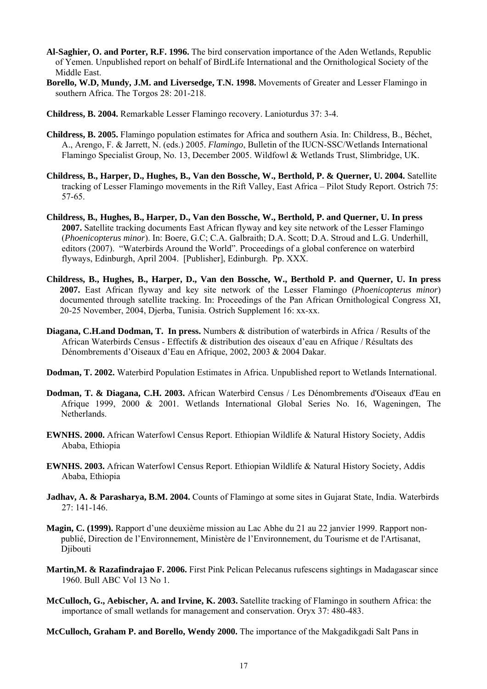- **Al-Saghier, O. and Porter, R.F. 1996.** The bird conservation importance of the Aden Wetlands, Republic of Yemen. Unpublished report on behalf of BirdLife International and the Ornithological Society of the Middle East.
- **Borello, W.D, Mundy, J.M. and Liversedge, T.N. 1998.** Movements of Greater and Lesser Flamingo in southern Africa. The Torgos 28: 201-218.
- **Childress, B. 2004.** Remarkable Lesser Flamingo recovery. Lanioturdus 37: 3-4.
- **Childress, B. 2005.** Flamingo population estimates for Africa and southern Asia. In: Childress, B., Béchet, A., Arengo, F. & Jarrett, N. (eds.) 2005. *Flamingo*, Bulletin of the IUCN-SSC/Wetlands International Flamingo Specialist Group, No. 13, December 2005. Wildfowl & Wetlands Trust, Slimbridge, UK.
- **Childress, B., Harper, D., Hughes, B., Van den Bossche, W., Berthold, P. & Querner, U. 2004.** Satellite tracking of Lesser Flamingo movements in the Rift Valley, East Africa – Pilot Study Report. Ostrich 75: 57-65.
- **Childress, B***.,* **Hughes, B., Harper, D., Van den Bossche, W., Berthold, P. and Querner, U. In press 2007.** Satellite tracking documents East African flyway and key site network of the Lesser Flamingo (*Phoenicopterus minor*). In: Boere, G.C; C.A. Galbraith; D.A. Scott; D.A. Stroud and L.G. Underhill, editors (2007). "Waterbirds Around the World". Proceedings of a global conference on waterbird flyways, Edinburgh, April 2004. [Publisher], Edinburgh. Pp. XXX.
- **Childress, B., Hughes, B., Harper, D., Van den Bossche, W., Berthold P. and Querner, U. In press 2007.** East African flyway and key site network of the Lesser Flamingo (*Phoenicopterus minor*) documented through satellite tracking. In: Proceedings of the Pan African Ornithological Congress XI, 20-25 November, 2004, Djerba, Tunisia. Ostrich Supplement 16: xx-xx.
- **Diagana, C.H.and Dodman, T. In press.** Numbers & distribution of waterbirds in Africa / Results of the African Waterbirds Census - Effectifs & distribution des oiseaux d'eau en Afrique / Résultats des Dénombrements d'Oiseaux d'Eau en Afrique, 2002, 2003 & 2004 Dakar.
- **Dodman, T. 2002.** Waterbird Population Estimates in Africa. Unpublished report to Wetlands International.
- **Dodman, T. & Diagana, C.H. 2003.** African Waterbird Census / Les Dénombrements d'Oiseaux d'Eau en Afrique 1999, 2000 & 2001. Wetlands International Global Series No. 16, Wageningen, The Netherlands.
- **EWNHS. 2000.** African Waterfowl Census Report. Ethiopian Wildlife & Natural History Society, Addis Ababa, Ethiopia
- **EWNHS. 2003.** African Waterfowl Census Report. Ethiopian Wildlife & Natural History Society, Addis Ababa, Ethiopia
- **Jadhav, A. & Parasharya, B.M. 2004.** Counts of Flamingo at some sites in Gujarat State, India. Waterbirds 27: 141-146.
- **Magin, C. (1999).** Rapport d'une deuxième mission au Lac Abhe du 21 au 22 janvier 1999. Rapport nonpublié, Direction de l'Environnement, Ministère de l'Environnement, du Tourisme et de l'Artisanat, Djibouti
- **Martin,M. & Razafindrajao F. 2006.** First Pink Pelican Pelecanus rufescens sightings in Madagascar since 1960. Bull ABC Vol 13 No 1.
- **McCulloch, G., Aebischer, A. and Irvine, K. 2003.** Satellite tracking of Flamingo in southern Africa: the importance of small wetlands for management and conservation. Oryx 37: 480-483.
- **McCulloch, Graham P. and Borello, Wendy 2000.** The importance of the Makgadikgadi Salt Pans in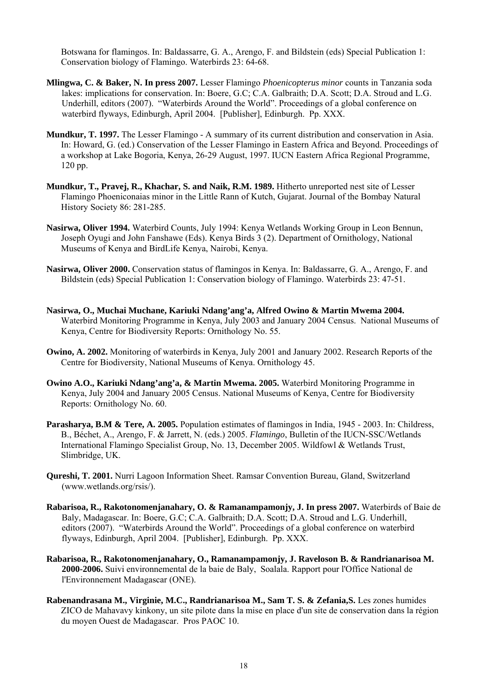Botswana for flamingos. In: Baldassarre, G. A., Arengo, F. and Bildstein (eds) Special Publication 1: Conservation biology of Flamingo. Waterbirds 23: 64-68.

- **Mlingwa, C. & Baker, N. In press 2007.** Lesser Flamingo *Phoenicopterus minor* counts in Tanzania soda lakes: implications for conservation. In: Boere, G.C; C.A. Galbraith; D.A. Scott; D.A. Stroud and L.G. Underhill, editors (2007). "Waterbirds Around the World". Proceedings of a global conference on waterbird flyways, Edinburgh, April 2004. [Publisher], Edinburgh. Pp. XXX.
- **Mundkur, T. 1997.** The Lesser Flamingo A summary of its current distribution and conservation in Asia. In: Howard, G. (ed.) Conservation of the Lesser Flamingo in Eastern Africa and Beyond. Proceedings of a workshop at Lake Bogoria, Kenya, 26-29 August, 1997. IUCN Eastern Africa Regional Programme, 120 pp.
- **Mundkur, T., Pravej, R., Khachar, S. and Naik, R.M. 1989.** Hitherto unreported nest site of Lesser Flamingo Phoeniconaias minor in the Little Rann of Kutch, Gujarat. Journal of the Bombay Natural History Society 86: 281-285.
- **Nasirwa, Oliver 1994.** Waterbird Counts, July 1994: Kenya Wetlands Working Group in Leon Bennun, Joseph Oyugi and John Fanshawe (Eds). Kenya Birds 3 (2). Department of Ornithology, National Museums of Kenya and BirdLife Kenya, Nairobi, Kenya.
- **Nasirwa, Oliver 2000.** Conservation status of flamingos in Kenya. In: Baldassarre, G. A., Arengo, F. and Bildstein (eds) Special Publication 1: Conservation biology of Flamingo. Waterbirds 23: 47-51.
- **Nasirwa, O., Muchai Muchane, Kariuki Ndang'ang'a, Alfred Owino & Martin Mwema 2004.**  Waterbird Monitoring Programme in Kenya, July 2003 and January 2004 Census. National Museums of Kenya, Centre for Biodiversity Reports: Ornithology No. 55.
- **Owino, A. 2002.** Monitoring of waterbirds in Kenya, July 2001 and January 2002. Research Reports of the Centre for Biodiversity, National Museums of Kenya. Ornithology 45.
- **Owino A.O., Kariuki Ndang'ang'a, & Martin Mwema. 2005.** Waterbird Monitoring Programme in Kenya, July 2004 and January 2005 Census. National Museums of Kenya, Centre for Biodiversity Reports: Ornithology No. 60.
- **Parasharya, B.M & Tere, A. 2005.** Population estimates of flamingos in India, 1945 2003. In: Childress, B., Béchet, A., Arengo, F. & Jarrett, N. (eds.) 2005. *Flamingo*, Bulletin of the IUCN-SSC/Wetlands International Flamingo Specialist Group, No. 13, December 2005. Wildfowl & Wetlands Trust, Slimbridge, UK.
- **Qureshi, T. 2001.** Nurri Lagoon Information Sheet. Ramsar Convention Bureau, Gland, Switzerland (www.wetlands.org/rsis/).
- **Rabarisoa, R., Rakotonomenjanahary, O. & Ramanampamonjy, J. In press 2007.** Waterbirds of Baie de Baly, Madagascar. In: Boere, G.C; C.A. Galbraith; D.A. Scott; D.A. Stroud and L.G. Underhill, editors (2007). "Waterbirds Around the World". Proceedings of a global conference on waterbird flyways, Edinburgh, April 2004. [Publisher], Edinburgh. Pp. XXX.
- **Rabarisoa, R., Rakotonomenjanahary, O., Ramanampamonjy, J. Raveloson B. & Randrianarisoa M. 2000-2006.** Suivi environnemental de la baie de Baly, Soalala. Rapport pour l'Office National de l'Environnement Madagascar (ONE).
- **Rabenandrasana M., Virginie, M.C., Randrianarisoa M., Sam T. S. & Zefania,S.** Les zones humides ZICO de Mahavavy kinkony, un site pilote dans la mise en place d'un site de conservation dans la région du moyen Ouest de Madagascar. Pros PAOC 10.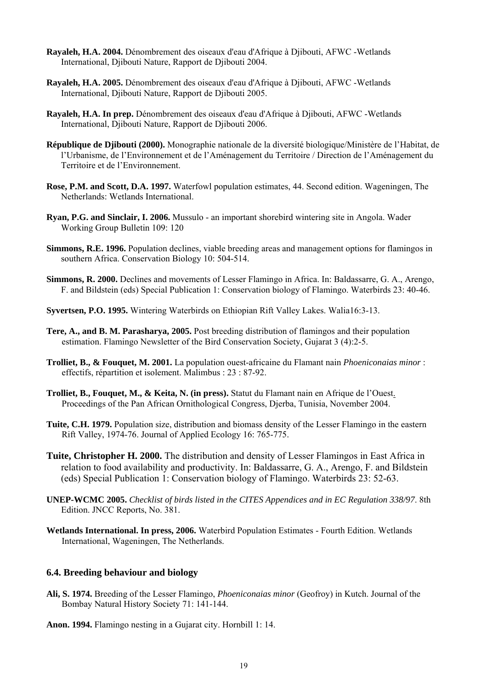- **Rayaleh, H.A. 2004.** Dénombrement des oiseaux d'eau d'Afrique à Djibouti, AFWC -Wetlands International, Djibouti Nature, Rapport de Djibouti 2004.
- **Rayaleh, H.A. 2005.** Dénombrement des oiseaux d'eau d'Afrique à Djibouti, AFWC -Wetlands International, Djibouti Nature, Rapport de Djibouti 2005.
- **Rayaleh, H.A. In prep.** Dénombrement des oiseaux d'eau d'Afrique à Djibouti, AFWC -Wetlands International, Diibouti Nature, Rapport de Diibouti 2006.
- **République de Djibouti (2000).** Monographie nationale de la diversité biologique/Ministère de l'Habitat, de l'Urbanisme, de l'Environnement et de l'Aménagement du Territoire / Direction de l'Aménagement du Territoire et de l'Environnement.
- **Rose, P.M. and Scott, D.A. 1997.** Waterfowl population estimates, 44. Second edition. Wageningen, The Netherlands: Wetlands International.
- **Ryan, P.G. and Sinclair, I. 2006.** Mussulo an important shorebird wintering site in Angola. Wader Working Group Bulletin 109: 120
- **Simmons, R.E. 1996.** Population declines, viable breeding areas and management options for flamingos in southern Africa. Conservation Biology 10: 504-514.
- **Simmons, R. 2000.** Declines and movements of Lesser Flamingo in Africa. In: Baldassarre, G. A., Arengo, F. and Bildstein (eds) Special Publication 1: Conservation biology of Flamingo. Waterbirds 23: 40-46.
- **Syvertsen, P.O. 1995.** Wintering Waterbirds on Ethiopian Rift Valley Lakes. Walia16:3-13.
- **Tere, A., and B. M. Parasharya, 2005.** Post breeding distribution of flamingos and their population estimation. Flamingo Newsletter of the Bird Conservation Society, Gujarat 3 (4):2-5.
- **Trolliet, B., & Fouquet, M. 2001.** La population ouest-africaine du Flamant nain *Phoeniconaias minor* : effectifs, répartition et isolement. Malimbus : 23 : 87-92.
- **Trolliet, B., Fouquet, M., & Keita, N. (in press).** Statut du Flamant nain en Afrique de l'Ouest. Proceedings of the Pan African Ornithological Congress, Djerba, Tunisia, November 2004.
- **Tuite, C.H. 1979.** Population size, distribution and biomass density of the Lesser Flamingo in the eastern Rift Valley, 1974-76. Journal of Applied Ecology 16: 765-775.
- **Tuite, Christopher H. 2000.** The distribution and density of Lesser Flamingos in East Africa in relation to food availability and productivity. In: Baldassarre, G. A., Arengo, F. and Bildstein (eds) Special Publication 1: Conservation biology of Flamingo. Waterbirds 23: 52-63.
- **UNEP-WCMC 2005.** *Checklist of birds listed in the CITES Appendices and in EC Regulation 338/97*. 8th Edition. JNCC Reports, No. 381.
- **Wetlands International. In press, 2006.** Waterbird Population Estimates Fourth Edition. Wetlands International, Wageningen, The Netherlands.

### **6.4. Breeding behaviour and biology**

- **Ali, S. 1974.** Breeding of the Lesser Flamingo, *Phoeniconaias minor* (Geofroy) in Kutch. Journal of the Bombay Natural History Society 71: 141-144.
- **Anon. 1994.** Flamingo nesting in a Gujarat city. Hornbill 1: 14.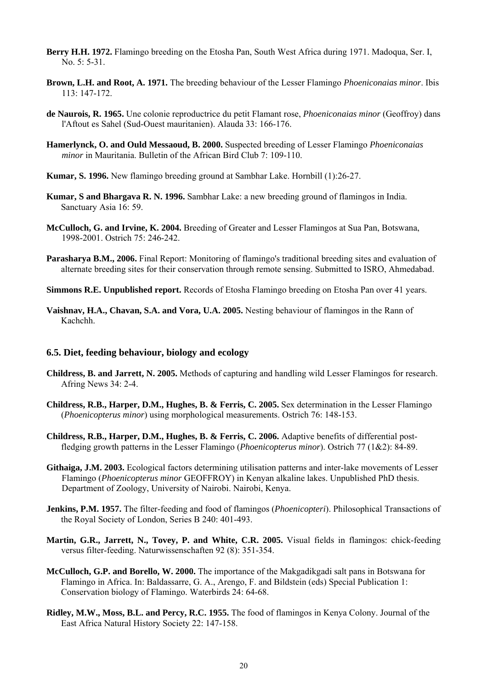- **Berry H.H. 1972.** Flamingo breeding on the Etosha Pan, South West Africa during 1971. Madoqua, Ser. I, No. 5: 5-31.
- **Brown, L.H. and Root, A. 1971.** The breeding behaviour of the Lesser Flamingo *Phoeniconaias minor*. Ibis 113: 147-172.
- **de Naurois, R. 1965.** Une colonie reproductrice du petit Flamant rose, *Phoeniconaias minor* (Geoffroy) dans l'Aftout es Sahel (Sud-Ouest mauritanien). Alauda 33: 166-176.
- **Hamerlynck, O. and Ould Messaoud, B. 2000.** Suspected breeding of Lesser Flamingo *Phoeniconaias minor* in Mauritania. Bulletin of the African Bird Club 7: 109-110.
- **Kumar, S. 1996.** New flamingo breeding ground at Sambhar Lake. Hornbill (1):26-27.
- **Kumar, S and Bhargava R. N. 1996.** Sambhar Lake: a new breeding ground of flamingos in India. Sanctuary Asia 16: 59.
- **McCulloch, G. and Irvine, K. 2004.** Breeding of Greater and Lesser Flamingos at Sua Pan, Botswana, 1998-2001. Ostrich 75: 246-242.
- **Parasharya B.M., 2006.** Final Report: Monitoring of flamingo's traditional breeding sites and evaluation of alternate breeding sites for their conservation through remote sensing. Submitted to ISRO, Ahmedabad.
- **Simmons R.E. Unpublished report.** Records of Etosha Flamingo breeding on Etosha Pan over 41 years.
- **Vaishnav, H.A., Chavan, S.A. and Vora, U.A. 2005.** Nesting behaviour of flamingos in the Rann of Kachchh.

### **6.5. Diet, feeding behaviour, biology and ecology**

- **Childress, B. and Jarrett, N. 2005.** Methods of capturing and handling wild Lesser Flamingos for research. Afring News 34: 2-4.
- **Childress, R.B., Harper, D.M., Hughes, B. & Ferris, C. 2005.** Sex determination in the Lesser Flamingo (*Phoenicopterus minor*) using morphological measurements. Ostrich 76: 148-153.
- **Childress, R.B., Harper, D.M., Hughes, B. & Ferris, C. 2006.** Adaptive benefits of differential postfledging growth patterns in the Lesser Flamingo (*Phoenicopterus minor*). Ostrich 77 (1&2): 84-89.
- **Githaiga, J.M. 2003.** Ecological factors determining utilisation patterns and inter-lake movements of Lesser Flamingo (*Phoenicopterus minor* GEOFFROY) in Kenyan alkaline lakes. Unpublished PhD thesis. Department of Zoology, University of Nairobi. Nairobi, Kenya.
- **Jenkins, P.M. 1957.** The filter-feeding and food of flamingos (*Phoenicopteri*). Philosophical Transactions of the Royal Society of London, Series B 240: 401-493.
- **Martin, G.R., Jarrett, N., Tovey, P. and White, C.R. 2005.** Visual fields in flamingos: chick-feeding versus filter-feeding. Naturwissenschaften 92 (8): 351-354.
- **McCulloch, G.P. and Borello, W. 2000.** The importance of the Makgadikgadi salt pans in Botswana for Flamingo in Africa. In: Baldassarre, G. A., Arengo, F. and Bildstein (eds) Special Publication 1: Conservation biology of Flamingo. Waterbirds 24: 64-68.
- **Ridley, M.W., Moss, B.L. and Percy, R.C. 1955.** The food of flamingos in Kenya Colony. Journal of the East Africa Natural History Society 22: 147-158.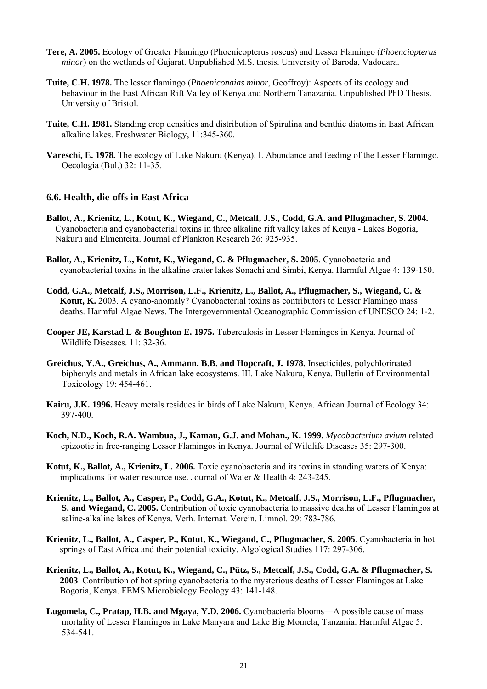- **Tere, A. 2005.** Ecology of Greater Flamingo (Phoenicopterus roseus) and Lesser Flamingo (*Phoenciopterus minor*) on the wetlands of Gujarat. Unpublished M.S. thesis. University of Baroda, Vadodara.
- **Tuite, C.H. 1978.** The lesser flamingo (*Phoeniconaias minor*, Geoffroy): Aspects of its ecology and behaviour in the East African Rift Valley of Kenya and Northern Tanazania. Unpublished PhD Thesis. University of Bristol.
- **Tuite, C.H. 1981.** Standing crop densities and distribution of Spirulina and benthic diatoms in East African alkaline lakes. Freshwater Biology, 11:345-360.
- **Vareschi, E. 1978.** The ecology of Lake Nakuru (Kenya). I. Abundance and feeding of the Lesser Flamingo. Oecologia (Bul.) 32: 11-35.

### **6.6. Health, die-offs in East Africa**

- **Ballot, A., Krienitz, L., Kotut, K., Wiegand, C., Metcalf, J.S., Codd, G.A. and Pflugmacher, S. 2004.**  Cyanobacteria and cyanobacterial toxins in three alkaline rift valley lakes of Kenya - Lakes Bogoria, Nakuru and Elmenteita. Journal of Plankton Research 26: 925-935.
- **Ballot, A., Krienitz, L., Kotut, K., Wiegand, C. & Pflugmacher, S. 2005**. Cyanobacteria and cyanobacterial toxins in the alkaline crater lakes Sonachi and Simbi, Kenya. Harmful Algae 4: 139-150.
- **Codd, G.A., Metcalf, J.S., Morrison, L.F., Krienitz, L., Ballot, A., Pflugmacher, S., Wiegand, C. & Kotut, K.** 2003. A cyano-anomaly? Cyanobacterial toxins as contributors to Lesser Flamingo mass deaths. Harmful Algae News. The Intergovernmental Oceanographic Commission of UNESCO 24: 1-2.
- **Cooper JE, Karstad L & Boughton E. 1975.** Tuberculosis in Lesser Flamingos in Kenya. Journal of Wildlife Diseases. 11: 32-36.
- **Greichus, Y.A., Greichus, A., Ammann, B.B. and Hopcraft, J. 1978.** Insecticides, polychlorinated biphenyls and metals in African lake ecosystems. III. Lake Nakuru, Kenya. Bulletin of Environmental Toxicology 19: 454-461.
- **Kairu, J.K. 1996.** Heavy metals residues in birds of Lake Nakuru, Kenya. African Journal of Ecology 34: 397-400.
- **Koch, N.D., Koch, R.A. Wambua, J., Kamau, G.J. and Mohan., K. 1999.** *Mycobacterium avium* related epizootic in free-ranging Lesser Flamingos in Kenya. Journal of Wildlife Diseases 35: 297-300.
- **Kotut, K., Ballot, A., Krienitz, L. 2006.** Toxic cyanobacteria and its toxins in standing waters of Kenya: implications for water resource use. Journal of Water & Health 4: 243-245.
- **Krienitz, L., Ballot, A., Casper, P., Codd, G.A., Kotut, K., Metcalf, J.S., Morrison, L.F., Pflugmacher, S. and Wiegand, C. 2005.** Contribution of toxic cyanobacteria to massive deaths of Lesser Flamingos at saline-alkaline lakes of Kenya. Verh. Internat. Verein. Limnol. 29: 783-786.
- **Krienitz, L., Ballot, A., Casper, P., Kotut, K., Wiegand, C., Pflugmacher, S. 2005**. Cyanobacteria in hot springs of East Africa and their potential toxicity. Algological Studies 117: 297-306.
- **Krienitz, L., Ballot, A., Kotut, K., Wiegand, C., Pütz, S., Metcalf, J.S., Codd, G.A. & Pflugmacher, S. 2003**. Contribution of hot spring cyanobacteria to the mysterious deaths of Lesser Flamingos at Lake Bogoria, Kenya. FEMS Microbiology Ecology 43: 141-148.
- **Lugomela, C., Pratap, H.B. and Mgaya, Y.D. 2006.** Cyanobacteria blooms—A possible cause of mass mortality of Lesser Flamingos in Lake Manyara and Lake Big Momela, Tanzania. Harmful Algae 5: 534-541.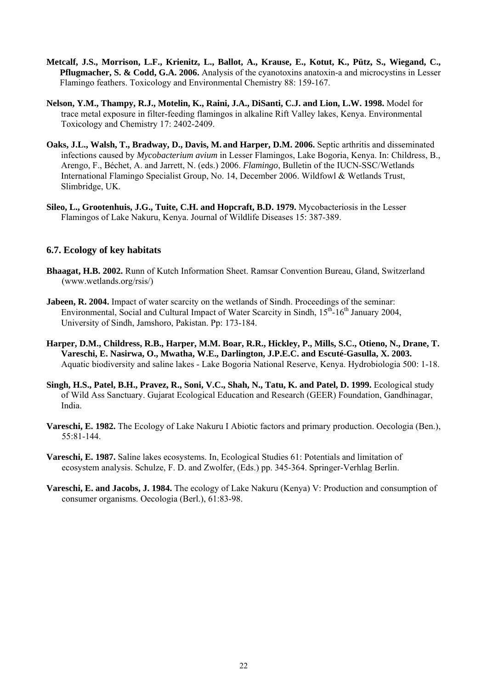- **Metcalf, J.S., Morrison, L.F., Krienitz, L., Ballot, A., Krause, E., Kotut, K., Pütz, S., Wiegand, C., Pflugmacher, S. & Codd, G.A. 2006.** Analysis of the cyanotoxins anatoxin-a and microcystins in Lesser Flamingo feathers. Toxicology and Environmental Chemistry 88: 159-167.
- **Nelson, Y.M., Thampy, R.J., Motelin, K., Raini, J.A., DiSanti, C.J. and Lion, L.W. 1998.** Model for trace metal exposure in filter-feeding flamingos in alkaline Rift Valley lakes, Kenya. Environmental Toxicology and Chemistry 17: 2402-2409.
- **Oaks, J.L., Walsh, T., Bradway, D., Davis, M. and Harper, D.M. 2006.** Septic arthritis and disseminated infections caused by *Mycobacterium avium* in Lesser Flamingos, Lake Bogoria, Kenya. In: Childress, B., Arengo, F., Béchet, A. and Jarrett, N. (eds.) 2006. *Flamingo*, Bulletin of the IUCN-SSC/Wetlands International Flamingo Specialist Group, No. 14, December 2006. Wildfowl & Wetlands Trust, Slimbridge, UK.
- **Sileo, L., Grootenhuis, J.G., Tuite, C.H. and Hopcraft, B.D. 1979.** Mycobacteriosis in the Lesser Flamingos of Lake Nakuru, Kenya. Journal of Wildlife Diseases 15: 387-389.

### **6.7. Ecology of key habitats**

- **Bhaagat, H.B. 2002.** Runn of Kutch Information Sheet. Ramsar Convention Bureau, Gland, Switzerland (www.wetlands.org/rsis/)
- **Jabeen, R. 2004.** Impact of water scarcity on the wetlands of Sindh. Proceedings of the seminar: Environmental, Social and Cultural Impact of Water Scarcity in Sindh,  $15<sup>th</sup>$ -16<sup>th</sup> January 2004, University of Sindh, Jamshoro, Pakistan. Pp: 173-184.
- **Harper, D.M., Childress, R.B., Harper, M.M. Boar, R.R., Hickley, P., Mills, S.C., Otieno, N., Drane, T. Vareschi, E. Nasirwa, O., Mwatha, W.E., Darlington, J.P.E.C. and Escuté-Gasulla, X. 2003.** Aquatic biodiversity and saline lakes - Lake Bogoria National Reserve, Kenya. Hydrobiologia 500: 1-18.
- Singh, H.S., Patel, B.H., Pravez, R., Soni, V.C., Shah, N., Tatu, K. and Patel, D. 1999. Ecological study of Wild Ass Sanctuary. Gujarat Ecological Education and Research (GEER) Foundation, Gandhinagar, India.
- **Vareschi, E. 1982.** The Ecology of Lake Nakuru I Abiotic factors and primary production. Oecologia (Ben.), 55:81-144.
- **Vareschi, E. 1987.** Saline lakes ecosystems. In, Ecological Studies 61: Potentials and limitation of ecosystem analysis. Schulze, F. D. and Zwolfer, (Eds.) pp. 345-364. Springer-Verhlag Berlin.
- **Vareschi, E. and Jacobs, J. 1984.** The ecology of Lake Nakuru (Kenya) V: Production and consumption of consumer organisms. Oecologia (Berl.), 61:83-98.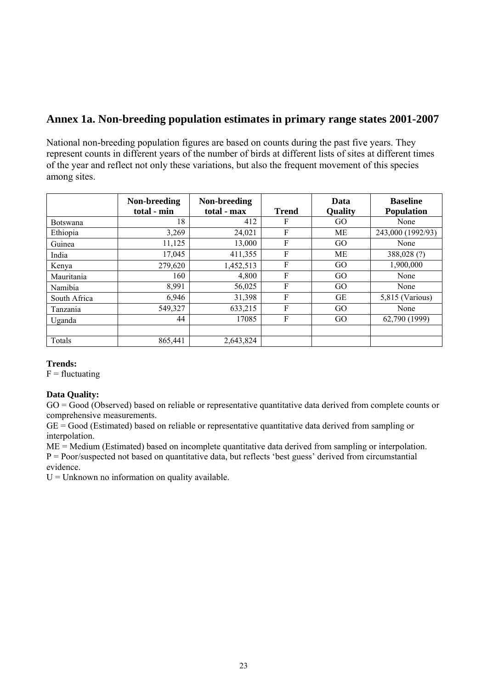## **Annex 1a. Non-breeding population estimates in primary range states 2001-2007**

National non-breeding population figures are based on counts during the past five years. They represent counts in different years of the number of birds at different lists of sites at different times of the year and reflect not only these variations, but also the frequent movement of this species among sites.

|                 | Non-breeding<br>total - min | Non-breeding<br>total - max | <b>Trend</b> | Data<br><b>Quality</b> | <b>Baseline</b><br><b>Population</b> |
|-----------------|-----------------------------|-----------------------------|--------------|------------------------|--------------------------------------|
| <b>Botswana</b> | 18                          | 412                         | F            | GO                     | None                                 |
| Ethiopia        | 3,269                       | 24,021                      | F            | MЕ                     | 243,000 (1992/93)                    |
| Guinea          | 11,125                      | 13,000                      | F            | GO                     | None                                 |
| India           | 17,045                      | 411,355                     | F            | МE                     | 388,028 (?)                          |
| Kenya           | 279,620                     | 1,452,513                   | F            | GO                     | 1,900,000                            |
| Mauritania      | 160                         | 4,800                       | F            | GO                     | None                                 |
| Namibia         | 8,991                       | 56,025                      | F            | GO                     | None                                 |
| South Africa    | 6,946                       | 31,398                      | F            | GE                     | 5,815 (Various)                      |
| Tanzania        | 549,327                     | 633,215                     | F            | GO                     | None                                 |
| Uganda          | 44                          | 17085                       | F            | GO                     | 62,790 (1999)                        |
|                 |                             |                             |              |                        |                                      |
| Totals          | 865,441                     | 2,643,824                   |              |                        |                                      |

### **Trends:**

 $F = fluctuating$ 

### **Data Quality:**

GO = Good (Observed) based on reliable or representative quantitative data derived from complete counts or comprehensive measurements.

GE = Good (Estimated) based on reliable or representative quantitative data derived from sampling or interpolation.

ME = Medium (Estimated) based on incomplete quantitative data derived from sampling or interpolation. P = Poor/suspected not based on quantitative data, but reflects 'best guess' derived from circumstantial evidence.

 $U =$  Unknown no information on quality available.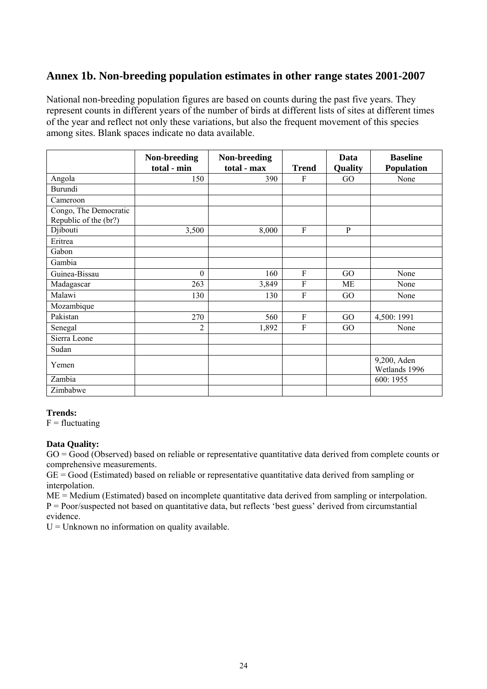## **Annex 1b. Non-breeding population estimates in other range states 2001-2007**

National non-breeding population figures are based on counts during the past five years. They represent counts in different years of the number of birds at different lists of sites at different times of the year and reflect not only these variations, but also the frequent movement of this species among sites. Blank spaces indicate no data available.

|                                                | Non-breeding<br>total - min | Non-breeding<br>total - max | <b>Trend</b>   | Data<br>Quality | <b>Baseline</b><br><b>Population</b> |
|------------------------------------------------|-----------------------------|-----------------------------|----------------|-----------------|--------------------------------------|
| Angola                                         | 150                         | 390                         | F              | GO              | None                                 |
| Burundi                                        |                             |                             |                |                 |                                      |
| Cameroon                                       |                             |                             |                |                 |                                      |
| Congo, The Democratic<br>Republic of the (br?) |                             |                             |                |                 |                                      |
| Djibouti                                       | 3,500                       | 8,000                       | F              | $\mathbf{P}$    |                                      |
| Eritrea                                        |                             |                             |                |                 |                                      |
| Gabon                                          |                             |                             |                |                 |                                      |
| Gambia                                         |                             |                             |                |                 |                                      |
| Guinea-Bissau                                  | $\theta$                    | 160                         | $\mathbf{F}$   | GO              | None                                 |
| Madagascar                                     | 263                         | 3,849                       | F              | ME              | None                                 |
| Malawi                                         | 130                         | 130                         | F              | GO              | None                                 |
| Mozambique                                     |                             |                             |                |                 |                                      |
| Pakistan                                       | 270                         | 560                         | F              | GO              | 4,500: 1991                          |
| Senegal                                        | $\overline{2}$              | 1,892                       | $\overline{F}$ | GO              | None                                 |
| Sierra Leone                                   |                             |                             |                |                 |                                      |
| Sudan                                          |                             |                             |                |                 |                                      |
| Yemen                                          |                             |                             |                |                 | 9,200, Aden<br>Wetlands 1996         |
| Zambia                                         |                             |                             |                |                 | 600: 1955                            |
| Zimbabwe                                       |                             |                             |                |                 |                                      |

### **Trends:**

 $F = fluctuating$ 

### **Data Quality:**

 $GO = Good$  (Observed) based on reliable or representative quantitative data derived from complete counts or comprehensive measurements.

 $GE = Good$  (Estimated) based on reliable or representative quantitative data derived from sampling or interpolation.

ME = Medium (Estimated) based on incomplete quantitative data derived from sampling or interpolation. P = Poor/suspected not based on quantitative data, but reflects 'best guess' derived from circumstantial evidence.

 $U =$  Unknown no information on quality available.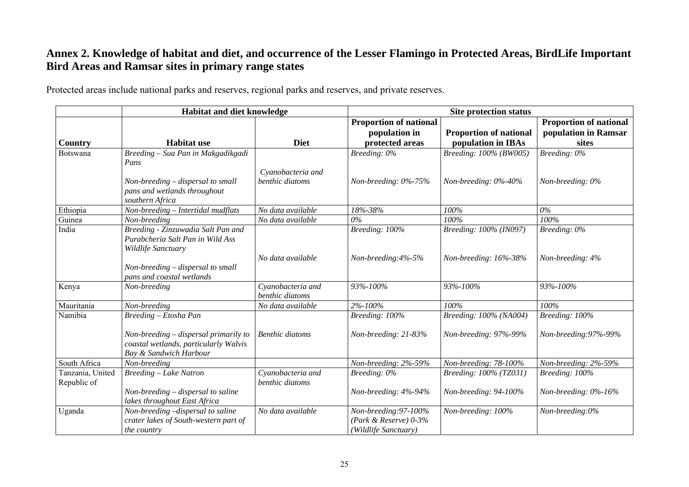## **Annex 2. Knowledge of habitat and diet, and occurrence of the Lesser Flamingo in Protected Areas, BirdLife Important Bird Areas and Ramsar sites in primary range states**

Protected areas include national parks and reserves, regional parks and reserves, and private reserves.

|                                 | <b>Habitat and diet knowledge</b>                                                                        |                                      | <b>Site protection status</b>                                            |                               |                               |  |  |  |  |
|---------------------------------|----------------------------------------------------------------------------------------------------------|--------------------------------------|--------------------------------------------------------------------------|-------------------------------|-------------------------------|--|--|--|--|
|                                 |                                                                                                          |                                      | <b>Proportion of national</b>                                            |                               | <b>Proportion of national</b> |  |  |  |  |
|                                 |                                                                                                          |                                      | population in                                                            | <b>Proportion of national</b> | population in Ramsar          |  |  |  |  |
| Country                         | <b>Habitat use</b>                                                                                       | <b>Diet</b>                          | protected areas                                                          | population in IBAs            | sites                         |  |  |  |  |
| Botswana                        | Breeding - Sua Pan in Makgadikgadi<br>Pans                                                               |                                      | Breeding: 0%                                                             | Breeding: 100% (BW005)        | $Breding: 0\%$                |  |  |  |  |
|                                 | Non-breeding – dispersal to small<br>pans and wetlands throughout<br>southern Africa                     | Cyanobacteria and<br>benthic diatoms | Non-breeding: 0%-75%                                                     | Non-breeding: 0%-40%          | Non-breeding: 0%              |  |  |  |  |
| Ethiopia                        | Non-breeding - Intertidal mudflats                                                                       | No data available                    | 18%-38%                                                                  | 100%                          | $0\%$                         |  |  |  |  |
| Guinea                          | Non-breeding                                                                                             | No data available                    | 0%                                                                       | 100%                          | 100%                          |  |  |  |  |
| India                           | Breeding - Zinzuwadia Salt Pan and<br>Purabcheria Salt Pan in Wild Ass<br>Wildlife Sanctuary             |                                      | Breeding: 100%                                                           | Breeding: 100% (IN097)        | Breeding: 0%                  |  |  |  |  |
|                                 | Non-breeding – dispersal to small<br>pans and coastal wetlands                                           | No data available                    | Non-breeding:4%-5%                                                       | Non-breeding: 16%-38%         | Non-breeding: 4%              |  |  |  |  |
| Kenya                           | Non-breeding                                                                                             | Cyanobacteria and<br>benthic diatoms | 93%-100%                                                                 | 93%-100%                      | 93%-100%                      |  |  |  |  |
| Mauritania                      | Non-breeding                                                                                             | No data available                    | 2%-100%                                                                  | 100%                          | 100%                          |  |  |  |  |
| Namibia                         | Breeding - Etosha Pan                                                                                    |                                      | Breeding: 100%                                                           | Breeding: 100% (NA004)        | Breeding: 100%                |  |  |  |  |
|                                 | Non-breeding – dispersal primarily to<br>coastal wetlands, particularly Walvis<br>Bay & Sandwich Harbour | <b>Benthic diatoms</b>               | Non-breeding: 21-83%                                                     | Non-breeding: 97%-99%         | Non-breeding: 97%-99%         |  |  |  |  |
| South Africa                    | Non-breeding                                                                                             |                                      | Non-breeding: 2%-59%                                                     | Non-breeding: 78-100%         | Non-breeding: 2%-59%          |  |  |  |  |
| Tanzania, United<br>Republic of | Breeding - Lake Natron                                                                                   | Cyanobacteria and<br>benthic diatoms | Breeding: 0%                                                             | Breeding: 100% (TZ031)        | Breeding: 100%                |  |  |  |  |
|                                 | Non-breeding – dispersal to saline<br>lakes throughout East Africa                                       |                                      | Non-breeding: 4%-94%                                                     | Non-breeding: 94-100%         | Non-breeding: $0\%$ -16%      |  |  |  |  |
| Uganda                          | Non-breeding -dispersal to saline<br>crater lakes of South-western part of<br>the country                | No data available                    | Non-breeding: 97-100%<br>(Park & Reserve) $0-3%$<br>(Wildlife Sanctuary) | Non-breeding: 100%            | Non-breeding:0%               |  |  |  |  |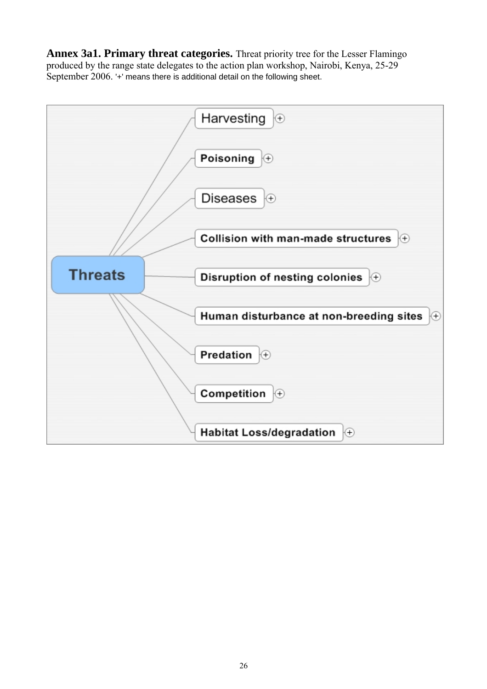**Annex 3a1. Primary threat categories.** Threat priority tree for the Lesser Flamingo produced by the range state delegates to the action plan workshop, Nairobi, Kenya, 25-29 September 2006. '+' means there is additional detail on the following sheet.

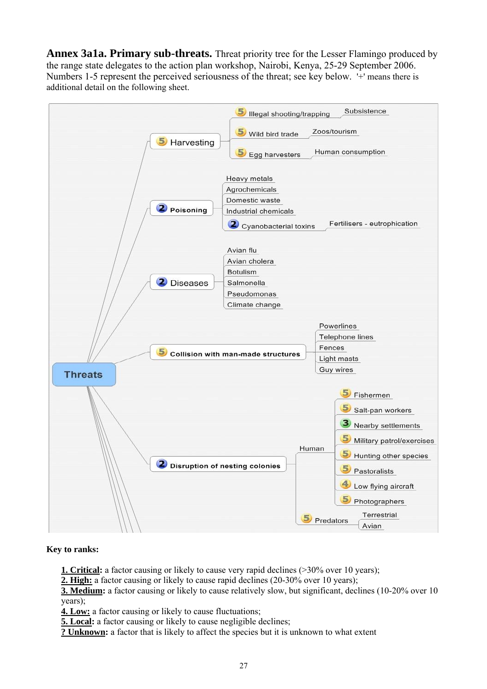**Annex 3a1a. Primary sub-threats.** Threat priority tree for the Lesser Flamingo produced by the range state delegates to the action plan workshop, Nairobi, Kenya, 25-29 September 2006. Numbers 1-5 represent the perceived seriousness of the threat; see key below. '+' means there is additional detail on the following sheet.



**Key to ranks:** 

**1. Critical:** a factor causing or likely to cause very rapid declines (>30% over 10 years);

**2. High:** a factor causing or likely to cause rapid declines (20-30% over 10 years);

**3. Medium:** a factor causing or likely to cause relatively slow, but significant, declines (10-20% over 10) years);

**4. Low:** a factor causing or likely to cause fluctuations;

**5. Local:** a factor causing or likely to cause negligible declines;

**? Unknown:** a factor that is likely to affect the species but it is unknown to what extent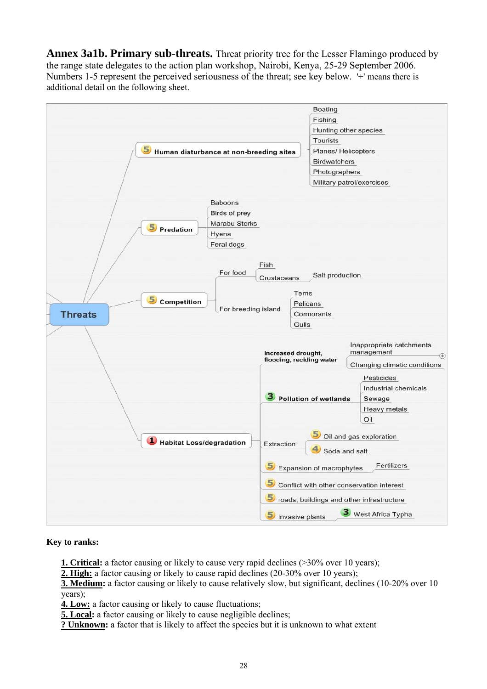**Annex 3a1b. Primary sub-threats.** Threat priority tree for the Lesser Flamingo produced by the range state delegates to the action plan workshop, Nairobi, Kenya, 25-29 September 2006. Numbers 1-5 represent the perceived seriousness of the threat; see key below. '+' means there is additional detail on the following sheet.



### **Key to ranks:**

**1. Critical:** a factor causing or likely to cause very rapid declines (>30% over 10 years);

**2. High:** a factor causing or likely to cause rapid declines (20-30% over 10 years);

**3. Medium:** a factor causing or likely to cause relatively slow, but significant, declines (10-20% over 10 years);

**4. Low:** a factor causing or likely to cause fluctuations;

- **5. Local:** a factor causing or likely to cause negligible declines;
- **? Unknown:** a factor that is likely to affect the species but it is unknown to what extent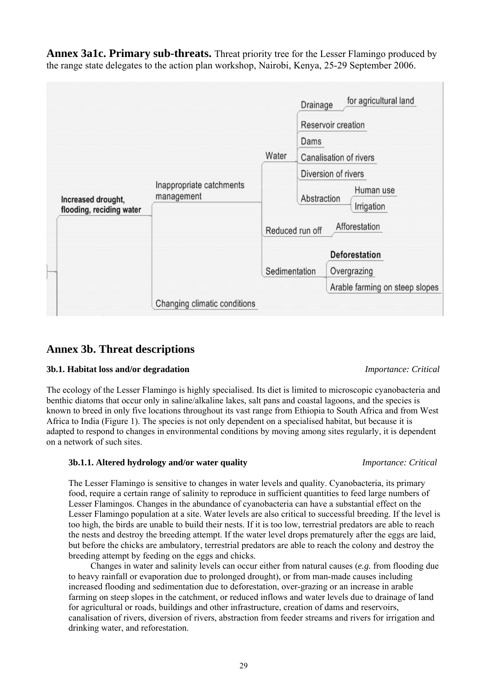**Annex 3a1c. Primary sub-threats.** Threat priority tree for the Lesser Flamingo produced by the range state delegates to the action plan workshop, Nairobi, Kenya, 25-29 September 2006.



### **Annex 3b. Threat descriptions**

### **3b.1. Habitat loss and/or degradation** *Importance: Critical*

The ecology of the Lesser Flamingo is highly specialised. Its diet is limited to microscopic cyanobacteria and benthic diatoms that occur only in saline/alkaline lakes, salt pans and coastal lagoons, and the species is known to breed in only five locations throughout its vast range from Ethiopia to South Africa and from West Africa to India (Figure 1). The species is not only dependent on a specialised habitat, but because it is adapted to respond to changes in environmental conditions by moving among sites regularly, it is dependent on a network of such sites.

### **3b.1.1. Altered hydrology and/or water quality** *Importance: Critical*

The Lesser Flamingo is sensitive to changes in water levels and quality. Cyanobacteria, its primary food, require a certain range of salinity to reproduce in sufficient quantities to feed large numbers of Lesser Flamingos. Changes in the abundance of cyanobacteria can have a substantial effect on the Lesser Flamingo population at a site. Water levels are also critical to successful breeding. If the level is too high, the birds are unable to build their nests. If it is too low, terrestrial predators are able to reach the nests and destroy the breeding attempt. If the water level drops prematurely after the eggs are laid, but before the chicks are ambulatory, terrestrial predators are able to reach the colony and destroy the breeding attempt by feeding on the eggs and chicks.

Changes in water and salinity levels can occur either from natural causes (*e.g.* from flooding due to heavy rainfall or evaporation due to prolonged drought), or from man-made causes including increased flooding and sedimentation due to deforestation, over-grazing or an increase in arable farming on steep slopes in the catchment, or reduced inflows and water levels due to drainage of land for agricultural or roads, buildings and other infrastructure, creation of dams and reservoirs, canalisation of rivers, diversion of rivers, abstraction from feeder streams and rivers for irrigation and drinking water, and reforestation.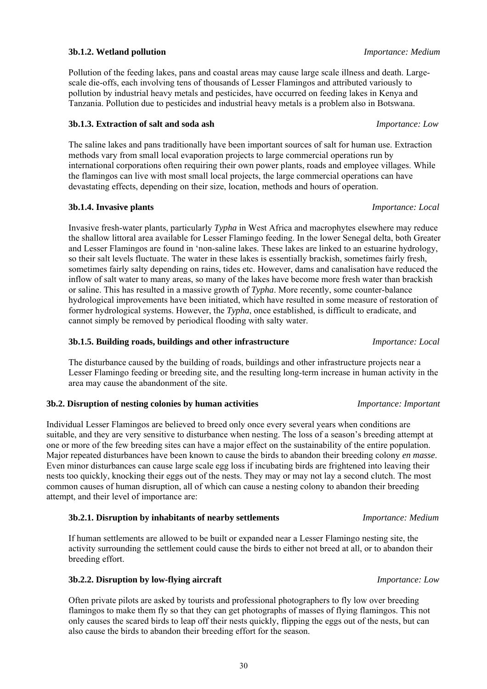### **3b.1.2. Wetland pollution** *Importance: Medium*

Pollution of the feeding lakes, pans and coastal areas may cause large scale illness and death. Largescale die-offs, each involving tens of thousands of Lesser Flamingos and attributed variously to pollution by industrial heavy metals and pesticides, have occurred on feeding lakes in Kenya and Tanzania. Pollution due to pesticides and industrial heavy metals is a problem also in Botswana.

### **3b.1.3. Extraction of salt and soda ash** *Importance: Low*

The saline lakes and pans traditionally have been important sources of salt for human use. Extraction methods vary from small local evaporation projects to large commercial operations run by international corporations often requiring their own power plants, roads and employee villages. While the flamingos can live with most small local projects, the large commercial operations can have devastating effects, depending on their size, location, methods and hours of operation.

### **3b.1.4. Invasive plants** *Importance: Local*

Invasive fresh-water plants, particularly *Typha* in West Africa and macrophytes elsewhere may reduce the shallow littoral area available for Lesser Flamingo feeding. In the lower Senegal delta, both Greater and Lesser Flamingos are found in 'non-saline lakes. These lakes are linked to an estuarine hydrology, so their salt levels fluctuate. The water in these lakes is essentially brackish, sometimes fairly fresh, sometimes fairly salty depending on rains, tides etc. However, dams and canalisation have reduced the inflow of salt water to many areas, so many of the lakes have become more fresh water than brackish or saline. This has resulted in a massive growth of *Typha*. More recently, some counter-balance hydrological improvements have been initiated, which have resulted in some measure of restoration of former hydrological systems. However, the *Typha*, once established, is difficult to eradicate, and cannot simply be removed by periodical flooding with salty water.

### **3b.1.5. Building roads, buildings and other infrastructure** *Importance: Local*

The disturbance caused by the building of roads, buildings and other infrastructure projects near a Lesser Flamingo feeding or breeding site, and the resulting long-term increase in human activity in the area may cause the abandonment of the site.

### **3b.2. Disruption of nesting colonies by human activities** *Importance: Important*

Individual Lesser Flamingos are believed to breed only once every several years when conditions are suitable, and they are very sensitive to disturbance when nesting. The loss of a season's breeding attempt at one or more of the few breeding sites can have a major effect on the sustainability of the entire population. Major repeated disturbances have been known to cause the birds to abandon their breeding colony *en masse*. Even minor disturbances can cause large scale egg loss if incubating birds are frightened into leaving their nests too quickly, knocking their eggs out of the nests. They may or may not lay a second clutch. The most common causes of human disruption, all of which can cause a nesting colony to abandon their breeding attempt, and their level of importance are:

### **3b.2.1. Disruption by inhabitants of nearby settlements** *Importance: Medium*

If human settlements are allowed to be built or expanded near a Lesser Flamingo nesting site, the activity surrounding the settlement could cause the birds to either not breed at all, or to abandon their breeding effort.

### **3b.2.2. Disruption by low-flying aircraft** *Importance: Low*

Often private pilots are asked by tourists and professional photographers to fly low over breeding flamingos to make them fly so that they can get photographs of masses of flying flamingos. This not only causes the scared birds to leap off their nests quickly, flipping the eggs out of the nests, but can also cause the birds to abandon their breeding effort for the season.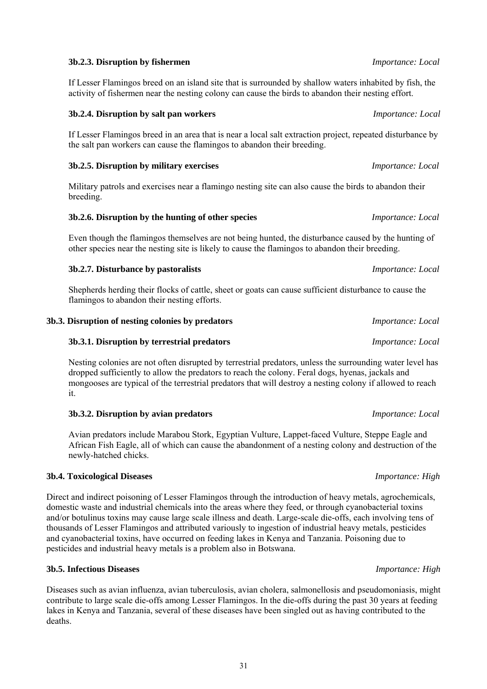### 31

### **3b.2.3. Disruption by fishermen** *Importance: Local*

If Lesser Flamingos breed on an island site that is surrounded by shallow waters inhabited by fish, the activity of fishermen near the nesting colony can cause the birds to abandon their nesting effort.

### **3b.2.4. Disruption by salt pan workers** *Importance: Local*

If Lesser Flamingos breed in an area that is near a local salt extraction project, repeated disturbance by the salt pan workers can cause the flamingos to abandon their breeding.

### **3b.2.5. Disruption by military exercises** *Importance: Local*

Military patrols and exercises near a flamingo nesting site can also cause the birds to abandon their breeding.

### **3b.2.6. Disruption by the hunting of other species** *Importance: Local*

Even though the flamingos themselves are not being hunted, the disturbance caused by the hunting of other species near the nesting site is likely to cause the flamingos to abandon their breeding.

### **3b.2.7. Disturbance by pastoralists** *Importance: Local*

Shepherds herding their flocks of cattle, sheet or goats can cause sufficient disturbance to cause the flamingos to abandon their nesting efforts.

### **3b.3. Disruption of nesting colonies by predators** *Importance: Local*

### **3b.3.1. Disruption by terrestrial predators** *Importance: Local*

Nesting colonies are not often disrupted by terrestrial predators, unless the surrounding water level has dropped sufficiently to allow the predators to reach the colony. Feral dogs, hyenas, jackals and mongooses are typical of the terrestrial predators that will destroy a nesting colony if allowed to reach it.

### **3b.3.2. Disruption by avian predators** *Importance: Local*

Avian predators include Marabou Stork, Egyptian Vulture, Lappet-faced Vulture, Steppe Eagle and African Fish Eagle, all of which can cause the abandonment of a nesting colony and destruction of the newly-hatched chicks.

### **3b.4. Toxicological Diseases** *Importance: High*

Direct and indirect poisoning of Lesser Flamingos through the introduction of heavy metals, agrochemicals, domestic waste and industrial chemicals into the areas where they feed, or through cyanobacterial toxins and/or botulinus toxins may cause large scale illness and death. Large-scale die-offs, each involving tens of thousands of Lesser Flamingos and attributed variously to ingestion of industrial heavy metals, pesticides and cyanobacterial toxins, have occurred on feeding lakes in Kenya and Tanzania. Poisoning due to pesticides and industrial heavy metals is a problem also in Botswana.

### **3b.5. Infectious Diseases** *Importance: High*

Diseases such as avian influenza, avian tuberculosis, avian cholera, salmonellosis and pseudomoniasis, might contribute to large scale die-offs among Lesser Flamingos. In the die-offs during the past 30 years at feeding lakes in Kenya and Tanzania, several of these diseases have been singled out as having contributed to the deaths.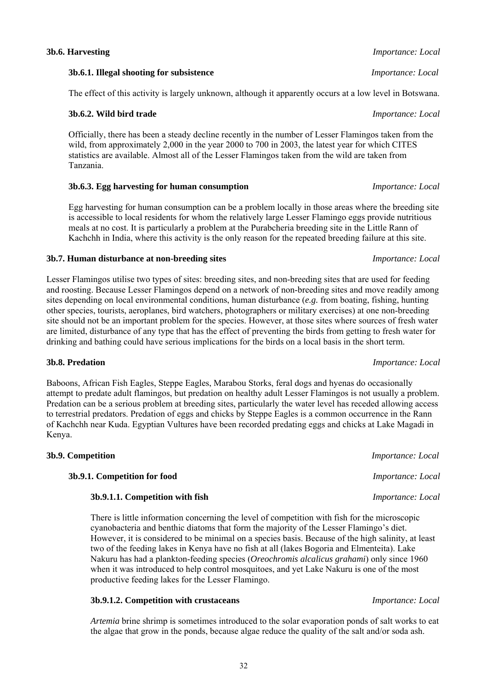### **3b.6. Harvesting** *Importance: Local*

**3b.6.1. Illegal shooting for subsistence** *Importance: Local* 

The effect of this activity is largely unknown, although it apparently occurs at a low level in Botswana.

### **3b.6.2. Wild bird trade** *Importance: Local*

Officially, there has been a steady decline recently in the number of Lesser Flamingos taken from the wild, from approximately 2,000 in the year 2000 to 700 in 2003, the latest year for which CITES statistics are available. Almost all of the Lesser Flamingos taken from the wild are taken from Tanzania.

### **3b.6.3. Egg harvesting for human consumption** *Importance: Local*

Egg harvesting for human consumption can be a problem locally in those areas where the breeding site is accessible to local residents for whom the relatively large Lesser Flamingo eggs provide nutritious meals at no cost. It is particularly a problem at the Purabcheria breeding site in the Little Rann of Kachchh in India, where this activity is the only reason for the repeated breeding failure at this site.

### **3b.7. Human disturbance at non-breeding sites** *Importance: Local*

Lesser Flamingos utilise two types of sites: breeding sites, and non-breeding sites that are used for feeding and roosting. Because Lesser Flamingos depend on a network of non-breeding sites and move readily among sites depending on local environmental conditions, human disturbance (*e.g.* from boating, fishing, hunting other species, tourists, aeroplanes, bird watchers, photographers or military exercises) at one non-breeding site should not be an important problem for the species. However, at those sites where sources of fresh water are limited, disturbance of any type that has the effect of preventing the birds from getting to fresh water for drinking and bathing could have serious implications for the birds on a local basis in the short term.

### **3b.8. Predation** *Importance: Local*

Baboons, African Fish Eagles, Steppe Eagles, Marabou Storks, feral dogs and hyenas do occasionally attempt to predate adult flamingos, but predation on healthy adult Lesser Flamingos is not usually a problem. Predation can be a serious problem at breeding sites, particularly the water level has receded allowing access to terrestrial predators. Predation of eggs and chicks by Steppe Eagles is a common occurrence in the Rann of Kachchh near Kuda. Egyptian Vultures have been recorded predating eggs and chicks at Lake Magadi in Kenya.

| 3b.9. Competition               | <i>Importance: Local</i> |
|---------------------------------|--------------------------|
| 3b.9.1. Competition for food    | <i>Importance: Local</i> |
| 3b.9.1.1. Competition with fish | <i>Importance: Local</i> |

There is little information concerning the level of competition with fish for the microscopic cyanobacteria and benthic diatoms that form the majority of the Lesser Flamingo's diet. However, it is considered to be minimal on a species basis. Because of the high salinity, at least two of the feeding lakes in Kenya have no fish at all (lakes Bogoria and Elmenteita). Lake Nakuru has had a plankton-feeding species (*Oreochromis alcalicus grahami*) only since 1960 when it was introduced to help control mosquitoes, and yet Lake Nakuru is one of the most productive feeding lakes for the Lesser Flamingo.

### **3b.9.1.2. Competition with crustaceans** *Importance: Local*

*Artemia* brine shrimp is sometimes introduced to the solar evaporation ponds of salt works to eat the algae that grow in the ponds, because algae reduce the quality of the salt and/or soda ash.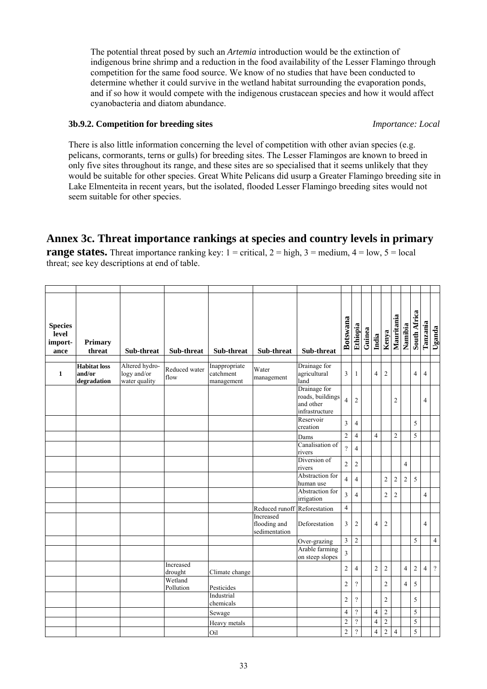The potential threat posed by such an *Artemia* introduction would be the extinction of indigenous brine shrimp and a reduction in the food availability of the Lesser Flamingo through competition for the same food source. We know of no studies that have been conducted to determine whether it could survive in the wetland habitat surrounding the evaporation ponds, and if so how it would compete with the indigenous crustacean species and how it would affect cyanobacteria and diatom abundance.

### **3b.9.2. Competition for breeding sites** *Importance: Local*

There is also little information concerning the level of competition with other avian species (e.g. pelicans, cormorants, terns or gulls) for breeding sites. The Lesser Flamingos are known to breed in only five sites throughout its range, and these sites are so specialised that it seems unlikely that they would be suitable for other species. Great White Pelicans did usurp a Greater Flamingo breeding site in Lake Elmenteita in recent years, but the isolated, flooded Lesser Flamingo breeding sites would not seem suitable for other species.

## **Annex 3c. Threat importance rankings at species and country levels in primary**

**range states.** Threat importance ranking key:  $1 =$  critical,  $2 =$  high,  $3 =$  medium,  $4 =$  low,  $5 =$  local threat; see key descriptions at end of table.

| <b>Species</b><br>level<br>import-<br>ance | Primary<br>threat                            | Sub-threat                                     | Sub-threat            | Sub-threat                               | Sub-threat                                 | Sub-threat                                                      | <b>Botswana</b>         | Ethiopia                | Guinea | India          | Kenya          | Mauritania     | Namibia        | South Africa   | Tanzania       | Uganda         |
|--------------------------------------------|----------------------------------------------|------------------------------------------------|-----------------------|------------------------------------------|--------------------------------------------|-----------------------------------------------------------------|-------------------------|-------------------------|--------|----------------|----------------|----------------|----------------|----------------|----------------|----------------|
| $\mathbf{1}$                               | <b>Habitat</b> loss<br>and/or<br>degradation | Altered hydro-<br>logy and/or<br>water quality | Reduced water<br>flow | Inappropriate<br>catchment<br>management | Water<br>management                        | Drainage for<br>agricultural<br>land                            | 3                       | 1                       |        | $\overline{4}$ | $\overline{2}$ |                |                | $\overline{4}$ | $\overline{4}$ |                |
|                                            |                                              |                                                |                       |                                          |                                            | Drainage for<br>roads, buildings<br>and other<br>infrastructure | $\overline{\mathbf{4}}$ | $\overline{c}$          |        |                |                | $\overline{2}$ |                |                | $\overline{4}$ |                |
|                                            |                                              |                                                |                       |                                          |                                            | Reservoir<br>creation                                           | 3                       | $\overline{4}$          |        |                |                |                |                | 5              |                |                |
|                                            |                                              |                                                |                       |                                          |                                            | Dams                                                            | $\sqrt{2}$              | 4                       |        | $\overline{4}$ |                | $\overline{2}$ |                | 5              |                |                |
|                                            |                                              |                                                |                       |                                          |                                            | Canalisation of<br>rivers                                       | $\overline{?}$          | $\overline{\mathbf{4}}$ |        |                |                |                |                |                |                |                |
|                                            |                                              |                                                |                       |                                          |                                            | Diversion of<br>rivers                                          | $\sqrt{2}$              | $\overline{c}$          |        |                |                |                | $\overline{4}$ |                |                |                |
|                                            |                                              |                                                |                       |                                          |                                            | Abstraction for<br>human use                                    | $\overline{4}$          | $\overline{4}$          |        |                | $\overline{c}$ | $\sqrt{2}$     | $\overline{c}$ | 5              |                |                |
|                                            |                                              |                                                |                       |                                          |                                            | Abstraction for<br>irrigation                                   | $\overline{3}$          | 4                       |        |                | $\overline{c}$ | $\overline{2}$ |                |                | $\overline{4}$ |                |
|                                            |                                              |                                                |                       |                                          | Reduced runoff Reforestation               |                                                                 | $\overline{4}$          |                         |        |                |                |                |                |                |                |                |
|                                            |                                              |                                                |                       |                                          | Increased<br>flooding and<br>sedimentation | Deforestation                                                   | 3                       | 2                       |        | $\overline{4}$ | $\overline{2}$ |                |                |                | $\overline{4}$ |                |
|                                            |                                              |                                                |                       |                                          |                                            | Over-grazing                                                    | $\overline{3}$          | $\overline{2}$          |        |                |                |                |                | 5              |                | $\overline{4}$ |
|                                            |                                              |                                                |                       |                                          |                                            | Arable farming<br>on steep slopes                               | $\overline{\mathbf{3}}$ |                         |        |                |                |                |                |                |                |                |
|                                            |                                              |                                                | Increased<br>drought  | Climate change                           |                                            |                                                                 | $\overline{c}$          | 4                       |        | $\overline{c}$ | $\overline{c}$ |                | $\overline{4}$ | $\overline{c}$ | $\overline{4}$ | $\gamma$       |
|                                            |                                              |                                                | Wetland<br>Pollution  | Pesticides                               |                                            |                                                                 | $\overline{c}$          | $\overline{?}$          |        |                | $\overline{c}$ |                | $\overline{4}$ | 5              |                |                |
|                                            |                                              |                                                |                       | Industrial<br>chemicals                  |                                            |                                                                 | $\sqrt{2}$              | $\overline{?}$          |        |                | $\overline{c}$ |                |                | 5              |                |                |
|                                            |                                              |                                                |                       | Sewage                                   |                                            |                                                                 | $\overline{4}$          | $\overline{?}$          |        | $\overline{4}$ | $\overline{c}$ |                |                | 5              |                |                |
|                                            |                                              |                                                |                       | Heavy metals                             |                                            |                                                                 | $\mathfrak{2}$          | $\overline{?}$          |        | $\overline{4}$ | $\sqrt{2}$     |                |                | 5              |                |                |
|                                            |                                              |                                                |                       | Oil                                      |                                            |                                                                 | $\overline{c}$          | $\overline{?}$          |        | $\overline{4}$ | $\overline{c}$ | $\overline{4}$ |                | 5              |                |                |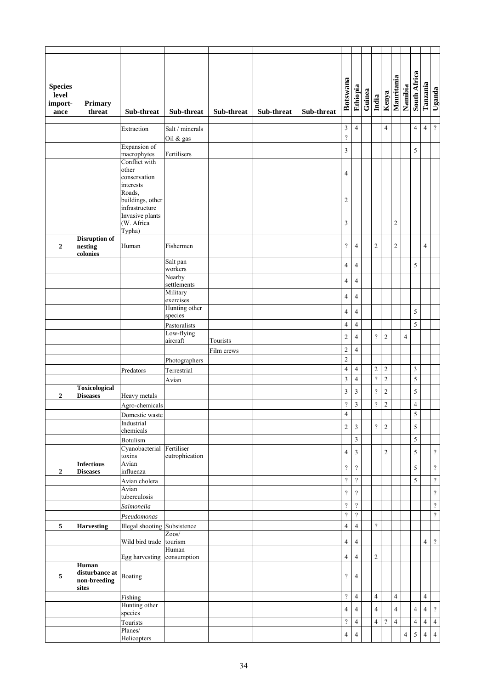| <b>Species</b><br>level<br>import-<br>ance | Primary<br>threat                                | Sub-threat                                   | Sub-threat                 | Sub-threat             | Sub-threat | Sub-threat | Botswana                   | Ethiopia                   | Guinea | India                    | Kenya                      | Mauritania       | Namibia        | South Africa            | Tanzania       | Uganda                     |
|--------------------------------------------|--------------------------------------------------|----------------------------------------------|----------------------------|------------------------|------------|------------|----------------------------|----------------------------|--------|--------------------------|----------------------------|------------------|----------------|-------------------------|----------------|----------------------------|
|                                            |                                                  |                                              |                            |                        |            |            | $\mathfrak z$              | $\overline{4}$             |        |                          | $\overline{4}$             |                  |                | $\overline{4}$          | $\overline{4}$ | $\boldsymbol{\mathcal{P}}$ |
|                                            |                                                  | Extraction                                   | Salt / minerals            |                        |            |            | $\boldsymbol{\mathcal{V}}$ |                            |        |                          |                            |                  |                |                         |                |                            |
|                                            |                                                  | Expansion of                                 | Oil & gas                  |                        |            |            |                            |                            |        |                          |                            |                  |                |                         |                |                            |
|                                            |                                                  | macrophytes                                  | Fertilisers                |                        |            |            | $\mathfrak z$              |                            |        |                          |                            |                  |                | 5                       |                |                            |
|                                            |                                                  | Conflict with<br>other                       |                            |                        |            |            |                            |                            |        |                          |                            |                  |                |                         |                |                            |
|                                            |                                                  | conservation                                 |                            |                        |            |            | 4                          |                            |        |                          |                            |                  |                |                         |                |                            |
|                                            |                                                  | interests                                    |                            |                        |            |            |                            |                            |        |                          |                            |                  |                |                         |                |                            |
|                                            |                                                  | Roads,<br>buildings, other<br>infrastructure |                            |                        |            |            | $\overline{c}$             |                            |        |                          |                            |                  |                |                         |                |                            |
|                                            |                                                  | Invasive plants                              |                            |                        |            |            |                            |                            |        |                          |                            |                  |                |                         |                |                            |
|                                            |                                                  | (W. Africa<br>Typha)                         |                            |                        |            |            | $\mathfrak z$              |                            |        |                          |                            | $\boldsymbol{2}$ |                |                         |                |                            |
|                                            | <b>Disruption of</b>                             |                                              |                            |                        |            |            |                            |                            |        |                          |                            |                  |                |                         |                |                            |
| $\mathbf{2}$                               | nesting<br>colonies                              | Human                                        | Fishermen<br>Salt pan      |                        |            |            | $\overline{\mathcal{C}}$   | $\overline{4}$             |        | $\overline{2}$           |                            | $\overline{2}$   |                |                         | $\overline{4}$ |                            |
|                                            |                                                  |                                              | workers                    |                        |            |            | $\overline{4}$             | $\overline{4}$             |        |                          |                            |                  |                | 5                       |                |                            |
|                                            |                                                  |                                              | Nearby<br>settlements      |                        |            |            | $\overline{4}$             | $\overline{4}$             |        |                          |                            |                  |                |                         |                |                            |
|                                            |                                                  |                                              | Military                   |                        |            |            | $\overline{4}$             | $\overline{4}$             |        |                          |                            |                  |                |                         |                |                            |
|                                            |                                                  |                                              | exercises<br>Hunting other |                        |            |            |                            |                            |        |                          |                            |                  |                |                         |                |                            |
|                                            |                                                  |                                              | species                    |                        |            |            | $\overline{4}$             | $\overline{4}$             |        |                          |                            |                  |                | 5                       |                |                            |
|                                            |                                                  |                                              | Pastoralists               |                        |            |            | $\overline{4}$             | $\overline{4}$             |        |                          |                            |                  |                | 5                       |                |                            |
|                                            |                                                  |                                              | Low-flying                 |                        |            |            | $\sqrt{2}$                 | $\overline{4}$             |        | $\gamma$                 | $\overline{2}$             |                  | $\overline{4}$ |                         |                |                            |
|                                            |                                                  |                                              | aircraft                   | Tourists<br>Film crews |            |            | $\sqrt{2}$                 | 4                          |        |                          |                            |                  |                |                         |                |                            |
|                                            |                                                  |                                              | Photographers              |                        |            |            | $\overline{c}$             |                            |        |                          |                            |                  |                |                         |                |                            |
|                                            |                                                  | Predators                                    | Terrestrial                |                        |            |            | $\overline{4}$             | $\overline{4}$             |        | $\sqrt{2}$               | $\overline{2}$             |                  |                | $\mathfrak z$           |                |                            |
|                                            |                                                  |                                              | Avian                      |                        |            |            | $\mathfrak z$              | $\overline{4}$             |        | $\boldsymbol{\gamma}$    | $\sqrt{2}$                 |                  |                | 5                       |                |                            |
|                                            | <b>Toxicological</b>                             |                                              |                            |                        |            |            | 3                          | 3                          |        | $\overline{?}$           | $\overline{c}$             |                  |                | 5                       |                |                            |
| $\boldsymbol{2}$                           | <b>Diseases</b>                                  | Heavy metals                                 |                            |                        |            |            | $\overline{\mathcal{C}}$   | $\mathfrak z$              |        | $\overline{?}$           | $\sqrt{2}$                 |                  |                | $\overline{\mathbf{4}}$ |                |                            |
|                                            |                                                  | Agro-chemicals<br>Domestic waste             |                            |                        |            |            | $\overline{\mathcal{L}}$   |                            |        |                          |                            |                  |                | 5                       |                |                            |
|                                            |                                                  | Industrial                                   |                            |                        |            |            |                            |                            |        |                          |                            |                  |                |                         |                |                            |
|                                            |                                                  | chemicals                                    |                            |                        |            |            | $\overline{c}$             | $\mathfrak z$              |        | $\overline{\mathcal{L}}$ | $\overline{2}$             |                  |                | $\sqrt{5}$              |                |                            |
|                                            |                                                  | Botulism                                     |                            |                        |            |            |                            | 3                          |        |                          |                            |                  |                | 5                       |                |                            |
|                                            |                                                  | Cyanobacterial Fertiliser<br>toxins          | eutrophication             |                        |            |            | $\overline{\mathbf{4}}$    | $\mathfrak{Z}$             |        |                          | $\sqrt{2}$                 |                  |                | 5                       |                | $\boldsymbol{\mathcal{V}}$ |
|                                            | <b>Infectious</b>                                | Avian                                        |                            |                        |            |            | $\boldsymbol{\mathcal{C}}$ | $\overline{?}$             |        |                          |                            |                  |                | 5                       |                | $\boldsymbol{\mathcal{P}}$ |
| $\mathbf{2}$                               | <b>Diseases</b>                                  | influenza<br>Avian cholera                   |                            |                        |            |            | $\boldsymbol{?}$           | $\boldsymbol{\mathcal{P}}$ |        |                          |                            |                  |                | 5                       |                | $\boldsymbol{\mathcal{P}}$ |
|                                            |                                                  | Avian                                        |                            |                        |            |            | $\boldsymbol{?}$           | $\overline{?}$             |        |                          |                            |                  |                |                         |                |                            |
|                                            |                                                  | tuberculosis                                 |                            |                        |            |            |                            |                            |        |                          |                            |                  |                |                         |                | $\boldsymbol{\mathcal{P}}$ |
|                                            |                                                  | Salmonella                                   |                            |                        |            |            | $\boldsymbol{?}$           | $\boldsymbol{\mathcal{P}}$ |        |                          |                            |                  |                |                         |                | $\boldsymbol{\mathcal{P}}$ |
|                                            |                                                  | Pseudomonas                                  |                            |                        |            |            | $\boldsymbol{\mathcal{C}}$ | $\boldsymbol{\mathcal{P}}$ |        |                          |                            |                  |                |                         |                | $\boldsymbol{\mathcal{P}}$ |
| 5                                          | <b>Harvesting</b>                                | Illegal shooting Subsistence                 | Zoos/                      |                        |            |            | $\overline{4}$             | $\overline{4}$             |        | $\boldsymbol{\gamma}$    |                            |                  |                |                         |                |                            |
|                                            |                                                  | Wild bird trade                              | tourism                    |                        |            |            | $\overline{\mathbf{4}}$    | $\overline{4}$             |        |                          |                            |                  |                |                         | $\overline{4}$ | $\, 2$                     |
|                                            |                                                  | Egg harvesting consumption                   | Human                      |                        |            |            | $\overline{\mathbf{4}}$    | $\overline{4}$             |        | $\overline{2}$           |                            |                  |                |                         |                |                            |
| 5                                          | Human<br>disturbance at<br>non-breeding<br>sites | Boating                                      |                            |                        |            |            | $\boldsymbol{\mathcal{P}}$ | $\overline{4}$             |        |                          |                            |                  |                |                         |                |                            |
|                                            |                                                  | Fishing                                      |                            |                        |            |            | $\overline{\mathcal{C}}$   | $\overline{4}$             |        | $\overline{4}$           |                            | $\overline{4}$   |                |                         | $\overline{4}$ |                            |
|                                            |                                                  | Hunting other                                |                            |                        |            |            | $\overline{4}$             | $\overline{4}$             |        | $\overline{4}$           |                            | $\overline{4}$   |                | $\overline{4}$          | $\sqrt{4}$     | $\boldsymbol{\mathcal{P}}$ |
|                                            |                                                  | species<br>Tourists                          |                            |                        |            |            | $\boldsymbol{?}$           | $\overline{4}$             |        | $\overline{4}$           | $\boldsymbol{\mathcal{P}}$ | $\overline{4}$   |                | $\overline{\mathbf{4}}$ | $\overline{4}$ | $\overline{4}$             |
|                                            |                                                  | Planes/                                      |                            |                        |            |            | $\overline{\mathbf{4}}$    | 4                          |        |                          |                            |                  | 4              |                         | $\overline{4}$ | $\overline{4}$             |
|                                            |                                                  | Helicopters                                  |                            |                        |            |            |                            |                            |        |                          |                            |                  |                | 5                       |                |                            |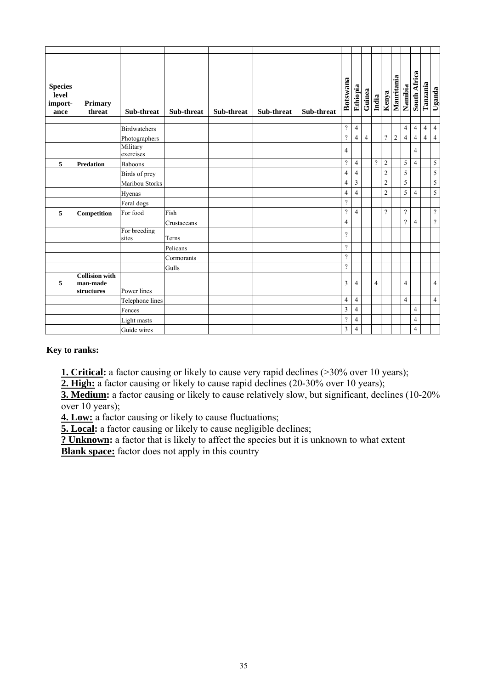| <b>Species</b><br>level<br>import-<br>ance | Primary<br>threat                               | Sub-threat            | Sub-threat  | Sub-threat | Sub-threat | Sub-threat | Botswana                 | Ethiopia       | Guinea         | India          | Kenya                    | Mauritania | Namibia        | South Africa   | Tanzania       | Uganda         |
|--------------------------------------------|-------------------------------------------------|-----------------------|-------------|------------|------------|------------|--------------------------|----------------|----------------|----------------|--------------------------|------------|----------------|----------------|----------------|----------------|
|                                            |                                                 | <b>Birdwatchers</b>   |             |            |            |            | $\gamma$                 | $\overline{4}$ |                |                |                          |            | $\overline{4}$ | $\overline{4}$ | $\overline{4}$ | $\overline{4}$ |
|                                            |                                                 | Photographers         |             |            |            |            | $\overline{?}$           | $\overline{4}$ | $\overline{4}$ |                | $\overline{\mathcal{L}}$ | $\sqrt{2}$ | $\overline{4}$ | $\overline{4}$ | $\overline{4}$ | $\overline{4}$ |
|                                            |                                                 | Military<br>exercises |             |            |            |            | 4                        |                |                |                |                          |            |                | $\overline{4}$ |                |                |
| 5                                          | <b>Predation</b>                                | <b>Baboons</b>        |             |            |            |            | $\overline{?}$           | $\overline{4}$ |                | $\gamma$       | $\sqrt{2}$               |            | 5              | $\overline{4}$ |                | $\sqrt{5}$     |
|                                            |                                                 | Birds of prey         |             |            |            |            | $\overline{4}$           | $\overline{4}$ |                |                | $\sqrt{2}$               |            | 5              |                |                | $\sqrt{5}$     |
|                                            |                                                 | Maribou Storks        |             |            |            |            | $\overline{4}$           | 3              |                |                | $\overline{c}$           |            | 5              |                |                | $\sqrt{5}$     |
|                                            |                                                 | Hyenas                |             |            |            |            | $\overline{4}$           | $\overline{4}$ |                |                | $\overline{c}$           |            | 5              | $\overline{4}$ |                | 5              |
|                                            |                                                 | Feral dogs            |             |            |            |            | $\gamma$                 |                |                |                |                          |            |                |                |                |                |
| 5                                          | Competition                                     | For food              | Fish        |            |            |            | $\gamma$                 | 4              |                |                | $\gamma$                 |            | $\gamma$       |                |                | $\gamma$       |
|                                            |                                                 |                       | Crustaceans |            |            |            | $\overline{4}$           |                |                |                |                          |            | $\overline{?}$ | $\overline{4}$ |                | $\overline{?}$ |
|                                            |                                                 | For breeding<br>sites | Terns       |            |            |            | $\gamma$                 |                |                |                |                          |            |                |                |                |                |
|                                            |                                                 |                       | Pelicans    |            |            |            | $\gamma$                 |                |                |                |                          |            |                |                |                |                |
|                                            |                                                 |                       | Cormorants  |            |            |            | $\gamma$                 |                |                |                |                          |            |                |                |                |                |
|                                            |                                                 |                       | Gulls       |            |            |            | $\gamma$                 |                |                |                |                          |            |                |                |                |                |
| 5                                          | <b>Collision</b> with<br>man-made<br>structures | Power lines           |             |            |            |            | 3                        | $\overline{4}$ |                | $\overline{4}$ |                          |            | 4              |                |                | $\overline{4}$ |
|                                            |                                                 | Telephone lines       |             |            |            |            | $\overline{4}$           | $\overline{4}$ |                |                |                          |            | $\overline{4}$ |                |                | $\overline{4}$ |
|                                            |                                                 | Fences                |             |            |            |            | 3                        | 4              |                |                |                          |            |                | $\overline{4}$ |                |                |
|                                            |                                                 | Light masts           |             |            |            |            | $\overline{\mathcal{L}}$ | 4              |                |                |                          |            |                | $\overline{4}$ |                |                |
|                                            |                                                 | Guide wires           |             |            |            |            | $\mathfrak z$            | 4              |                |                |                          |            |                | $\overline{4}$ |                |                |

**Key to ranks:** 

**1. Critical:** a factor causing or likely to cause very rapid declines (>30% over 10 years);

**2. High:** a factor causing or likely to cause rapid declines (20-30% over 10 years);

**3. Medium:** a factor causing or likely to cause relatively slow, but significant, declines (10-20%) over  $10$  years);

**4. Low:** a factor causing or likely to cause fluctuations;

**5. Local:** a factor causing or likely to cause negligible declines;

**? Unknown:** a factor that is likely to affect the species but it is unknown to what extent

**Blank space:** factor does not apply in this country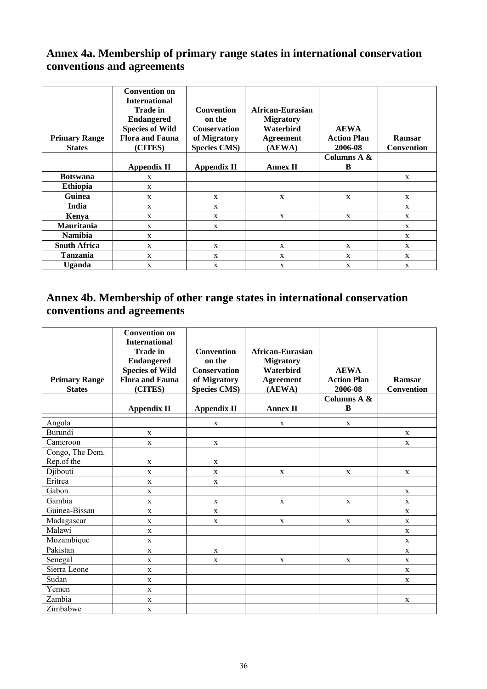## **Annex 4a. Membership of primary range states in international conservation conventions and agreements**

| <b>Primary Range</b><br><b>States</b> | <b>Convention on</b><br><b>International</b><br><b>Trade in</b><br><b>Endangered</b><br><b>Species of Wild</b><br><b>Flora and Fauna</b><br>(CITES) | <b>Convention</b><br>on the<br><b>Conservation</b><br>of Migratory<br><b>Species CMS)</b> | African-Eurasian<br><b>Migratory</b><br>Waterbird<br><b>Agreement</b><br>(AEWA) | <b>AEWA</b><br><b>Action Plan</b><br>2006-08 | Ramsar<br><b>Convention</b> |
|---------------------------------------|-----------------------------------------------------------------------------------------------------------------------------------------------------|-------------------------------------------------------------------------------------------|---------------------------------------------------------------------------------|----------------------------------------------|-----------------------------|
|                                       |                                                                                                                                                     |                                                                                           |                                                                                 | Columns A &                                  |                             |
|                                       | <b>Appendix II</b>                                                                                                                                  | <b>Appendix II</b>                                                                        | <b>Annex II</b>                                                                 | B                                            |                             |
| <b>Botswana</b>                       | X                                                                                                                                                   |                                                                                           |                                                                                 |                                              | X                           |
| <b>Ethiopia</b>                       | X                                                                                                                                                   |                                                                                           |                                                                                 |                                              |                             |
| <b>Guinea</b>                         | X                                                                                                                                                   | X                                                                                         | X                                                                               | X                                            | X                           |
| India                                 | X                                                                                                                                                   | X                                                                                         |                                                                                 |                                              | X                           |
| Kenya                                 | X                                                                                                                                                   | X                                                                                         | X                                                                               | X                                            | X                           |
| Mauritania                            | X                                                                                                                                                   | X                                                                                         |                                                                                 |                                              | X                           |
| <b>Namibia</b>                        | X                                                                                                                                                   |                                                                                           |                                                                                 |                                              | X                           |
| <b>South Africa</b>                   | X                                                                                                                                                   | X                                                                                         | $\mathbf x$                                                                     | X                                            | X                           |
| <b>Tanzania</b>                       | X                                                                                                                                                   | X                                                                                         | X                                                                               | X                                            | X                           |
| <b>Uganda</b>                         | X                                                                                                                                                   | X                                                                                         | X                                                                               | X                                            | X                           |

## **Annex 4b. Membership of other range states in international conservation conventions and agreements**

| <b>Primary Range</b><br><b>States</b> | <b>Convention on</b><br><b>International</b><br><b>Trade in</b><br><b>Endangered</b><br><b>Species of Wild</b><br><b>Flora and Fauna</b><br>(CITES)<br><b>Appendix II</b> | <b>Convention</b><br>on the<br><b>Conservation</b><br>of Migratory<br><b>Species CMS)</b><br><b>Appendix II</b> | <b>African-Eurasian</b><br><b>Migratory</b><br>Waterbird<br><b>Agreement</b><br>(AEWA)<br><b>Annex II</b> | <b>AEWA</b><br><b>Action Plan</b><br>2006-08<br>Columns A &<br>B | Ramsar<br><b>Convention</b> |
|---------------------------------------|---------------------------------------------------------------------------------------------------------------------------------------------------------------------------|-----------------------------------------------------------------------------------------------------------------|-----------------------------------------------------------------------------------------------------------|------------------------------------------------------------------|-----------------------------|
| Angola                                |                                                                                                                                                                           | $\mathbf x$                                                                                                     | X                                                                                                         | $\mathbf{X}$                                                     |                             |
| Burundi                               | $\mathbf X$                                                                                                                                                               |                                                                                                                 |                                                                                                           |                                                                  | $\mathbf X$                 |
| Cameroon                              | $\mathbf X$                                                                                                                                                               | $\mathbf X$                                                                                                     |                                                                                                           |                                                                  | $\mathbf{X}$                |
| Congo, The Dem.                       |                                                                                                                                                                           |                                                                                                                 |                                                                                                           |                                                                  |                             |
| Rep.of the                            | X                                                                                                                                                                         | $\mathbf x$                                                                                                     |                                                                                                           |                                                                  |                             |
| Djibouti                              | $\mathbf X$                                                                                                                                                               | $\mathbf X$                                                                                                     | X                                                                                                         | X                                                                | $\mathbf X$                 |
| Eritrea                               | $\mathbf X$                                                                                                                                                               | $\mathbf X$                                                                                                     |                                                                                                           |                                                                  |                             |
| Gabon                                 | $\mathbf x$                                                                                                                                                               |                                                                                                                 |                                                                                                           |                                                                  | $\mathbf X$                 |
| Gambia                                | $\mathbf X$                                                                                                                                                               | X                                                                                                               | $\mathbf X$                                                                                               | $\mathbf{X}$                                                     | X                           |
| Guinea-Bissau                         | $\mathbf X$                                                                                                                                                               | $\mathbf X$                                                                                                     |                                                                                                           |                                                                  | $\mathbf{X}$                |
| Madagascar                            | $\mathbf X$                                                                                                                                                               | $\mathbf X$                                                                                                     | $\mathbf X$                                                                                               | $\mathbf X$                                                      | $\mathbf X$                 |
| Malawi                                | $\mathbf X$                                                                                                                                                               |                                                                                                                 |                                                                                                           |                                                                  | $\mathbf X$                 |
| Mozambique                            | $\mathbf X$                                                                                                                                                               |                                                                                                                 |                                                                                                           |                                                                  | $\mathbf X$                 |
| Pakistan                              | $\mathbf X$                                                                                                                                                               | $\mathbf X$                                                                                                     |                                                                                                           |                                                                  | $\mathbf{X}$                |
| Senegal                               | $\mathbf X$                                                                                                                                                               | $\mathbf X$                                                                                                     | X                                                                                                         | $\mathbf{X}$                                                     | $\mathbf{X}$                |
| Sierra Leone                          | X                                                                                                                                                                         |                                                                                                                 |                                                                                                           |                                                                  | $\mathbf{X}$                |
| Sudan                                 | X                                                                                                                                                                         |                                                                                                                 |                                                                                                           |                                                                  | X                           |
| Yemen                                 | X                                                                                                                                                                         |                                                                                                                 |                                                                                                           |                                                                  |                             |
| Zambia                                | $\mathbf X$                                                                                                                                                               |                                                                                                                 |                                                                                                           |                                                                  | $\mathbf X$                 |
| Zimbabwe                              | X                                                                                                                                                                         |                                                                                                                 |                                                                                                           |                                                                  |                             |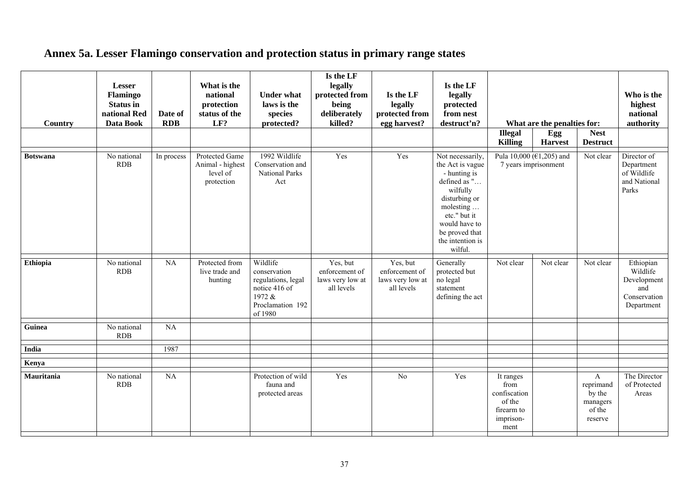## **Annex 5a. Lesser Flamingo conservation and protection status in primary range states**

| Country         | <b>Lesser</b><br>Flamingo<br><b>Status</b> in<br>national Red<br>Data Book | Date of<br><b>RDB</b> | What is the<br>national<br>protection<br>status of the<br>LF? | <b>Under what</b><br>laws is the<br>species<br>protected?                                                | Is the LF<br>legally<br>protected from<br>being<br>deliberately<br>killed? | Is the LF<br>legally<br>protected from<br>egg harvest?       | Is the LF<br>legally<br>protected<br>from nest<br>destruct'n?                                                                                                                                    | <b>Illegal</b><br><b>Killing</b>                                               | What are the penalties for:<br>Egg<br><b>Harvest</b> | <b>Nest</b><br><b>Destruct</b>                                       | Who is the<br>highest<br>national<br>authority                            |
|-----------------|----------------------------------------------------------------------------|-----------------------|---------------------------------------------------------------|----------------------------------------------------------------------------------------------------------|----------------------------------------------------------------------------|--------------------------------------------------------------|--------------------------------------------------------------------------------------------------------------------------------------------------------------------------------------------------|--------------------------------------------------------------------------------|------------------------------------------------------|----------------------------------------------------------------------|---------------------------------------------------------------------------|
| <b>Botswana</b> | No national<br>RDB                                                         | In process            | Protected Game<br>Animal - highest<br>level of<br>protection  | 1992 Wildlife<br>Conservation and<br><b>National Parks</b><br>Act                                        | Yes                                                                        | Yes                                                          | Not necessarily,<br>the Act is vague<br>- hunting is<br>defined as "<br>wilfully<br>disturbing or<br>molesting<br>etc." but it<br>would have to<br>be proved that<br>the intention is<br>wilful. | 7 years imprisonment                                                           | Pula 10,000 ( $\in$ 1,205) and                       | Not clear                                                            | Director of<br>Department<br>of Wildlife<br>and National<br>Parks         |
| Ethiopia        | No national<br><b>RDB</b>                                                  | NA                    | Protected from<br>live trade and<br>hunting                   | Wildlife<br>conservation<br>regulations, legal<br>notice 416 of<br>1972 &<br>Proclamation 192<br>of 1980 | Yes, but<br>enforcement of<br>laws very low at<br>all levels               | Yes, but<br>enforcement of<br>laws very low at<br>all levels | Generally<br>protected but<br>no legal<br>statement<br>defining the act                                                                                                                          | Not clear                                                                      | Not clear                                            | Not clear                                                            | Ethiopian<br>Wildlife<br>Development<br>and<br>Conservation<br>Department |
| Guinea          | No national<br><b>RDB</b>                                                  | <b>NA</b>             |                                                               |                                                                                                          |                                                                            |                                                              |                                                                                                                                                                                                  |                                                                                |                                                      |                                                                      |                                                                           |
| <b>India</b>    |                                                                            | 1987                  |                                                               |                                                                                                          |                                                                            |                                                              |                                                                                                                                                                                                  |                                                                                |                                                      |                                                                      |                                                                           |
| Kenya           |                                                                            |                       |                                                               |                                                                                                          |                                                                            |                                                              |                                                                                                                                                                                                  |                                                                                |                                                      |                                                                      |                                                                           |
| Mauritania      | No national<br><b>RDB</b>                                                  | <b>NA</b>             |                                                               | Protection of wild<br>fauna and<br>protected areas                                                       | Yes                                                                        | No                                                           | Yes                                                                                                                                                                                              | It ranges<br>from<br>confiscation<br>of the<br>firearm to<br>imprison-<br>ment |                                                      | $\mathbf{A}$<br>reprimand<br>by the<br>managers<br>of the<br>reserve | The Director<br>of Protected<br>Areas                                     |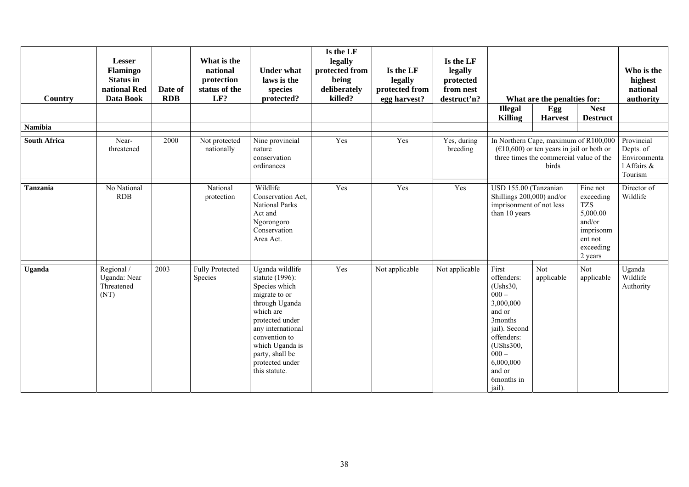| Country             | <b>Lesser</b><br><b>Flamingo</b><br><b>Status</b> in<br>national Red<br>Data Book | Date of<br><b>RDB</b> | What is the<br>national<br>protection<br>status of the<br>LF? | <b>Under what</b><br>laws is the<br>species<br>protected?                                                                                                                                                                              | Is the LF<br>legally<br>protected from<br>being<br>deliberately<br>killed? | Is the LF<br>legally<br>protected from<br>egg harvest? | Is the LF<br>legally<br>protected<br>from nest<br>destruct'n? |                                                                                                                                                                                                              | What are the penalties for: |                                | Who is the<br>highest<br>national<br>authority                    |
|---------------------|-----------------------------------------------------------------------------------|-----------------------|---------------------------------------------------------------|----------------------------------------------------------------------------------------------------------------------------------------------------------------------------------------------------------------------------------------|----------------------------------------------------------------------------|--------------------------------------------------------|---------------------------------------------------------------|--------------------------------------------------------------------------------------------------------------------------------------------------------------------------------------------------------------|-----------------------------|--------------------------------|-------------------------------------------------------------------|
|                     |                                                                                   |                       |                                                               |                                                                                                                                                                                                                                        |                                                                            |                                                        |                                                               | <b>Illegal</b><br><b>Killing</b>                                                                                                                                                                             | Egg<br><b>Harvest</b>       | <b>Nest</b><br><b>Destruct</b> |                                                                   |
| <b>Namibia</b>      |                                                                                   |                       |                                                               |                                                                                                                                                                                                                                        |                                                                            |                                                        |                                                               |                                                                                                                                                                                                              |                             |                                |                                                                   |
| <b>South Africa</b> | Near-<br>threatened                                                               | 2000                  | Not protected<br>nationally                                   | Nine provincial<br>nature<br>conservation<br>ordinances                                                                                                                                                                                | Yes                                                                        | Yes                                                    | Yes, during<br>breeding                                       | In Northern Cape, maximum of R100,000<br>$(\text{\textsterling}10,600)$ or ten years in jail or both or<br>three times the commercial value of the<br>birds                                                  |                             |                                | Provincial<br>Depts. of<br>Environmenta<br>1 Affairs &<br>Tourism |
| <b>Tanzania</b>     | No National<br><b>RDB</b>                                                         |                       | National<br>protection                                        | Wildlife<br>Conservation Act,<br><b>National Parks</b><br>Act and<br>Ngorongoro<br>Conservation<br>Area Act.                                                                                                                           | Yes                                                                        | Yes                                                    | Yes                                                           | USD 155.00 (Tanzanian<br>Fine not<br>Shillings 200,000) and/or<br>exceeding<br>imprisonment of not less<br><b>TZS</b><br>5,000.00<br>than 10 years<br>and/or<br>imprisonm<br>ent not<br>exceeding<br>2 years |                             |                                | Director of<br>Wildlife                                           |
| Uganda              | Regional /<br>Uganda: Near<br>Threatened<br>(NT)                                  | 2003                  | <b>Fully Protected</b><br>Species                             | Uganda wildlife<br>statute (1996):<br>Species which<br>migrate to or<br>through Uganda<br>which are<br>protected under<br>any international<br>convention to<br>which Uganda is<br>party, shall be<br>protected under<br>this statute. | Yes                                                                        | Not applicable                                         | Not applicable                                                | First<br>offenders:<br>(Ushs30,<br>$000 -$<br>3,000,000<br>and or<br>3months<br>jail). Second<br>offenders:<br>(UShs300,<br>$000 -$<br>6,000,000<br>and or<br>6months in<br>jail).                           | Not<br>applicable           | Not<br>applicable              | Uganda<br>Wildlife<br>Authority                                   |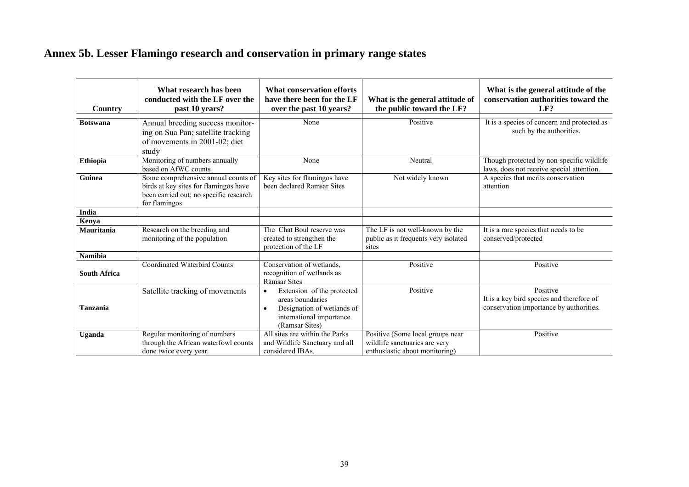## **Annex 5b. Lesser Flamingo research and conservation in primary range states**

| Country             | What research has been<br>conducted with the LF over the<br>past 10 years?                                                              | <b>What conservation efforts</b><br>have there been for the LF<br>over the past 10 years?                                                            | What is the general attitude of<br>the public toward the LF?                                        | What is the general attitude of the<br>conservation authorities toward the<br>LF?                |
|---------------------|-----------------------------------------------------------------------------------------------------------------------------------------|------------------------------------------------------------------------------------------------------------------------------------------------------|-----------------------------------------------------------------------------------------------------|--------------------------------------------------------------------------------------------------|
| <b>Botswana</b>     | Annual breeding success monitor-<br>ing on Sua Pan; satellite tracking<br>of movements in 2001-02; diet<br>study                        | None                                                                                                                                                 | Positive                                                                                            | It is a species of concern and protected as<br>such by the authorities.                          |
| Ethiopia            | Monitoring of numbers annually<br>based on AfWC counts                                                                                  | None                                                                                                                                                 | Neutral                                                                                             | Though protected by non-specific wildlife<br>laws, does not receive special attention.           |
| Guinea              | Some comprehensive annual counts of<br>birds at key sites for flamingos have<br>been carried out; no specific research<br>for flamingos | Key sites for flamingos have<br>been declared Ramsar Sites                                                                                           | Not widely known                                                                                    | A species that merits conservation<br>attention                                                  |
| India               |                                                                                                                                         |                                                                                                                                                      |                                                                                                     |                                                                                                  |
| Kenya               |                                                                                                                                         |                                                                                                                                                      |                                                                                                     |                                                                                                  |
| Mauritania          | Research on the breeding and<br>monitoring of the population                                                                            | The Chat Boul reserve was<br>created to strengthen the<br>protection of the LF                                                                       | The LF is not well-known by the<br>public as it frequents very isolated<br>sites                    | It is a rare species that needs to be<br>conserved/protected                                     |
| <b>Namibia</b>      |                                                                                                                                         |                                                                                                                                                      |                                                                                                     |                                                                                                  |
| <b>South Africa</b> | Coordinated Waterbird Counts                                                                                                            | Conservation of wetlands,<br>recognition of wetlands as<br><b>Ramsar Sites</b>                                                                       | Positive                                                                                            | Positive                                                                                         |
| Tanzania            | Satellite tracking of movements                                                                                                         | Extension of the protected<br>$\bullet$<br>areas boundaries<br>Designation of wetlands of<br>$\bullet$<br>international importance<br>(Ramsar Sites) | Positive                                                                                            | Positive<br>It is a key bird species and therefore of<br>conservation importance by authorities. |
| <b>Uganda</b>       | Regular monitoring of numbers<br>through the African waterfowl counts<br>done twice every year.                                         | All sites are within the Parks<br>and Wildlife Sanctuary and all<br>considered IBAs.                                                                 | Positive (Some local groups near<br>wildlife sanctuaries are very<br>enthusiastic about monitoring) | Positive                                                                                         |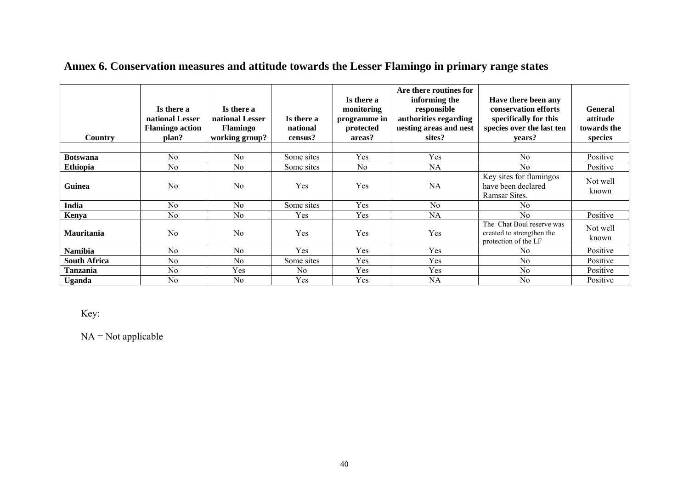| <b>Country</b>      | Is there a<br>national Lesser<br><b>Flamingo action</b><br>plan? | Is there a<br>national Lesser<br><b>Flamingo</b><br>working group? | Is there a<br>national<br>census? | Is there a<br>monitoring<br>programme in<br>protected<br>areas? | Are there routines for<br>informing the<br>responsible<br>authorities regarding<br>nesting areas and nest<br>sites? | Have there been any<br>conservation efforts<br>specifically for this<br>species over the last ten<br>vears? | <b>General</b><br>attitude<br>towards the<br>species |
|---------------------|------------------------------------------------------------------|--------------------------------------------------------------------|-----------------------------------|-----------------------------------------------------------------|---------------------------------------------------------------------------------------------------------------------|-------------------------------------------------------------------------------------------------------------|------------------------------------------------------|
|                     |                                                                  |                                                                    |                                   |                                                                 |                                                                                                                     |                                                                                                             |                                                      |
| <b>Botswana</b>     | No                                                               | No                                                                 | Some sites                        | Yes                                                             | Yes                                                                                                                 | No                                                                                                          | Positive                                             |
| <b>Ethiopia</b>     | N <sub>0</sub>                                                   | N <sub>o</sub>                                                     | Some sites                        | N <sub>o</sub>                                                  | NA                                                                                                                  | No                                                                                                          | Positive                                             |
| Guinea              | N <sub>0</sub>                                                   | No                                                                 | Yes                               | Yes                                                             | NA                                                                                                                  | Key sites for flamingos<br>have been declared<br>Ramsar Sites.                                              | Not well<br>known                                    |
| India               | N <sub>0</sub>                                                   | No                                                                 | Some sites                        | Yes                                                             | No                                                                                                                  | No                                                                                                          |                                                      |
| Kenya               | N <sub>0</sub>                                                   | No                                                                 | Yes                               | Yes                                                             | NA                                                                                                                  | N <sub>0</sub>                                                                                              | Positive                                             |
| <b>Mauritania</b>   | N <sub>0</sub>                                                   | No                                                                 | Yes                               | Yes                                                             | Yes                                                                                                                 | The Chat Boul reserve was<br>created to strengthen the<br>protection of the LF                              | Not well<br>known                                    |
| <b>Namibia</b>      | N <sub>0</sub>                                                   | No                                                                 | Yes                               | Yes                                                             | Yes                                                                                                                 | No                                                                                                          | Positive                                             |
| <b>South Africa</b> | N <sub>0</sub>                                                   | N <sub>0</sub>                                                     | Some sites                        | Yes                                                             | Yes                                                                                                                 | $\rm No$                                                                                                    | Positive                                             |
| <b>Tanzania</b>     | N <sub>0</sub>                                                   | Yes                                                                | No                                | Yes                                                             | Yes                                                                                                                 | N <sub>0</sub>                                                                                              | Positive                                             |
| <b>Uganda</b>       | N <sub>0</sub>                                                   | N <sub>0</sub>                                                     | Yes                               | Yes                                                             | NA                                                                                                                  | N <sub>0</sub>                                                                                              | Positive                                             |

## **Annex 6. Conservation measures and attitude towards the Lesser Flamingo in primary range states**

Key:

 $NA = Not applicable$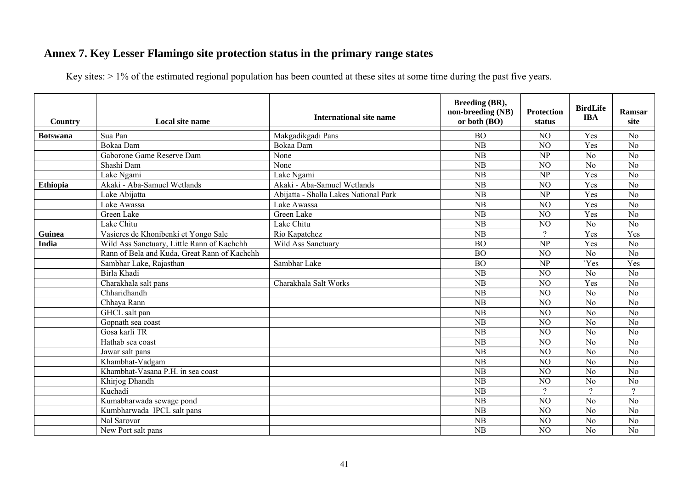## **Annex 7. Key Lesser Flamingo site protection status in the primary range states**

Key sites: > 1% of the estimated regional population has been counted at these sites at some time during the past five years.

| Country         | Local site name                              | International site name               | Breeding (BR),<br>non-breeding (NB)<br>or both $(BO)$ | <b>Protection</b><br>status | <b>BirdLife</b><br><b>IBA</b> | Ramsar<br>site  |
|-----------------|----------------------------------------------|---------------------------------------|-------------------------------------------------------|-----------------------------|-------------------------------|-----------------|
| <b>Botswana</b> | Sua Pan                                      | Makgadikgadi Pans                     | <b>BO</b>                                             | N <sub>O</sub>              | Yes                           | N <sub>0</sub>  |
|                 | Bokaa Dam                                    | Bokaa Dam                             | NB                                                    | N <sub>O</sub>              | Yes                           | $\overline{No}$ |
|                 | Gaborone Game Reserve Dam                    | None                                  | NB                                                    | NP                          | No                            | $\overline{No}$ |
|                 | Shashi Dam                                   | None                                  | $\overline{\text{NB}}$                                | NO                          | N <sub>o</sub>                | $\overline{No}$ |
|                 | Lake Ngami                                   | Lake Ngami                            | $\overline{\text{NB}}$                                | NP                          | Yes                           | $\overline{No}$ |
| <b>Ethiopia</b> | Akaki - Aba-Samuel Wetlands                  | Akaki - Aba-Samuel Wetlands           | NB                                                    | NO                          | Yes                           | $\overline{No}$ |
|                 | Lake Abijatta                                | Abijatta - Shalla Lakes National Park | NB                                                    | NP                          | Yes                           | $\overline{No}$ |
|                 | Lake Awassa                                  | Lake Awassa                           | NB                                                    | NO                          | Yes                           | $\overline{No}$ |
|                 | Green Lake                                   | Green Lake                            | NB                                                    | NO                          | Yes                           | $\overline{No}$ |
|                 | Lake Chitu                                   | Lake Chitu                            | NB                                                    | NO                          | N <sub>o</sub>                | $\overline{No}$ |
| Guinea          | Vasieres de Khonibenki et Yongo Sale         | Rio Kapatchez                         | NB                                                    | $\gamma$                    | Yes                           | Yes             |
| <b>India</b>    | Wild Ass Sanctuary, Little Rann of Kachchh   | Wild Ass Sanctuary                    | <b>BO</b>                                             | NP                          | Yes                           | N <sub>o</sub>  |
|                 | Rann of Bela and Kuda, Great Rann of Kachchh |                                       | $\overline{BO}$                                       | $\overline{NO}$             | $\overline{No}$               | $\overline{No}$ |
|                 | Sambhar Lake, Rajasthan                      | Sambhar Lake                          | $\overline{BO}$                                       | $\overline{\text{NP}}$      | 'Yes                          | Yes             |
|                 | Birla Khadi                                  |                                       | $\overline{\text{NB}}$                                | NO                          | N <sub>o</sub>                | $\overline{No}$ |
|                 | Charakhala salt pans                         | Charakhala Salt Works                 | NB                                                    | N <sub>O</sub>              | Yes                           | $\overline{No}$ |
|                 | Chharidhandh                                 |                                       | NB                                                    | NO                          | No                            | $\overline{No}$ |
|                 | Chhaya Rann                                  |                                       | NB                                                    | NO                          | N <sub>o</sub>                | $\overline{No}$ |
|                 | GHCL salt pan                                |                                       | $\overline{\text{NB}}$                                | NO                          | No                            | $\overline{No}$ |
|                 | Gopnath sea coast                            |                                       | $\overline{NB}$                                       | NO                          | $\overline{No}$               | $\overline{No}$ |
|                 | Gosa karli TR                                |                                       | NB                                                    | N <sub>O</sub>              | N <sub>o</sub>                | N <sub>o</sub>  |
|                 | Hathab sea coast                             |                                       | NB                                                    | N <sub>O</sub>              | N <sub>o</sub>                | N <sub>o</sub>  |
|                 | Jawar salt pans                              |                                       | NB                                                    | N <sub>O</sub>              | No                            | $\overline{No}$ |
|                 | Khambhat-Vadgam                              |                                       | NB                                                    | $\overline{NO}$             | $\overline{No}$               | N <sub>o</sub>  |
|                 | Khambhat-Vasana P.H. in sea coast            |                                       | $\overline{\text{NB}}$                                | N <sub>O</sub>              | N <sub>o</sub>                | $\overline{No}$ |
|                 | Khirjog Dhandh                               |                                       | NB                                                    | N <sub>O</sub>              | N <sub>o</sub>                | $\overline{No}$ |
|                 | Kuchadi                                      |                                       | NB                                                    | $\gamma$                    | $\gamma$                      | $\gamma$        |
|                 | Kumabharwada sewage pond                     |                                       | $\overline{\text{NB}}$                                | $\overline{NO}$             | $\overline{No}$               | $\overline{No}$ |
|                 | Kumbharwada IPCL salt pans                   |                                       | NB                                                    | NO                          | No                            | $\overline{No}$ |
|                 | Nal Sarovar                                  |                                       | NB                                                    | N <sub>O</sub>              | N <sub>o</sub>                | N <sub>o</sub>  |
|                 | New Port salt pans                           |                                       | NB                                                    | N <sub>O</sub>              | N <sub>o</sub>                | $\overline{No}$ |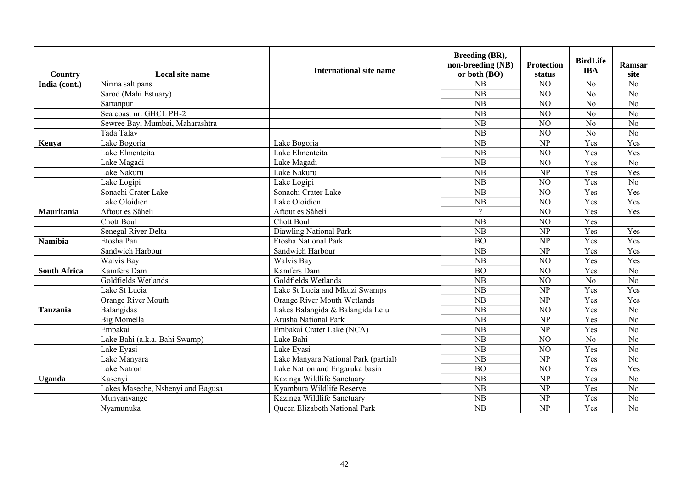| Country             | Local site name                   | <b>International site name</b>       | Breeding (BR),<br>non-breeding (NB)<br>or both (BO) | <b>Protection</b><br>status | <b>BirdLife</b><br><b>IBA</b> | Ramsar<br>site  |
|---------------------|-----------------------------------|--------------------------------------|-----------------------------------------------------|-----------------------------|-------------------------------|-----------------|
| India (cont.)       | Nirma salt pans                   |                                      | NB                                                  | NO                          | N <sub>o</sub>                | N <sub>o</sub>  |
|                     | Sarod (Mahi Estuary)              |                                      | NB                                                  | NO                          | N <sub>o</sub>                | N <sub>o</sub>  |
|                     | Sartanpur                         |                                      | NB                                                  | NO                          | $\overline{No}$               | $\overline{No}$ |
|                     | Sea coast nr. GHCL PH-2           |                                      | $\overline{\text{NB}}$                              | $\overline{NO}$             | $\overline{No}$               | $\overline{No}$ |
|                     | Sewree Bay, Mumbai, Maharashtra   |                                      | NB                                                  | NO                          | N <sub>0</sub>                | $\overline{No}$ |
|                     | Tada Talav                        |                                      | NB                                                  | NO                          | N <sub>0</sub>                | $\overline{No}$ |
| Kenya               | Lake Bogoria                      | Lake Bogoria                         | NB                                                  | NP                          | Yes                           | Yes             |
|                     | Lake Elmenteita                   | Lake Elmenteita                      | $\overline{\text{NB}}$                              | NO                          | Yes                           | Yes             |
|                     | Lake Magadi                       | Lake Magadi                          | $\overline{\text{NB}}$                              | $\overline{NO}$             | Yes                           | $\overline{No}$ |
|                     | Lake Nakuru                       | Lake Nakuru                          | $\overline{\text{NB}}$                              | $\overline{NP}$             | Yes                           | Yes             |
|                     | Lake Logipi                       | Lake Logipi                          | NB                                                  | NO                          | Yes                           | $\overline{No}$ |
|                     | Sonachi Crater Lake               | Sonachi Crater Lake                  | NB                                                  | NO                          | Yes                           | Yes             |
|                     | Lake Oloidien                     | Lake Oloidien                        | $\overline{\text{NB}}$                              | NO                          | Yes                           | Yes             |
| Mauritania          | Aftout es Sâheli                  | Aftout es Sâheli                     | $\gamma$                                            | $\overline{NO}$             | Yes                           | Yes             |
|                     | <b>Chott Boul</b>                 | <b>Chott Boul</b>                    | $\overline{\text{NB}}$                              | $\overline{NO}$             | Yes                           |                 |
|                     | Senegal River Delta               | <b>Diawling National Park</b>        | $\overline{\text{NB}}$                              | $\overline{NP}$             | Yes                           | Yes             |
| <b>Namibia</b>      | Etosha Pan                        | Etosha National Park                 | <b>BO</b>                                           | $\overline{\text{NP}}$      | Yes                           | Yes             |
|                     | Sandwich Harbour                  | Sandwich Harbour                     | $\overline{\text{NB}}$                              | NP                          | Yes                           | Yes             |
|                     | Walvis Bay                        | Walvis Bay                           | $\overline{\text{NB}}$                              | $\overline{NO}$             | Yes                           | Yes             |
| <b>South Africa</b> | Kamfers Dam                       | Kamfers Dam                          | $\overline{BO}$                                     | $\overline{NO}$             | Yes                           | $\overline{No}$ |
|                     | Goldfields Wetlands               | Goldfields Wetlands                  | $\overline{\text{NB}}$                              | $\overline{NO}$             | $\overline{No}$               | $\overline{No}$ |
|                     | Lake St Lucia                     | Lake St Lucia and Mkuzi Swamps       | $\overline{\text{NB}}$                              | NP                          | Yes                           | Yes             |
|                     | Orange River Mouth                | <b>Orange River Mouth Wetlands</b>   | $\overline{\text{NB}}$                              | $\overline{\text{NP}}$      | Yes                           | Yes             |
| <b>Tanzania</b>     | Balangidas                        | Lakes Balangida & Balangida Lelu     | $\overline{\text{NB}}$                              | $\overline{NO}$             | Yes                           | $\overline{No}$ |
|                     | <b>Big Momella</b>                | Arusha National Park                 | $\overline{\text{NB}}$                              | NP                          | Yes                           | $\overline{No}$ |
|                     | Empakai                           | Embakai Crater Lake (NCA)            | $\overline{\text{NB}}$                              | $\overline{NP}$             | Yes                           | $\overline{No}$ |
|                     | Lake Bahi (a.k.a. Bahi Swamp)     | Lake Bahi                            | $\overline{\text{NB}}$                              | $\overline{NO}$             | $\overline{No}$               | $\overline{No}$ |
|                     | Lake Eyasi                        | Lake Eyasi                           | $\overline{\text{NB}}$                              | $\overline{NO}$             | Yes                           | $\overline{No}$ |
|                     | Lake Manyara                      | Lake Manyara National Park (partial) | $\overline{\text{NB}}$                              | $\overline{NP}$             | Yes                           | $\overline{No}$ |
|                     | <b>Lake Natron</b>                | Lake Natron and Engaruka basin       | $\overline{BO}$                                     | $\overline{NO}$             | Yes                           | Yes             |
| Uganda              | Kasenyi                           | Kazinga Wildlife Sanctuary           | $\overline{\text{NB}}$                              | $\overline{NP}$             | Yes                           | $\overline{No}$ |
|                     | Lakes Maseche, Nshenyi and Bagusa | Kyambura Wildlife Reserve            | $\overline{\text{NB}}$                              | $\overline{\text{NP}}$      | Yes                           | $\overline{No}$ |
|                     | Munyanyange                       | Kazinga Wildlife Sanctuary           | NB                                                  | NP                          | Yes                           | $\overline{No}$ |
|                     | Nyamunuka                         | <b>Oueen Elizabeth National Park</b> | NB                                                  | NP                          | Yes                           | $\overline{No}$ |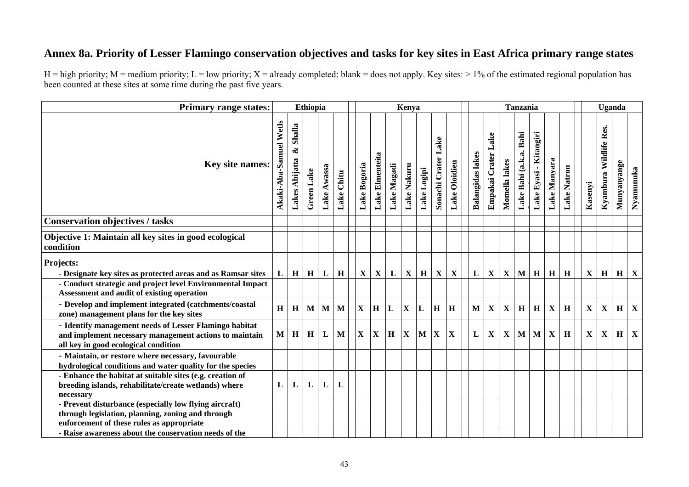## **Annex 8a. Priority of Lesser Flamingo conservation objectives and tasks for key sites in East Africa primary range states**

| <b>Primary range states:</b>                                                                                                                             |                        |                               | <b>Ethiopia</b> |             |             |              |                         |              | Kenya                   |                |                         |               |                         |                        |               | <b>Tanzania</b>         |                           |                         |             |             | Uganda                    |             |                         |
|----------------------------------------------------------------------------------------------------------------------------------------------------------|------------------------|-------------------------------|-----------------|-------------|-------------|--------------|-------------------------|--------------|-------------------------|----------------|-------------------------|---------------|-------------------------|------------------------|---------------|-------------------------|---------------------------|-------------------------|-------------|-------------|---------------------------|-------------|-------------------------|
| <b>Key site names:</b>                                                                                                                                   | Akaki-Aba-Samuel Wetls | Shalla<br>ళ<br>Lakes Abijatta | Green Lake      | Lake Awassa | Lake Chitu  | Lake Bogoria | Lake Elmenteita         | Lake Magadi  | Lake Nakuru             | Lake Logipi    | Lake<br>Sonachi Crater  | Lake Oloidien | <b>Balangidas lakes</b> | Lake<br>Empakai Crater | Momella lakes | Lake Bahi (a.k.a. Bahi  | - Kitangiri<br>Lake Eyasi | Lake Manyara            | Lake Natron | Kasenyi     | Res.<br>Kyambura Wildlife | Munyanyange | Nyamunuka               |
| <b>Conservation objectives / tasks</b>                                                                                                                   |                        |                               |                 |             |             |              |                         |              |                         |                |                         |               |                         |                        |               |                         |                           |                         |             |             |                           |             |                         |
| Objective 1: Maintain all key sites in good ecological<br>condition                                                                                      |                        |                               |                 |             |             |              |                         |              |                         |                |                         |               |                         |                        |               |                         |                           |                         |             |             |                           |             |                         |
| Projects:                                                                                                                                                |                        |                               |                 |             |             |              |                         |              |                         |                |                         |               |                         |                        |               |                         |                           |                         |             |             |                           |             |                         |
| - Designate key sites as protected areas and as Ramsar sites                                                                                             | L                      | $\overline{H}$                | $\overline{H}$  | ${\bf L}$   | $\mathbf H$ | $\mathbf X$  | $\overline{\mathbf{X}}$ | $\mathbf L$  | $\overline{\mathbf{X}}$ | $\overline{H}$ | $\overline{\mathbf{X}}$ | $\mathbf X$   | L                       | $\mathbf X$            | $\mathbf X$   | $\overline{\mathbf{M}}$ | $\overline{H}$            | $\overline{\mathbf{H}}$ | H           | $\mathbf X$ | $\overline{H}$            | $\mathbf H$ | $\overline{\mathbf{X}}$ |
| - Conduct strategic and project level Environmental Impact<br>Assessment and audit of existing operation                                                 |                        |                               |                 |             |             |              |                         |              |                         |                |                         |               |                         |                        |               |                         |                           |                         |             |             |                           |             |                         |
| - Develop and implement integrated (catchments/coastal<br>zone) management plans for the key sites                                                       | H                      | H                             | $\mathbf{M}$    | M           | M           | $\mathbf X$  | H                       | L            | $\mathbf{X}$            | L              | H                       | H             | $\mathbf{M}$            | $\mathbf X$            | $\mathbf X$   | H                       | H                         | $\mathbf X$             | H           | $\mathbf X$ | $\mathbf X$               | $\mathbf H$ | $\mathbf X$             |
| - Identify management needs of Lesser Flamingo habitat<br>and implement necessary management actions to maintain<br>all key in good ecological condition | M                      | H                             | H               | L           | M           | X            | $\mathbf X$             | $\mathbf{H}$ | $\mathbf X$             | M              | $\mathbf{X}$            | X             | L                       | $\mathbf X$            | $\mathbf X$   | $\mathbf{M}$            | $\mathbf{M}$              | $\mathbf X$             | $\mathbf H$ | $\mathbf X$ | $\mathbf X$               | H           | X                       |
| - Maintain, or restore where necessary, favourable<br>hydrological conditions and water quality for the species                                          |                        |                               |                 |             |             |              |                         |              |                         |                |                         |               |                         |                        |               |                         |                           |                         |             |             |                           |             |                         |
| - Enhance the habitat at suitable sites (e.g. creation of<br>breeding islands, rehabilitate/create wetlands) where<br>necessary                          | L                      | L                             | L               | L           | L           |              |                         |              |                         |                |                         |               |                         |                        |               |                         |                           |                         |             |             |                           |             |                         |
| - Prevent disturbance (especially low flying aircraft)<br>through legislation, planning, zoning and through<br>enforcement of these rules as appropriate |                        |                               |                 |             |             |              |                         |              |                         |                |                         |               |                         |                        |               |                         |                           |                         |             |             |                           |             |                         |
| - Raise awareness about the conservation needs of the                                                                                                    |                        |                               |                 |             |             |              |                         |              |                         |                |                         |               |                         |                        |               |                         |                           |                         |             |             |                           |             |                         |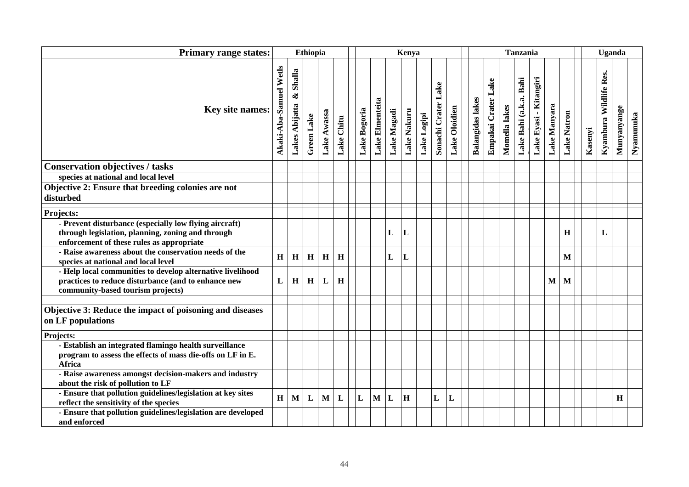| <b>Primary range states:</b>                                                                                                                             |                        |                               | <b>Ethiopia</b> |             |             |         |              |                 |              | Kenya       |             |                     |               |                         |                     |               | <b>Tanzania</b>        |                        |              |              |         | Uganda                 |             |           |
|----------------------------------------------------------------------------------------------------------------------------------------------------------|------------------------|-------------------------------|-----------------|-------------|-------------|---------|--------------|-----------------|--------------|-------------|-------------|---------------------|---------------|-------------------------|---------------------|---------------|------------------------|------------------------|--------------|--------------|---------|------------------------|-------------|-----------|
| <b>Key site names:</b>                                                                                                                                   | Akaki-Aba-Samuel Wetls | Shalla<br>ళ<br>Lakes Abijatta | Green Lake      | Lake Awassa | Lake Chitu  |         | Lake Bogoria | Lake Elmenteita | Lake Magadi  | Lake Nakuru | Lake Logipi | Sonachi Crater Lake | Lake Oloidien | <b>Balangidas lakes</b> | Empakai Crater Lake | Momella lakes | Lake Bahi (a.k.a. Bahi | Lake Eyasi - Kitangiri | Lake Manyara | Lake Natron  | Kasenyi | Kyambura Wildlife Res. | Munyanyange | Nyamunuka |
| <b>Conservation objectives / tasks</b>                                                                                                                   |                        |                               |                 |             |             |         |              |                 |              |             |             |                     |               |                         |                     |               |                        |                        |              |              |         |                        |             |           |
| species at national and local level                                                                                                                      |                        |                               |                 |             |             |         |              |                 |              |             |             |                     |               |                         |                     |               |                        |                        |              |              |         |                        |             |           |
| Objective 2: Ensure that breeding colonies are not<br>disturbed                                                                                          |                        |                               |                 |             |             |         |              |                 |              |             |             |                     |               |                         |                     |               |                        |                        |              |              |         |                        |             |           |
| Projects:                                                                                                                                                |                        |                               |                 |             |             |         |              |                 |              |             |             |                     |               |                         |                     |               |                        |                        |              |              |         |                        |             |           |
| - Prevent disturbance (especially low flying aircraft)<br>through legislation, planning, zoning and through<br>enforcement of these rules as appropriate |                        |                               |                 |             |             |         |              |                 | L            | L           |             |                     |               |                         |                     |               |                        |                        |              | H            |         | L                      |             |           |
| - Raise awareness about the conservation needs of the<br>species at national and local level                                                             | $\mathbf H$            | $\bf H$                       | H               | $\mathbf H$ | $\mathbf H$ |         |              |                 | $\mathbf{L}$ | L           |             |                     |               |                         |                     |               |                        |                        |              | $\mathbf{M}$ |         |                        |             |           |
| - Help local communities to develop alternative livelihood<br>practices to reduce disturbance (and to enhance new<br>community-based tourism projects)   | L                      | H                             | $\bf H$         | L           | H           |         |              |                 |              |             |             |                     |               |                         |                     |               |                        |                        | M            | M            |         |                        |             |           |
|                                                                                                                                                          |                        |                               |                 |             |             |         |              |                 |              |             |             |                     |               |                         |                     |               |                        |                        |              |              |         |                        |             |           |
| Objective 3: Reduce the impact of poisoning and diseases<br>on LF populations                                                                            |                        |                               |                 |             |             |         |              |                 |              |             |             |                     |               |                         |                     |               |                        |                        |              |              |         |                        |             |           |
| Projects:                                                                                                                                                |                        |                               |                 |             |             |         |              |                 |              |             |             |                     |               |                         |                     |               |                        |                        |              |              |         |                        |             |           |
| - Establish an integrated flamingo health surveillance<br>program to assess the effects of mass die-offs on LF in E.<br>Africa                           |                        |                               |                 |             |             |         |              |                 |              |             |             |                     |               |                         |                     |               |                        |                        |              |              |         |                        |             |           |
| - Raise awareness amongst decision-makers and industry<br>about the risk of pollution to LF                                                              |                        |                               |                 |             |             |         |              |                 |              |             |             |                     |               |                         |                     |               |                        |                        |              |              |         |                        |             |           |
| - Ensure that pollution guidelines/legislation at key sites<br>reflect the sensitivity of the species                                                    | $\mathbf H$            | $\mathbf{M}$                  | ${\bf L}$       | $\mathbf M$ | L           | $\bf L$ |              | M               | L            | $\bf H$     |             | $\mathbf L$         | L             |                         |                     |               |                        |                        |              |              |         |                        | H           |           |
| - Ensure that pollution guidelines/legislation are developed<br>and enforced                                                                             |                        |                               |                 |             |             |         |              |                 |              |             |             |                     |               |                         |                     |               |                        |                        |              |              |         |                        |             |           |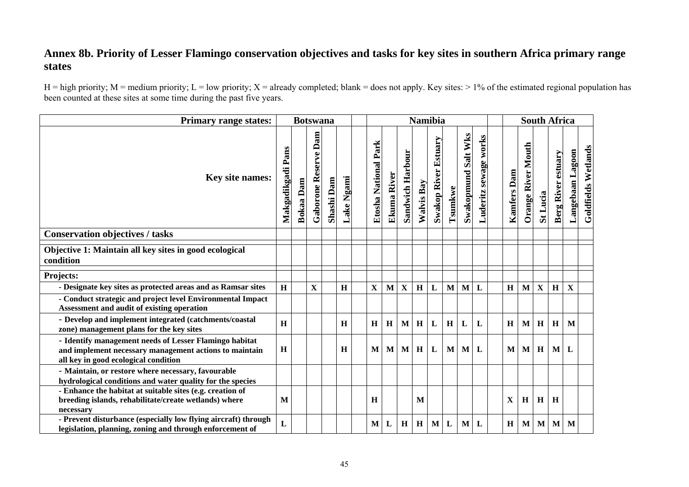## **Annex 8b. Priority of Lesser Flamingo conservation objectives and tasks for key sites in southern Africa primary range states**

| <b>Primary range states:</b>                                                                                                                             |                      |                  | <b>Botswana</b>         |            |            |                         |             |                         |            | <b>Namibia</b>              |              |                            |                          |             |                           |              | <b>South Africa</b>       |                  |                     |
|----------------------------------------------------------------------------------------------------------------------------------------------------------|----------------------|------------------|-------------------------|------------|------------|-------------------------|-------------|-------------------------|------------|-----------------------------|--------------|----------------------------|--------------------------|-------------|---------------------------|--------------|---------------------------|------------------|---------------------|
| Key site names:                                                                                                                                          | Pans<br>Makgadikgadi | <b>Bokaa</b> Dam | Dam<br>Gaborone Reserve | Shashi Dam | Lake Ngami | Park<br>Etosha National | Ekuma River | <b>Sandwich Harbour</b> | Walvis Bay | <b>Swakop River Estuary</b> | Tsumkwe      | <b>Swakopmund Salt Wks</b> | sewage works<br>Luderitz | Kamfers Dam | <b>Orange River Mouth</b> | St Lucia     | <b>Berg River estuary</b> | Langebaan Lagoon | Goldfields Wetlands |
| <b>Conservation objectives / tasks</b>                                                                                                                   |                      |                  |                         |            |            |                         |             |                         |            |                             |              |                            |                          |             |                           |              |                           |                  |                     |
| Objective 1: Maintain all key sites in good ecological<br>condition                                                                                      |                      |                  |                         |            |            |                         |             |                         |            |                             |              |                            |                          |             |                           |              |                           |                  |                     |
| Projects:                                                                                                                                                |                      |                  |                         |            |            |                         |             |                         |            |                             |              |                            |                          |             |                           |              |                           |                  |                     |
| - Designate key sites as protected areas and as Ramsar sites                                                                                             | H                    |                  | $\mathbf X$             |            | H          | $\mathbf X$             | $\mathbf M$ | $\mathbf{X}$            | H          | ${\bf L}$                   | $\mathbf M$  | $\mathbf{M}$               | L                        | H           | $\mathbf{M}$              | $\mathbf X$  | H                         | $\mathbf X$      |                     |
| - Conduct strategic and project level Environmental Impact<br>Assessment and audit of existing operation                                                 |                      |                  |                         |            |            |                         |             |                         |            |                             |              |                            |                          |             |                           |              |                           |                  |                     |
| - Develop and implement integrated (catchments/coastal<br>zone) management plans for the key sites                                                       | $\mathbf H$          |                  |                         |            | H          | H                       | H           | $\mathbf{M}$            | H          | $\mathbf{L}$                | H            | $\mathbf{L}$               | L                        | $\mathbf H$ | M                         | $\, {\bf H}$ | H                         | M                |                     |
| - Identify management needs of Lesser Flamingo habitat<br>and implement necessary management actions to maintain<br>all key in good ecological condition | $\mathbf H$          |                  |                         |            | H          | M                       | $\bf{M}$    | $\mathbf{M}$            | H          | $\mathbf{L}$                | $\mathbf{M}$ | $\mathbf{M}$               | L                        | M           | $\mathbf{M}$              | H            | $\mathbf{M}$              | L                |                     |
| - Maintain, or restore where necessary, favourable<br>hydrological conditions and water quality for the species                                          |                      |                  |                         |            |            |                         |             |                         |            |                             |              |                            |                          |             |                           |              |                           |                  |                     |
| - Enhance the habitat at suitable sites (e.g. creation of<br>breeding islands, rehabilitate/create wetlands) where<br>necessary                          | M                    |                  |                         |            |            | H                       |             |                         | M          |                             |              |                            |                          | $\mathbf X$ | H                         | H            | H                         |                  |                     |
| - Prevent disturbance (especially low flying aircraft) through<br>legislation, planning, zoning and through enforcement of                               | L                    |                  |                         |            |            | $\mathbf{M}$            | L           | H                       | H          | M                           | $\mathbf{L}$ | $\mathbf{M}$               | L                        | H           | M                         | M            | M                         | M                |                     |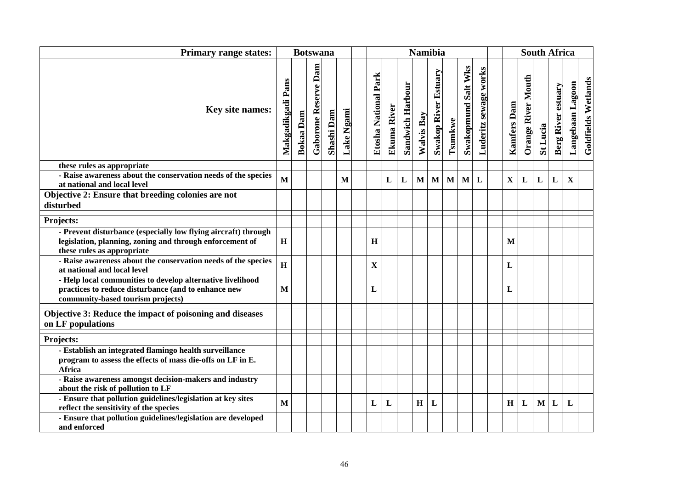| <b>Primary range states:</b>                                                                                                                             |                          |                  | <b>Botswana</b>                |            |                   |                         |             |                  |              | <b>Namibia</b>              |              |                            |                       |                    |                           |           | <b>South Africa</b>       |                  |                     |
|----------------------------------------------------------------------------------------------------------------------------------------------------------|--------------------------|------------------|--------------------------------|------------|-------------------|-------------------------|-------------|------------------|--------------|-----------------------------|--------------|----------------------------|-----------------------|--------------------|---------------------------|-----------|---------------------------|------------------|---------------------|
| Key site names:                                                                                                                                          | <b>Makgadikgadi Pans</b> | <b>Bokaa</b> Dam | Dam<br><b>Gaborone Reserve</b> | Shashi Dam | <b>Lake Ngami</b> | Park<br>Etosha National | Ekuma River | Sandwich Harbour | Walvis Bay   | <b>Swakop River Estuary</b> | Tsumkwe      | <b>Swakopmund Salt Wks</b> | Luderitz sewage works | <b>Kamfers Dam</b> | <b>Orange River Mouth</b> | St Lucia  | <b>Berg River estuary</b> | Langebaan Lagoon | Goldfields Wetlands |
| these rules as appropriate                                                                                                                               |                          |                  |                                |            |                   |                         |             |                  |              |                             |              |                            |                       |                    |                           |           |                           |                  |                     |
| - Raise awareness about the conservation needs of the species<br>at national and local level                                                             | M                        |                  |                                |            | M                 |                         | L           | L                | $\mathbf{M}$ | $\mathbf M$                 | $\mathbf{M}$ | $\mathbf{M}$               | L                     | $\mathbf X$        | $\mathbf{L}$              | ${\bf L}$ | L                         | $\mathbf X$      |                     |
| Objective 2: Ensure that breeding colonies are not<br>disturbed                                                                                          |                          |                  |                                |            |                   |                         |             |                  |              |                             |              |                            |                       |                    |                           |           |                           |                  |                     |
| Projects:                                                                                                                                                |                          |                  |                                |            |                   |                         |             |                  |              |                             |              |                            |                       |                    |                           |           |                           |                  |                     |
| - Prevent disturbance (especially low flying aircraft) through<br>legislation, planning, zoning and through enforcement of<br>these rules as appropriate | H                        |                  |                                |            |                   | $\mathbf H$             |             |                  |              |                             |              |                            |                       | M                  |                           |           |                           |                  |                     |
| - Raise awareness about the conservation needs of the species<br>at national and local level                                                             | $\mathbf H$              |                  |                                |            |                   | $\mathbf X$             |             |                  |              |                             |              |                            |                       | L                  |                           |           |                           |                  |                     |
| - Help local communities to develop alternative livelihood<br>practices to reduce disturbance (and to enhance new<br>community-based tourism projects)   | M                        |                  |                                |            |                   | L                       |             |                  |              |                             |              |                            |                       | L                  |                           |           |                           |                  |                     |
| Objective 3: Reduce the impact of poisoning and diseases<br>on LF populations                                                                            |                          |                  |                                |            |                   |                         |             |                  |              |                             |              |                            |                       |                    |                           |           |                           |                  |                     |
| Projects:                                                                                                                                                |                          |                  |                                |            |                   |                         |             |                  |              |                             |              |                            |                       |                    |                           |           |                           |                  |                     |
| - Establish an integrated flamingo health surveillance<br>program to assess the effects of mass die-offs on LF in E.<br>Africa                           |                          |                  |                                |            |                   |                         |             |                  |              |                             |              |                            |                       |                    |                           |           |                           |                  |                     |
| - Raise awareness amongst decision-makers and industry<br>about the risk of pollution to LF                                                              |                          |                  |                                |            |                   |                         |             |                  |              |                             |              |                            |                       |                    |                           |           |                           |                  |                     |
| - Ensure that pollution guidelines/legislation at key sites<br>reflect the sensitivity of the species                                                    | M                        |                  |                                |            |                   | L                       | L           |                  | H            | L                           |              |                            |                       | H                  | L                         | $\bf{M}$  | L                         | L                |                     |
| - Ensure that pollution guidelines/legislation are developed<br>and enforced                                                                             |                          |                  |                                |            |                   |                         |             |                  |              |                             |              |                            |                       |                    |                           |           |                           |                  |                     |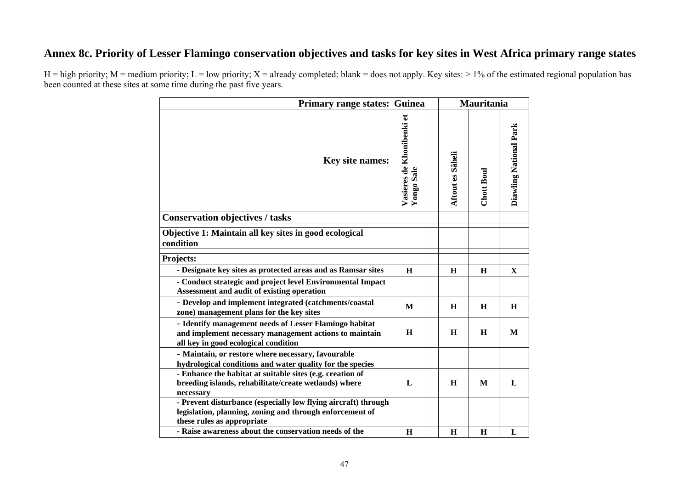## **Annex 8c. Priority of Lesser Flamingo conservation objectives and tasks for key sites in West Africa primary range states**

| <b>Primary range states:</b>                                                                                                                             | Guinea                                         |                         | Mauritania |                        |
|----------------------------------------------------------------------------------------------------------------------------------------------------------|------------------------------------------------|-------------------------|------------|------------------------|
| Key site names:                                                                                                                                          | Vasieres de Khonibenki et<br><b>Yongo Sale</b> | <b>Aftout es Sâheli</b> | Chott Boul | Diawling National Park |
| <b>Conservation objectives / tasks</b>                                                                                                                   |                                                |                         |            |                        |
| Objective 1: Maintain all key sites in good ecological<br>condition                                                                                      |                                                |                         |            |                        |
| Projects:                                                                                                                                                |                                                |                         |            |                        |
| - Designate key sites as protected areas and as Ramsar sites                                                                                             | H                                              | H                       | H          | $\mathbf X$            |
| - Conduct strategic and project level Environmental Impact<br>Assessment and audit of existing operation                                                 |                                                |                         |            |                        |
| - Develop and implement integrated (catchments/coastal<br>zone) management plans for the key sites                                                       | M                                              | H                       | H          | H                      |
| - Identify management needs of Lesser Flamingo habitat<br>and implement necessary management actions to maintain<br>all key in good ecological condition | H                                              | H                       | H          | M                      |
| - Maintain, or restore where necessary, favourable<br>hydrological conditions and water quality for the species                                          |                                                |                         |            |                        |
| - Enhance the habitat at suitable sites (e.g. creation of<br>breeding islands, rehabilitate/create wetlands) where<br>necessary                          | L                                              | $\mathbf H$             | M          | L                      |
| - Prevent disturbance (especially low flying aircraft) through<br>legislation, planning, zoning and through enforcement of<br>these rules as appropriate |                                                |                         |            |                        |
| - Raise awareness about the conservation needs of the                                                                                                    | $\bf H$                                        | $\bf H$                 | H          | L                      |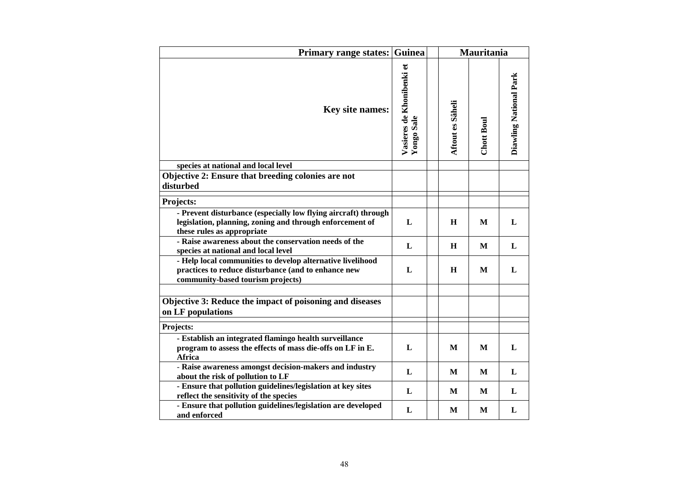| <b>Primary range states:</b>                                                                                                                             | Guinea                                  |                  | <b>Mauritania</b> |                        |
|----------------------------------------------------------------------------------------------------------------------------------------------------------|-----------------------------------------|------------------|-------------------|------------------------|
| <b>Key site names:</b>                                                                                                                                   | Vasieres de Khonibenki et<br>Yongo Sale | Aftout es Sâheli | Chott Boul        | Diawling National Park |
| species at national and local level                                                                                                                      |                                         |                  |                   |                        |
| Objective 2: Ensure that breeding colonies are not<br>disturbed                                                                                          |                                         |                  |                   |                        |
| Projects:                                                                                                                                                |                                         |                  |                   |                        |
| - Prevent disturbance (especially low flying aircraft) through<br>legislation, planning, zoning and through enforcement of<br>these rules as appropriate | L                                       | H                | M                 | L                      |
| - Raise awareness about the conservation needs of the<br>species at national and local level                                                             | L                                       | H                | M                 | L                      |
| - Help local communities to develop alternative livelihood<br>practices to reduce disturbance (and to enhance new<br>community-based tourism projects)   | L                                       | H                | M                 | L                      |
|                                                                                                                                                          |                                         |                  |                   |                        |
| Objective 3: Reduce the impact of poisoning and diseases<br>on LF populations                                                                            |                                         |                  |                   |                        |
| Projects:                                                                                                                                                |                                         |                  |                   |                        |
| - Establish an integrated flamingo health surveillance<br>program to assess the effects of mass die-offs on LF in E.<br>Africa                           | L                                       | M                | М                 | L                      |
| - Raise awareness amongst decision-makers and industry<br>about the risk of pollution to LF                                                              | L                                       | M                | M                 | L                      |
| - Ensure that pollution guidelines/legislation at key sites<br>reflect the sensitivity of the species                                                    | L                                       | M                | M                 | L                      |
| - Ensure that pollution guidelines/legislation are developed<br>and enforced                                                                             | L                                       | M                | M                 | L                      |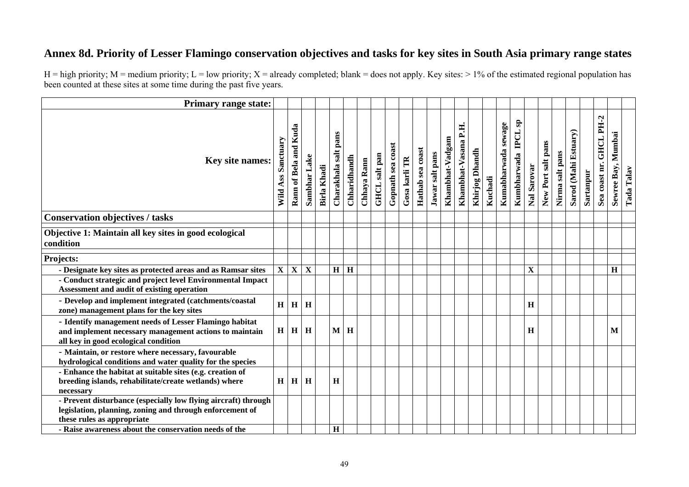## **Annex 8d. Priority of Lesser Flamingo conservation objectives and tasks for key sites in South Asia primary range states**

| <b>Primary range state:</b>                                                                                                                              |                         |                         |                         |                    |                         |              |             |               |                   |               |                  |                 |                 |                         |                |         |                     |                                           |              |                    |                 |                      |           |                         |                       |            |
|----------------------------------------------------------------------------------------------------------------------------------------------------------|-------------------------|-------------------------|-------------------------|--------------------|-------------------------|--------------|-------------|---------------|-------------------|---------------|------------------|-----------------|-----------------|-------------------------|----------------|---------|---------------------|-------------------------------------------|--------------|--------------------|-----------------|----------------------|-----------|-------------------------|-----------------------|------------|
| Key site names:                                                                                                                                          | Ass Sanctuary<br>Wild   | Rann of Bela and Kuda   | Sambhar Lake            | <b>Birla Khadi</b> | pans<br>Charakhala salt | Chharidhandh | Chhaya Rann | GHCL salt pan | Gopnath sea coast | Gosa karli TR | Hathab sea coast | Jawar salt pans | Khambhat-Vadgam | P.H.<br>Khambhat-Vasana | Khirjog Dhandh | Kuchadi | Kumabharwada sewage | $s_{\rm B}$<br><b>IDCL</b><br>Kumbharwada | Nal Sarovar  | New Port salt pans | Nirma salt pans | Sarod (Mahi Estuary) | Sartanpur | Sea coast nr. GHCL PH-2 | Mumbai<br>Sewree Bay, | Tada Talav |
| <b>Conservation objectives / tasks</b>                                                                                                                   |                         |                         |                         |                    |                         |              |             |               |                   |               |                  |                 |                 |                         |                |         |                     |                                           |              |                    |                 |                      |           |                         |                       |            |
| Objective 1: Maintain all key sites in good ecological<br>condition                                                                                      |                         |                         |                         |                    |                         |              |             |               |                   |               |                  |                 |                 |                         |                |         |                     |                                           |              |                    |                 |                      |           |                         |                       |            |
| Projects:                                                                                                                                                |                         |                         |                         |                    |                         |              |             |               |                   |               |                  |                 |                 |                         |                |         |                     |                                           |              |                    |                 |                      |           |                         |                       |            |
| - Designate key sites as protected areas and as Ramsar sites                                                                                             | $\overline{\mathbf{X}}$ | $\overline{\mathbf{X}}$ | $\overline{\mathbf{X}}$ |                    | $\overline{H}$          | $\mathbf H$  |             |               |                   |               |                  |                 |                 |                         |                |         |                     |                                           | $\mathbf{X}$ |                    |                 |                      |           |                         | $\mathbf H$           |            |
| - Conduct strategic and project level Environmental Impact<br>Assessment and audit of existing operation                                                 |                         |                         |                         |                    |                         |              |             |               |                   |               |                  |                 |                 |                         |                |         |                     |                                           |              |                    |                 |                      |           |                         |                       |            |
| - Develop and implement integrated (catchments/coastal<br>zone) management plans for the key sites                                                       | H                       | $\mathbf H$             | H                       |                    |                         |              |             |               |                   |               |                  |                 |                 |                         |                |         |                     |                                           | $\bf H$      |                    |                 |                      |           |                         |                       |            |
| - Identify management needs of Lesser Flamingo habitat<br>and implement necessary management actions to maintain<br>all key in good ecological condition | H                       | H                       | $\mathbf H$             |                    | M <sub>1</sub>          | $\mathbf H$  |             |               |                   |               |                  |                 |                 |                         |                |         |                     |                                           | $\mathbf H$  |                    |                 |                      |           |                         | M                     |            |
| - Maintain, or restore where necessary, favourable<br>hydrological conditions and water quality for the species                                          |                         |                         |                         |                    |                         |              |             |               |                   |               |                  |                 |                 |                         |                |         |                     |                                           |              |                    |                 |                      |           |                         |                       |            |
| - Enhance the habitat at suitable sites (e.g. creation of<br>breeding islands, rehabilitate/create wetlands) where<br>necessary                          | H                       | H                       | H                       |                    | $\mathbf H$             |              |             |               |                   |               |                  |                 |                 |                         |                |         |                     |                                           |              |                    |                 |                      |           |                         |                       |            |
| - Prevent disturbance (especially low flying aircraft) through<br>legislation, planning, zoning and through enforcement of<br>these rules as appropriate |                         |                         |                         |                    |                         |              |             |               |                   |               |                  |                 |                 |                         |                |         |                     |                                           |              |                    |                 |                      |           |                         |                       |            |
| - Raise awareness about the conservation needs of the                                                                                                    |                         |                         |                         |                    | $\mathbf H$             |              |             |               |                   |               |                  |                 |                 |                         |                |         |                     |                                           |              |                    |                 |                      |           |                         |                       |            |